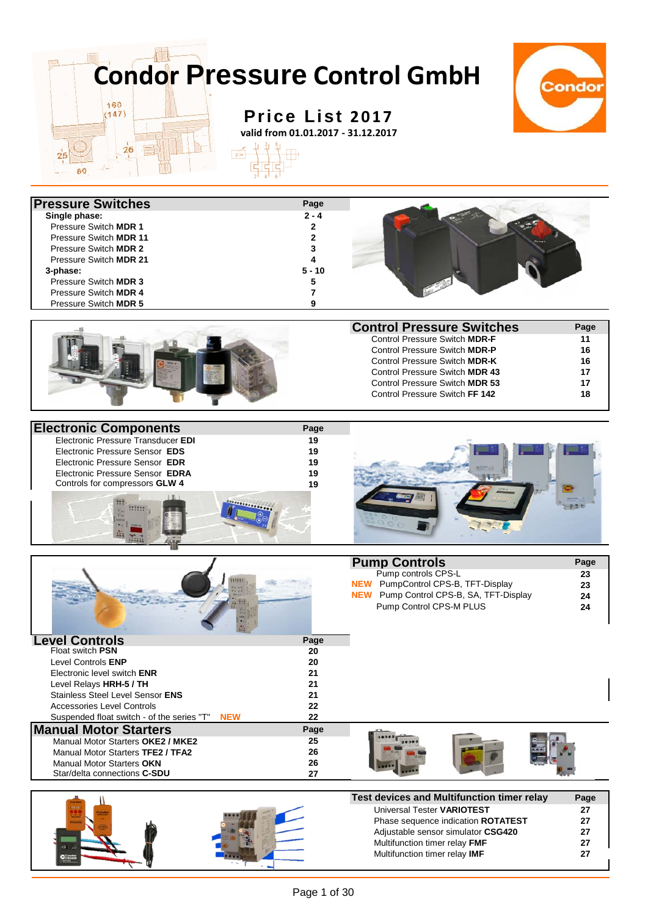

| <b>Pressure Switches</b> | Page     |              |
|--------------------------|----------|--------------|
| Single phase:            | $2 - 4$  |              |
| Pressure Switch MDR 1    |          |              |
| Pressure Switch MDR 11   |          | <b>Brown</b> |
| Pressure Switch MDR 2    |          |              |
| Pressure Switch MDR 21   |          |              |
| 3-phase:                 | $5 - 10$ |              |
| Pressure Switch MDR 3    |          |              |
| Pressure Switch MDR 4    |          |              |
| Pressure Switch MDR 5    |          |              |



 $\overline{\cdot}$ 

| <b>Control Pressure Switches</b>      | Page |
|---------------------------------------|------|
| Control Pressure Switch MDR-F         | 11   |
| Control Pressure Switch MDR-P         | 16   |
| Control Pressure Switch MDR-K         | 16   |
| Control Pressure Switch MDR 43        | 17   |
| Control Pressure Switch <b>MDR 53</b> | 17   |
| Control Pressure Switch FF 142        | 18   |
|                                       |      |

33.7

| <b>Electronic Components</b>       | Page |  |
|------------------------------------|------|--|
| Electronic Pressure Transducer EDI | 19   |  |
| Electronic Pressure Sensor EDS     | 19   |  |
| Electronic Pressure Sensor EDR     | 19   |  |
| Electronic Pressure Sensor EDRA    | 19   |  |
| Controls for compressors GLW 4     | 19   |  |
|                                    |      |  |

|                                                |      | <b>Pump Controls</b>                              | Page |
|------------------------------------------------|------|---------------------------------------------------|------|
|                                                |      | Pump controls CPS-L                               | 23   |
|                                                |      | PumpControl CPS-B, TFT-Display<br><b>NEW</b>      | 23   |
|                                                |      | Pump Control CPS-B, SA, TFT-Display<br><b>NEW</b> | 24   |
|                                                |      | Pump Control CPS-M PLUS                           | 24   |
| <b>Level Controls</b>                          | Page |                                                   |      |
| Float switch <b>PSN</b>                        | 20   |                                                   |      |
| Level Controls ENP                             | 20   |                                                   |      |
| Electronic level switch <b>ENR</b>             | 21   |                                                   |      |
| Level Relays HRH-5 / TH                        | 21   |                                                   |      |
| Stainless Steel Level Sensor ENS               | 21   |                                                   |      |
| Accessories Level Controls                     | 22   |                                                   |      |
| Suspended float switch - of the series "T" NEW | 22   |                                                   |      |
| <b>Manual Motor Starters</b>                   | Page |                                                   |      |
| Manual Motor Starters OKE2 / MKE2              | 25   |                                                   |      |
| Manual Motor Starters TFE2 / TFA2              | 26   |                                                   |      |
| Manual Motor Starters OKN                      | 26   |                                                   |      |
| Star/delta connections C-SDU                   | 27   |                                                   |      |



| <b>Test devices and Multifunction timer relay</b> | Page |
|---------------------------------------------------|------|
| Universal Tester <b>VARIOTEST</b>                 | 27   |
| Phase sequence indication ROTATEST                | 27   |
| Adjustable sensor simulator CSG420                | 27   |
| Multifunction timer relay FMF                     | 27   |
| Multifunction timer relay <b>IMF</b>              | 27   |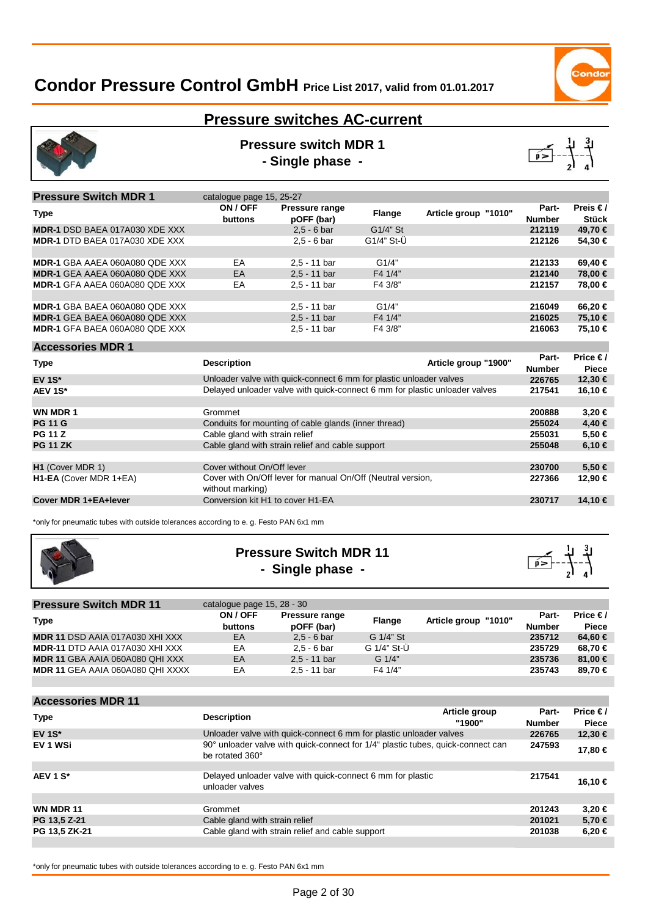



## **Pressure switches AC-current**



**Pressure switch MDR 1 - Single phase -**

 $\frac{1}{2}$   $\frac{3}{4}$  $\sqrt{p}$ 

> **Price €/ Piece**<br>12,30 €

| <b>Pressure Switch MDR 1</b>          | catalogue page 15, 25-27 |                                     |               |                      |                        |                                    |
|---------------------------------------|--------------------------|-------------------------------------|---------------|----------------------|------------------------|------------------------------------|
| <b>Type</b>                           | ON / OFF<br>buttons      | <b>Pressure range</b><br>pOFF (bar) | <b>Flange</b> | Article group "1010" | Part-<br><b>Number</b> | Preis $\epsilon$ /<br><b>Stück</b> |
| <b>MDR-1 DSD BAEA 017A030 XDE XXX</b> |                          | $2.5 - 6$ bar                       | G1/4" St      |                      | 212119                 | 49,70 €                            |
| <b>MDR-1 DTD BAEA 017A030 XDE XXX</b> |                          | $2.5 - 6$ bar                       | G1/4" St-Ü    |                      | 212126                 | 54,30 €                            |
|                                       |                          |                                     |               |                      |                        |                                    |
| <b>MDR-1 GBA AAEA 060A080 QDE XXX</b> | EA                       | $2.5 - 11$ bar                      | G1/4"         |                      | 212133                 | 69,40 €                            |
| <b>MDR-1 GEA AAEA 060A080 QDE XXX</b> | EA                       | $2.5 - 11$ bar                      | F4 1/4"       |                      | 212140                 | 78,00 €                            |
| <b>MDR-1 GFA AAEA 060A080 QDE XXX</b> | EA                       | $2.5 - 11$ bar                      | F4 3/8"       |                      | 212157                 | 78,00 €                            |
|                                       |                          |                                     |               |                      |                        |                                    |
| MDR-1 GBA BAEA 060A080 QDE XXX        |                          | $2.5 - 11$ bar                      | G1/4"         |                      | 216049                 | 66.20 €                            |
| <b>MDR-1 GEA BAEA 060A080 QDE XXX</b> |                          | $2.5 - 11$ bar                      | F4 1/4"       |                      | 216025                 | 75,10 €                            |
| <b>MDR-1 GFA BAEA 060A080 QDE XXX</b> |                          | $2.5 - 11$ bar                      | F4 3/8"       |                      | 216063                 | 75,10 €                            |
| <b>Accessories MDR 1</b>              |                          |                                     |               |                      |                        |                                    |

| <b>Type</b>            | <b>Description</b>                                                              | Article group "1900" | Part-         | Price €/   |
|------------------------|---------------------------------------------------------------------------------|----------------------|---------------|------------|
|                        |                                                                                 |                      | <b>Number</b> | Piece      |
| <b>EV 1S*</b>          | Unloader valve with quick-connect 6 mm for plastic unloader valves              |                      | 226765        | 12,30 €    |
| AEV 1S*                | Delayed unloader valve with quick-connect 6 mm for plastic unloader valves      |                      | 217541        | 16,10 €    |
|                        |                                                                                 |                      |               |            |
| WN MDR 1               | Grommet                                                                         |                      | 200888        | $3,20 \in$ |
| <b>PG 11 G</b>         | Conduits for mounting of cable glands (inner thread)                            |                      | 255024        | 4,40 €     |
| <b>PG 11 Z</b>         | Cable gland with strain relief                                                  |                      | 255031        | 5,50 €     |
| <b>PG 11 ZK</b>        | Cable gland with strain relief and cable support                                |                      | 255048        | 6,10 €     |
|                        |                                                                                 |                      |               |            |
| H1 (Cover MDR 1)       | Cover without On/Off lever                                                      |                      | 230700        | $5,50 \in$ |
| H1-EA (Cover MDR 1+EA) | Cover with On/Off lever for manual On/Off (Neutral version,<br>without marking) |                      | 227366        | 12,90 €    |
| Cover MDR 1+EA+lever   | Conversion kit H1 to cover H1-EA                                                |                      | 230717        | 14.10 €    |

\*only for pneumatic tubes with outside tolerances according to e. g. Festo PAN 6x1 mm

| <b>CONTRACTOR</b><br><b>Pressure Switch MDR 11</b><br>$\sim$<br>- Single phase - | ា វា វា<br>$p > 1 - 1 - 1$ |
|----------------------------------------------------------------------------------|----------------------------|
|----------------------------------------------------------------------------------|----------------------------|

| <b>Pressure Switch MDR 11</b>           | catalogue page 15, 28 - 30 |                       |               |                      |               |               |
|-----------------------------------------|----------------------------|-----------------------|---------------|----------------------|---------------|---------------|
| <b>Type</b>                             | ON / OFF                   | <b>Pressure range</b> | <b>Flange</b> | Article group "1010" | Part-         | Price $\in I$ |
|                                         | buttons                    | pOFF (bar)            |               |                      | <b>Number</b> | <b>Piece</b>  |
| <b>MDR 11 DSD AAIA 017A030 XHI XXX</b>  | EA                         | $2.5 - 6$ bar         | G 1/4" St     |                      | 235712        | $64.60 \in$   |
| <b>MDR-11 DTD AAIA 017A030 XHI XXX</b>  | EA                         | $2.5 - 6$ bar         | G 1/4" St-Ü   |                      | 235729        | 68.70 €       |
| <b>MDR 11 GBA AAIA 060A080 QHI XXX</b>  | EA                         | $2.5 - 11$ bar        | G 1/4"        |                      | 235736        | $81.00 \in$   |
| <b>MDR 11 GEA AAIA 060A080 QHI XXXX</b> | EA                         | $2.5 - 11$ bar        | F4 1/4"       |                      | 235743        | 89.70 €       |
|                                         |                            |                       |               |                      |               |               |

| <b>Accessories MDR 11</b> |                                                                                                    |               |               |               |
|---------------------------|----------------------------------------------------------------------------------------------------|---------------|---------------|---------------|
| <b>Type</b>               | <b>Description</b>                                                                                 | Article group | Part-         | Price $\in I$ |
|                           |                                                                                                    | "1900"        | <b>Number</b> | Piece         |
| $EV$ 1S*                  | Unloader valve with quick-connect 6 mm for plastic unloader valves                                 |               | 226765        | 12,30 €       |
| <b>EV 1 WSi</b>           | 90° unloader valve with quick-connect for 1/4" plastic tubes, quick-connect can<br>be rotated 360° |               | 247593        | 17,80 €       |
|                           |                                                                                                    |               |               |               |
| AEV 1 S*                  | Delayed unloader valve with quick-connect 6 mm for plastic<br>unloader valves                      |               | 217541        | 16,10 €       |
|                           |                                                                                                    |               |               |               |
| <b>WN MDR 11</b>          | Grommet                                                                                            |               | 201243        | $3,20 \in$    |
| PG 13,5 Z-21              | Cable gland with strain relief                                                                     |               | 201021        | 5,70 €        |
| PG 13.5 ZK-21             | Cable gland with strain relief and cable support                                                   |               | 201038        | 6,20 €        |
|                           |                                                                                                    |               |               |               |

\*only for pneumatic tubes with outside tolerances according to e. g. Festo PAN 6x1 mm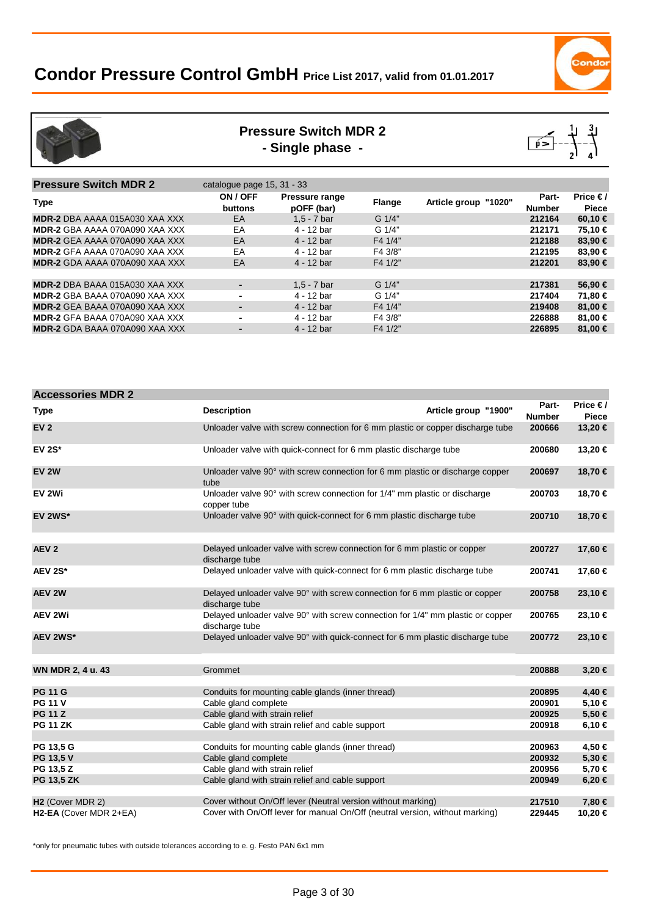

| <b>Pressure Switch MDR 2</b> |
|------------------------------|
| - Single phase -             |

 $\frac{1}{p}$   $\frac{1}{2}$   $\frac{3}{4}$ 

| <b>Pressure Switch MDR 2</b>          | catalogue page 15, 31 - 33 |                                     |               |                         |                        |                               |
|---------------------------------------|----------------------------|-------------------------------------|---------------|-------------------------|------------------------|-------------------------------|
| <b>Type</b>                           | ON / OFF<br><b>buttons</b> | <b>Pressure range</b><br>pOFF (bar) | <b>Flange</b> | "1020"<br>Article group | Part-<br><b>Number</b> | Price $\in I$<br><b>Piece</b> |
| <b>MDR-2 DBA AAAA 015A030 XAA XXX</b> | EA                         | $1.5 - 7$ bar                       | G 1/4"        |                         | 212164                 | 60,10 $∈$                     |
| <b>MDR-2 GBA AAAA 070A090 XAA XXX</b> | EA                         | 4 - 12 bar                          | G 1/4"        |                         | 212171                 | 75,10 €                       |
| <b>MDR-2 GEA AAAA 070A090 XAA XXX</b> | EA                         | 4 - 12 bar                          | F4 1/4"       |                         | 212188                 | $83,90 \in$                   |
| <b>MDR-2 GFA AAAA 070A090 XAA XXX</b> | EA                         | 4 - 12 bar                          | F4 3/8"       |                         | 212195                 | 83,90 €                       |
| <b>MDR-2 GDA AAAA 070A090 XAA XXX</b> | EA                         | $4 - 12$ bar                        | F4 1/2"       |                         | 212201                 | $83,90 \in$                   |
|                                       |                            |                                     |               |                         |                        |                               |
| <b>MDR-2 DBA BAAA 015A030 XAA XXX</b> |                            | $1.5 - 7$ bar                       | G 1/4"        |                         | 217381                 | 56,90 €                       |
| <b>MDR-2 GBA BAAA 070A090 XAA XXX</b> | ۰.                         | 4 - 12 bar                          | G 1/4"        |                         | 217404                 | 71,80 €                       |
| <b>MDR-2 GEA BAAA 070A090 XAA XXX</b> | ۰.                         | $4 - 12$ bar                        | F4 1/4"       |                         | 219408                 | 81,00 €                       |
| <b>MDR-2 GFA BAAA 070A090 XAA XXX</b> | ۰.                         | 4 - 12 bar                          | F4 3/8"       |                         | 226888                 | 81,00 €                       |
| <b>MDR-2 GDA BAAA 070A090 XAA XXX</b> |                            | 4 - 12 bar                          | F4 1/2"       |                         | 226895                 | $81.00 \in$                   |

| <b>Accessories MDR 2</b>            |                                                                                                  |                      |                        |                        |
|-------------------------------------|--------------------------------------------------------------------------------------------------|----------------------|------------------------|------------------------|
| <b>Type</b>                         | <b>Description</b>                                                                               | Article group "1900" | Part-<br><b>Number</b> | Price $\in$ /<br>Piece |
| EV <sub>2</sub>                     | Unloader valve with screw connection for 6 mm plastic or copper discharge tube                   |                      | 200666                 | 13,20 €                |
| <b>EV 2S*</b>                       | Unloader valve with quick-connect for 6 mm plastic discharge tube                                |                      | 200680                 | 13,20 €                |
| <b>EV 2W</b>                        | Unloader valve 90° with screw connection for 6 mm plastic or discharge copper<br>tube            |                      | 200697                 | 18,70 €                |
| EV 2Wi                              | Unloader valve 90° with screw connection for 1/4" mm plastic or discharge<br>copper tube         |                      | 200703                 | 18,70 €                |
| EV 2WS*                             | Unloader valve 90° with quick-connect for 6 mm plastic discharge tube                            |                      | 200710                 | 18,70 €                |
| AEV <sub>2</sub>                    | Delayed unloader valve with screw connection for 6 mm plastic or copper<br>discharge tube        |                      | 200727                 | 17,60 €                |
| AEV 2S*                             | Delayed unloader valve with quick-connect for 6 mm plastic discharge tube                        |                      | 200741                 | 17,60 €                |
| <b>AEV 2W</b>                       | Delayed unloader valve 90° with screw connection for 6 mm plastic or copper<br>discharge tube    |                      | 200758                 | $23,10$ €              |
| <b>AEV 2Wi</b>                      | Delayed unloader valve 90° with screw connection for 1/4" mm plastic or copper<br>discharge tube |                      | 200765                 | 23,10 €                |
| AEV 2WS*                            | Delayed unloader valve 90° with quick-connect for 6 mm plastic discharge tube                    |                      | 200772                 | $23,10$ €              |
| <b>WN MDR 2, 4 u. 43</b>            | Grommet                                                                                          |                      | 200888                 | $3,20 \in$             |
| <b>PG 11 G</b>                      | Conduits for mounting cable glands (inner thread)                                                |                      | 200895                 | 4,40 €                 |
| <b>PG 11 V</b>                      | Cable gland complete                                                                             |                      | 200901                 | 5,10 €                 |
| <b>PG 11 Z</b>                      | Cable gland with strain relief                                                                   |                      | 200925                 | $5,50 \in$             |
| <b>PG 11 ZK</b>                     | Cable gland with strain relief and cable support                                                 |                      | 200918                 | 6,10€                  |
| PG 13,5 G                           | Conduits for mounting cable glands (inner thread)                                                |                      | 200963                 | 4,50 €                 |
| PG 13,5 V                           | Cable gland complete                                                                             |                      | 200932                 | $5,30 \in$             |
| PG 13,5 Z                           | Cable gland with strain relief                                                                   |                      | 200956                 | 5,70 €                 |
| <b>PG 13,5 ZK</b>                   | Cable gland with strain relief and cable support                                                 |                      | 200949                 | $6,20 \in$             |
| H <sub>2</sub> (Cover MDR 2)        | Cover without On/Off lever (Neutral version without marking)                                     |                      | 217510                 | 7,80 €                 |
| H <sub>2</sub> -EA (Cover MDR 2+EA) | Cover with On/Off lever for manual On/Off (neutral version, without marking)                     |                      | 229445                 | 10,20 €                |
|                                     |                                                                                                  |                      |                        |                        |

\*only for pneumatic tubes with outside tolerances according to e. g. Festo PAN 6x1 mm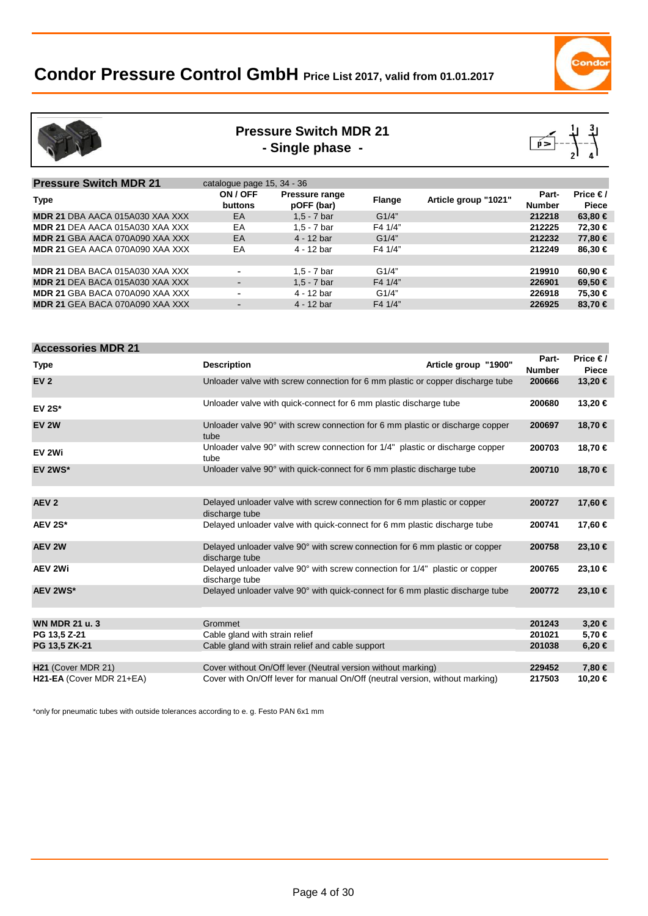

| <b>Pressu</b> |
|---------------|
| - S           |

## **Pressure Switch MDR 21 Single phase -**

 $-\frac{1}{2}$   $-\frac{3}{4}$  $\boxed{\overset{\frown}{\mathbf{p}}$ 

| <b>Pressure Switch MDR 21</b>          | catalogue page 15, 34 - 36 |                                     |               |                      |                        |                        |
|----------------------------------------|----------------------------|-------------------------------------|---------------|----------------------|------------------------|------------------------|
| <b>Type</b>                            | ON / OFF<br>buttons        | <b>Pressure range</b><br>pOFF (bar) | <b>Flange</b> | Article group "1021" | Part-<br><b>Number</b> | Price $\in I$<br>Piece |
| <b>MDR 21 DBA AACA 015A030 XAA XXX</b> | EA                         | $1.5 - 7$ bar                       | G1/4"         |                      | 212218                 | $63,80 \in$            |
| <b>MDR 21 DEA AACA 015A030 XAA XXX</b> | EA                         | $1.5 - 7$ bar                       | F4 1/4"       |                      | 212225                 | 72,30 €                |
| <b>MDR 21 GBA AACA 070A090 XAA XXX</b> | EA                         | $4 - 12$ bar                        | G1/4"         |                      | 212232                 | 77,80 €                |
| <b>MDR 21 GEA AACA 070A090 XAA XXX</b> | EA                         | 4 - 12 bar                          | F4 1/4"       |                      | 212249                 | 86,30 €                |
|                                        |                            |                                     |               |                      |                        |                        |
| <b>MDR 21 DBA BACA 015A030 XAA XXX</b> |                            | $1.5 - 7$ bar                       | G1/4"         |                      | 219910                 | $60,90 \in$            |
| <b>MDR 21 DEA BACA 015A030 XAA XXX</b> |                            | $1.5 - 7$ bar                       | F4 1/4"       |                      | 226901                 | $69,50 \in$            |
| <b>MDR 21 GBA BACA 070A090 XAA XXX</b> | -                          | 4 - 12 bar                          | G1/4"         |                      | 226918                 | 75,30 €                |
| <b>MDR 21 GEA BACA 070A090 XAA XXX</b> |                            | $4 - 12$ bar                        | F4 1/4"       |                      | 226925                 | 83,70 €                |

| <b>Accessories MDR 21</b>      |                                                                                               |                      |                        |                               |
|--------------------------------|-----------------------------------------------------------------------------------------------|----------------------|------------------------|-------------------------------|
| <b>Type</b>                    | <b>Description</b>                                                                            | Article group "1900" | Part-<br><b>Number</b> | Price $\in I$<br><b>Piece</b> |
| EV <sub>2</sub>                | Unloader valve with screw connection for 6 mm plastic or copper discharge tube                |                      | 200666                 | 13,20 €                       |
| $EV 2S*$                       | Unloader valve with quick-connect for 6 mm plastic discharge tube                             |                      | 200680                 | 13,20 €                       |
| <b>EV 2W</b>                   | Unloader valve 90° with screw connection for 6 mm plastic or discharge copper<br>tube         |                      | 200697                 | 18,70 €                       |
| EV 2Wi                         | Unloader valve 90° with screw connection for 1/4" plastic or discharge copper<br>tube         |                      | 200703                 | 18,70 €                       |
| EV 2WS*                        | Unloader valve 90° with quick-connect for 6 mm plastic discharge tube                         |                      | 200710                 | 18,70 €                       |
| AEV <sub>2</sub>               | Delayed unloader valve with screw connection for 6 mm plastic or copper<br>discharge tube     |                      | 200727                 | 17,60 €                       |
| AEV 2S*                        | Delayed unloader valve with quick-connect for 6 mm plastic discharge tube                     |                      | 200741                 | 17,60 €                       |
| <b>AEV 2W</b>                  | Delayed unloader valve 90° with screw connection for 6 mm plastic or copper<br>discharge tube |                      | 200758                 | $23,10$ €                     |
| <b>AEV 2Wi</b>                 | Delayed unloader valve 90° with screw connection for 1/4" plastic or copper<br>discharge tube |                      | 200765                 | 23,10 €                       |
| AEV 2WS*                       | Delayed unloader valve 90° with quick-connect for 6 mm plastic discharge tube                 |                      | 200772                 | $23,10$ €                     |
| <b>WN MDR 21 u.3</b>           | Grommet                                                                                       |                      | 201243                 | $3,20 \in$                    |
| PG 13,5 Z-21                   | Cable gland with strain relief                                                                |                      | 201021                 | 5,70 €                        |
| PG 13.5 ZK-21                  | Cable gland with strain relief and cable support                                              |                      | 201038                 | $6,20 \in$                    |
| H <sub>21</sub> (Cover MDR 21) | Cover without On/Off lever (Neutral version without marking)                                  |                      | 229452                 | 7,80 €                        |
| H21-EA (Cover MDR 21+EA)       | Cover with On/Off lever for manual On/Off (neutral version, without marking)                  |                      | 217503                 | 10,20 €                       |

\*only for pneumatic tubes with outside tolerances according to e. g. Festo PAN 6x1 mm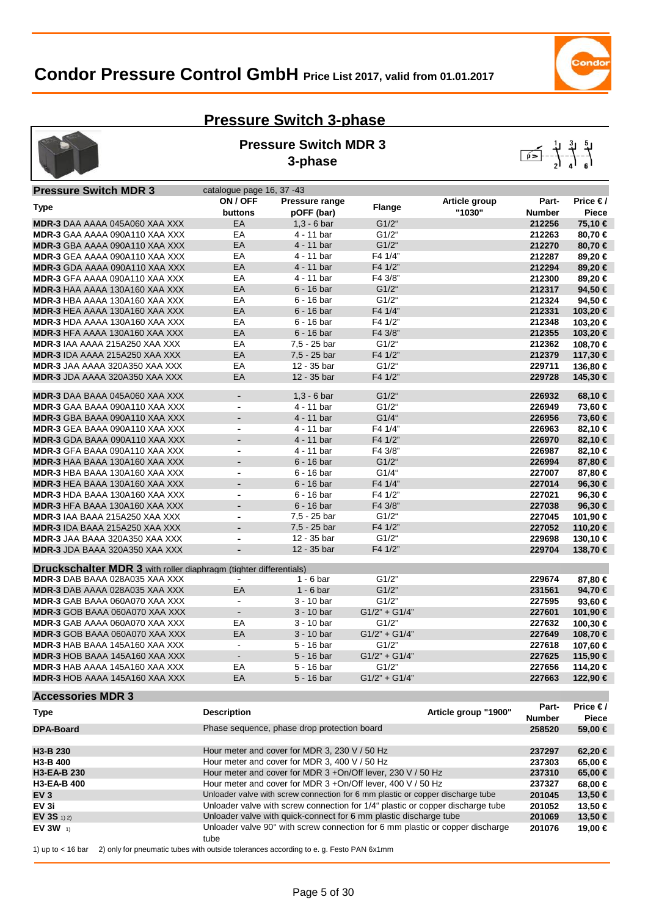$\Gamma$ 

 $\overline{\phantom{a}}$ 



## **Pressure Switch 3-phase**

|                                                                                                          |                                            | <b>Pressure Switch MDR 3</b>                                                   |                  |                                                                               |                         |                         |
|----------------------------------------------------------------------------------------------------------|--------------------------------------------|--------------------------------------------------------------------------------|------------------|-------------------------------------------------------------------------------|-------------------------|-------------------------|
|                                                                                                          |                                            | 3-phase                                                                        |                  |                                                                               |                         |                         |
| <b>Pressure Switch MDR 3</b>                                                                             | catalogue page 16, 37 -43                  |                                                                                |                  |                                                                               |                         |                         |
| <b>Type</b>                                                                                              | ON / OFF                                   | <b>Pressure range</b>                                                          | <b>Flange</b>    | Article group                                                                 | Part-                   | Price $\in$ /           |
|                                                                                                          | buttons                                    | pOFF (bar)                                                                     |                  | "1030"                                                                        | <b>Number</b>           | <b>Piece</b>            |
| <b>MDR-3 DAA AAAA 045A060 XAA XXX</b>                                                                    | EA                                         | $1,3 - 6$ bar                                                                  | $G1/2$ "         |                                                                               | 212256                  | 75,10 €                 |
| <b>MDR-3 GAA AAAA 090A110 XAA XXX</b>                                                                    | EA                                         | 4 - 11 bar                                                                     | $G1/2$ "         |                                                                               | 212263                  | 80,70 €                 |
| <b>MDR-3 GBA AAAA 090A110 XAA XXX</b>                                                                    | EA                                         | 4 - 11 bar                                                                     | G1/2"            |                                                                               | 212270                  | 80,70 €                 |
| <b>MDR-3 GEA AAAA 090A110 XAA XXX</b>                                                                    | EA                                         | 4 - 11 bar                                                                     | F4 1/4"          |                                                                               | 212287                  | 89.20 €                 |
| MDR-3 GDA AAAA 090A110 XAA XXX                                                                           | EA                                         | 4 - 11 bar                                                                     | F4 1/2"          |                                                                               | 212294                  | 89,20 €                 |
| <b>MDR-3 GFA AAAA 090A110 XAA XXX</b>                                                                    | EA<br>EA                                   | 4 - 11 bar                                                                     | F4 3/8"<br>G1/2" |                                                                               | 212300                  | 89,20 €                 |
| <b>MDR-3 HAA AAAA 130A160 XAA XXX</b><br>MDR-3 HBA AAAA 130A160 XAA XXX                                  | EA                                         | $6 - 16$ bar<br>6 - 16 bar                                                     | G1/2"            |                                                                               | 212317<br>212324        | 94,50 €                 |
| <b>MDR-3 HEA AAAA 130A160 XAA XXX</b>                                                                    | EA                                         | $6 - 16$ bar                                                                   | F4 1/4"          |                                                                               | 212331                  | 94,50 €<br>103,20 €     |
| <b>MDR-3 HDA AAAA 130A160 XAA XXX</b>                                                                    | EA                                         | 6 - 16 bar                                                                     | F4 1/2"          |                                                                               | 212348                  | 103,20 €                |
| <b>MDR-3 HFA AAAA 130A160 XAA XXX</b>                                                                    | EA                                         | 6 - 16 bar                                                                     | F4 3/8"          |                                                                               | 212355                  | 103,20 €                |
| MDR-3 IAA AAAA 215A250 XAA XXX                                                                           | EA                                         | 7,5 - 25 bar                                                                   | G1/2"            |                                                                               | 212362                  | 108,70 €                |
| <b>MDR-3 IDA AAAA 215A250 XAA XXX</b>                                                                    | EA                                         | 7.5 - 25 bar                                                                   | F4 1/2"          |                                                                               | 212379                  | 117,30 €                |
| <b>MDR-3 JAA AAAA 320A350 XAA XXX</b>                                                                    | EA                                         | 12 - 35 bar                                                                    | G1/2"            |                                                                               | 229711                  | 136,80 €                |
| MDR-3 JDA AAAA 320A350 XAA XXX                                                                           | EA                                         | 12 - 35 bar                                                                    | F4 1/2"          |                                                                               | 229728                  | 145,30 €                |
|                                                                                                          |                                            |                                                                                |                  |                                                                               |                         |                         |
| <b>MDR-3 DAA BAAA 045A060 XAA XXX</b>                                                                    | $\overline{\phantom{a}}$                   | $1,3 - 6$ bar                                                                  | G1/2"            |                                                                               | 226932                  | $68,10 \in$             |
| <b>MDR-3 GAA BAAA 090A110 XAA XXX</b>                                                                    | $\blacksquare$                             | 4 - 11 bar                                                                     | $G1/2$ "         |                                                                               | 226949                  | 73,60 €                 |
| MDR-3 GBA BAAA 090A110 XAA XXX                                                                           | $\blacksquare$                             | 4 - 11 bar                                                                     | G1/4"            |                                                                               | 226956                  | 73,60 €                 |
| <b>MDR-3 GEA BAAA 090A110 XAA XXX</b>                                                                    | ÷,                                         | 4 - 11 bar                                                                     | F4 1/4"          |                                                                               | 226963                  | 82,10 €                 |
| <b>MDR-3 GDA BAAA 090A110 XAA XXX</b>                                                                    | -                                          | 4 - 11 bar                                                                     | F4 1/2"          |                                                                               | 226970                  | 82,10 €                 |
| <b>MDR-3 GFA BAAA 090A110 XAA XXX</b>                                                                    | ÷,                                         | 4 - 11 bar                                                                     | F4 3/8"          |                                                                               | 226987                  | 82,10 €                 |
| MDR-3 HAA BAAA 130A160 XAA XXX                                                                           | $\blacksquare$                             | $6 - 16$ bar                                                                   | G1/2"            |                                                                               | 226994                  | 87,80 €                 |
| <b>MDR-3 HBA BAAA 130A160 XAA XXX</b>                                                                    | $\overline{\phantom{a}}$                   | 6 - 16 bar                                                                     | G1/4"            |                                                                               | 227007                  | 87,80 €                 |
| MDR-3 HEA BAAA 130A160 XAA XXX                                                                           | $\blacksquare$                             | $6 - 16$ bar                                                                   | F4 1/4"          |                                                                               | 227014                  | 96,30 $\epsilon$        |
| <b>MDR-3 HDA BAAA 130A160 XAA XXX</b>                                                                    | $\blacksquare$                             | 6 - 16 bar                                                                     | F4 1/2"          |                                                                               | 227021                  | 96,30 $\in$             |
| <b>MDR-3 HFA BAAA 130A160 XAA XXX</b>                                                                    | $\blacksquare$                             | 6 - 16 bar                                                                     | F4 3/8"          |                                                                               | 227038                  | 96,30 €                 |
| <b>MDR-3 IAA BAAA 215A250 XAA XXX</b>                                                                    | $\overline{\phantom{a}}$                   | 7,5 - 25 bar                                                                   | G1/2"            |                                                                               | 227045                  | 101,90 €                |
| <b>MDR-3 IDA BAAA 215A250 XAA XXX</b>                                                                    | $\blacksquare$                             | 7,5 - 25 bar                                                                   | F4 1/2"          |                                                                               | 227052                  | 110,20 €                |
| <b>MDR-3 JAA BAAA 320A350 XAA XXX</b>                                                                    | $\blacksquare$                             | 12 - 35 bar<br>12 - 35 bar                                                     | G1/2"<br>F4 1/2" |                                                                               | 229698                  | 130,10 €                |
| MDR-3 JDA BAAA 320A350 XAA XXX                                                                           | $\overline{\phantom{a}}$                   |                                                                                |                  |                                                                               | 229704                  | 138,70 €                |
| <b>Druckschalter MDR 3</b> with roller diaphragm (tighter differentials)                                 |                                            |                                                                                | G1/2"            |                                                                               |                         |                         |
| MDR-3 DAB BAAA 028A035 XAA XXX                                                                           | EA                                         | $1 - 6$ bar<br>$1 - 6$ bar                                                     | G1/2"            |                                                                               | 229674                  | 87,80 €<br>94,70 €      |
| MDR-3 DAB AAAA 028A035 XAA XXX                                                                           |                                            |                                                                                | G1/2"            |                                                                               | 231561                  |                         |
| MDR-3 GAB BAAA 060A070 XAA XXX<br><b>MDR-3 GOB BAAA 060A070 XAA XXX</b>                                  | $\overline{\phantom{a}}$<br>$\blacksquare$ | 3 - 10 bar<br>3 - 10 bar                                                       | $G1/2" + G1/4"$  |                                                                               | 227595<br>227601        | 93,60 $\in$<br>101,90 € |
| MDR-3 GAB AAAA 060A070 XAA XXX                                                                           | EA                                         | 3 - 10 bar                                                                     | G1/2"            |                                                                               | 227632                  |                         |
|                                                                                                          | EA                                         |                                                                                | $G1/2" + G1/4"$  |                                                                               | 227649                  | 100,30 €<br>108,70 €    |
| <b>MDR-3 GOB BAAA 060A070 XAA XXX</b><br><b>MDR-3 HAB BAAA 145A160 XAA XXX</b>                           | $\blacksquare$                             | 3 - 10 bar<br>5 - 16 bar                                                       | G1/2"            |                                                                               | 227618                  | 107,60 €                |
| <b>MDR-3 HOB BAAA 145A160 XAA XXX</b>                                                                    | $\blacksquare$                             | 5 - 16 bar                                                                     | $G1/2" + G1/4"$  |                                                                               | 227625                  | 115,90 €                |
| MDR-3 HAB AAAA 145A160 XAA XXX                                                                           | EA                                         | 5 - 16 bar                                                                     | G1/2"            |                                                                               | 227656                  | 114,20 €                |
| MDR-3 HOB AAAA 145A160 XAA XXX                                                                           | EА                                         | 5 - 16 bar                                                                     | $G1/2" + G1/4"$  |                                                                               | 227663                  | 122,90 €                |
| <b>Accessories MDR 3</b>                                                                                 |                                            |                                                                                |                  |                                                                               |                         |                         |
| <b>Type</b>                                                                                              | <b>Description</b>                         |                                                                                |                  | Article group "1900"                                                          | Part-                   | Price $\in$ /           |
| <b>DPA-Board</b>                                                                                         |                                            | Phase sequence, phase drop protection board                                    |                  |                                                                               | <b>Number</b><br>258520 | Piece<br>59,00 €        |
|                                                                                                          |                                            |                                                                                |                  |                                                                               |                         |                         |
| H3-B 230                                                                                                 |                                            | Hour meter and cover for MDR 3, 230 V / 50 Hz                                  |                  |                                                                               | 237297                  | $62,20 \in$             |
| H3-B 400                                                                                                 |                                            | Hour meter and cover for MDR 3, 400 V / 50 Hz                                  |                  |                                                                               | 237303                  | 65,00 €                 |
| H3-EA-B 230                                                                                              |                                            | Hour meter and cover for MDR 3 +On/Off lever, 230 V / 50 Hz                    |                  |                                                                               | 237310                  | $65,00 \in$             |
| <b>H3-EA-B 400</b>                                                                                       |                                            | Hour meter and cover for MDR 3 +On/Off lever, 400 V / 50 Hz                    |                  |                                                                               | 237327                  | 68,00 €                 |
| EV <sub>3</sub>                                                                                          |                                            | Unloader valve with screw connection for 6 mm plastic or copper discharge tube |                  |                                                                               | 201045                  | 13,50 €                 |
| EV <sub>3i</sub>                                                                                         |                                            | Unloader valve with screw connection for 1/4" plastic or copper discharge tube |                  |                                                                               | 201052                  | 13,50 €                 |
| EV 3S $1)$ 2)                                                                                            |                                            | Unloader valve with quick-connect for 6 mm plastic discharge tube              |                  |                                                                               | 201069                  | 13,50 €                 |
| EV 3W $_1$                                                                                               |                                            |                                                                                |                  | Unloader valve 90° with screw connection for 6 mm plastic or copper discharge | 201076                  | 19,00 €                 |
| 1) up to < 16 bar 2) only for pneumatic tubes with outside tolerances according to e. g. Festo PAN 6x1mm | tube                                       |                                                                                |                  |                                                                               |                         |                         |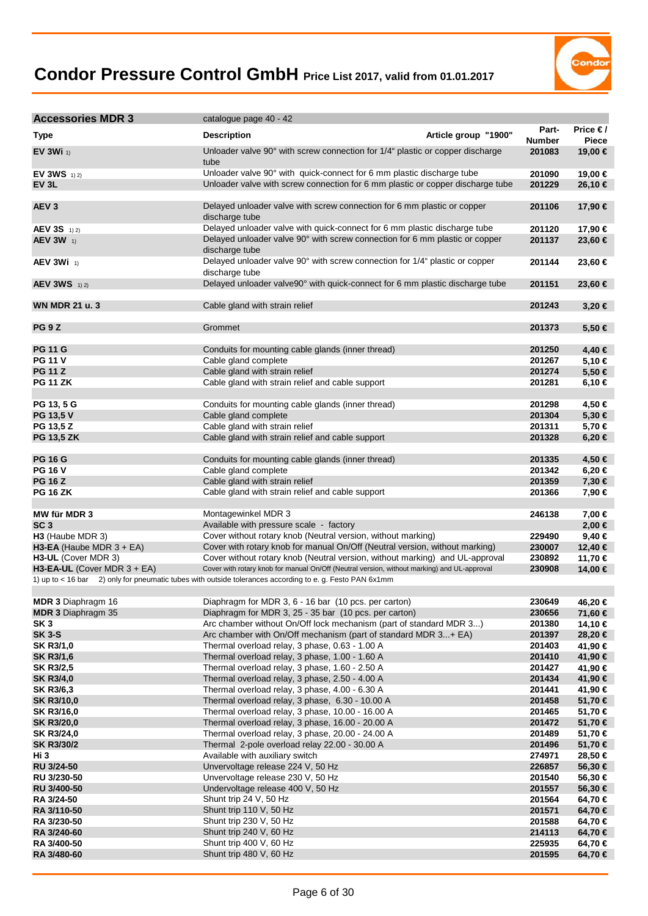

| <b>Accessories MDR 3</b>               | catalogue page 40 - 42                                                                                   |                      |                         |                    |
|----------------------------------------|----------------------------------------------------------------------------------------------------------|----------------------|-------------------------|--------------------|
| <b>Type</b>                            | <b>Description</b>                                                                                       | Article group "1900" | Part-                   | Price $\in$ /      |
| EV $3Wi_1$                             | Unloader valve 90° with screw connection for 1/4" plastic or copper discharge                            |                      | <b>Number</b><br>201083 | Piece<br>19,00 €   |
|                                        | tube                                                                                                     |                      |                         |                    |
| <b>EV 3WS</b> $1)$ 2)                  | Unloader valve 90° with quick-connect for 6 mm plastic discharge tube                                    |                      | 201090                  | 19,00 €            |
| EV <sub>3L</sub>                       | Unloader valve with screw connection for 6 mm plastic or copper discharge tube                           |                      | 201229                  | 26,10 €            |
| AEV <sub>3</sub>                       | Delayed unloader valve with screw connection for 6 mm plastic or copper                                  |                      | 201106                  | 17,90 €            |
|                                        | discharge tube                                                                                           |                      |                         |                    |
| <b>AEV 3S</b> 1) 2)                    | Delayed unloader valve with quick-connect for 6 mm plastic discharge tube                                |                      | 201120                  | 17,90 €            |
| <b>AEV 3W</b> 1)                       | Delayed unloader valve 90° with screw connection for 6 mm plastic or copper<br>discharge tube            |                      | 201137                  | 23,60 €            |
| AEV 3Wi $_1$                           | Delayed unloader valve 90° with screw connection for 1/4" plastic or copper                              |                      | 201144                  | 23,60 €            |
|                                        | discharge tube                                                                                           |                      |                         |                    |
| <b>AEV 3WS</b> 1) 2)                   | Delayed unloader valve90° with quick-connect for 6 mm plastic discharge tube                             |                      | 201151                  | 23,60 €            |
| <b>WN MDR 21 u.3</b>                   | Cable gland with strain relief                                                                           |                      | 201243                  | $3,20 \in$         |
|                                        |                                                                                                          |                      |                         |                    |
| <b>PG 9 Z</b>                          | Grommet                                                                                                  |                      | 201373                  | 5,50 €             |
| <b>PG 11 G</b>                         | Conduits for mounting cable glands (inner thread)                                                        |                      | 201250                  | 4,40 €             |
| <b>PG 11 V</b>                         | Cable gland complete                                                                                     |                      | 201267                  | 5,10 €             |
| <b>PG 11 Z</b>                         | Cable gland with strain relief                                                                           |                      | 201274                  | 5,50 €             |
| <b>PG 11 ZK</b>                        | Cable gland with strain relief and cable support                                                         |                      | 201281                  | 6,10€              |
|                                        |                                                                                                          |                      |                         |                    |
| PG 13, 5 G                             | Conduits for mounting cable glands (inner thread)                                                        |                      | 201298                  | 4,50 €             |
| PG 13,5 V                              | Cable gland complete                                                                                     |                      | 201304                  | 5,30€              |
| PG 13,5 Z                              | Cable gland with strain relief                                                                           |                      | 201311                  | 5,70 €             |
| <b>PG 13,5 ZK</b>                      | Cable gland with strain relief and cable support                                                         |                      | 201328                  | $6,20 \in$         |
| <b>PG 16 G</b>                         | Conduits for mounting cable glands (inner thread)                                                        |                      | 201335                  | 4,50 €             |
| <b>PG 16 V</b>                         | Cable gland complete                                                                                     |                      | 201342                  | $6,20 \in$         |
| <b>PG 16 Z</b>                         | Cable gland with strain relief                                                                           |                      | 201359                  | 7,30 €             |
| <b>PG 16 ZK</b>                        | Cable gland with strain relief and cable support                                                         |                      | 201366                  | 7,90 €             |
| MW für MDR 3                           | Montagewinkel MDR 3                                                                                      |                      | 246138                  | 7,00 €             |
| SC <sub>3</sub>                        | Available with pressure scale - factory                                                                  |                      |                         | 2,00 €             |
| H3 (Haube MDR 3)                       | Cover without rotary knob (Neutral version, without marking)                                             |                      | 229490                  | 9,40 $\in$         |
| H3-EA (Haube MDR $3 + EA$ )            | Cover with rotary knob for manual On/Off (Neutral version, without marking)                              |                      | 230007                  | 12,40 €            |
| H3-UL (Cover MDR 3)                    | Cover without rotary knob (Neutral version, without marking) and UL-approval                             |                      | 230892                  | 11.70 €            |
| H3-EA-UL (Cover MDR $3 + EA$ )         | Cover with rotary knob for manual On/Off (Neutral version, without marking) and UL-approval              |                      | 230908                  | 14,00 €            |
|                                        | 1) up to < 16 bar 2) only for pneumatic tubes with outside tolerances according to e. g. Festo PAN 6x1mm |                      |                         |                    |
| <b>MDR 3 Diaphragm 16</b>              | Diaphragm for MDR 3, 6 - 16 bar (10 pcs. per carton)                                                     |                      | 230649                  | 46,20 €            |
| <b>MDR 3 Diaphragm 35</b>              | Diaphragm for MDR 3, 25 - 35 bar (10 pcs. per carton)                                                    |                      | 230656                  | 71,60 €            |
| SK <sub>3</sub>                        | Arc chamber without On/Off lock mechanism (part of standard MDR 3)                                       |                      | 201380                  | 14,10 €            |
| <b>SK 3-S</b>                          | Arc chamber with On/Off mechanism (part of standard MDR 3+ EA)                                           |                      | 201397                  | 28,20 €            |
| <b>SK R3/1,0</b>                       | Thermal overload relay, 3 phase, 0.63 - 1.00 A                                                           |                      | 201403                  | 41,90 €            |
| <b>SK R3/1,6</b>                       | Thermal overload relay, 3 phase, 1.00 - 1.60 A                                                           |                      | 201410                  | 41,90 €            |
| <b>SK R3/2,5</b>                       | Thermal overload relay, 3 phase, 1.60 - 2.50 A                                                           |                      | 201427                  | 41,90 €            |
| <b>SK R3/4,0</b>                       | Thermal overload relay, 3 phase, 2.50 - 4.00 A                                                           |                      | 201434                  | 41,90 €            |
| <b>SK R3/6,3</b>                       | Thermal overload relay, 3 phase, 4.00 - 6.30 A                                                           |                      | 201441                  | 41.90 €            |
| <b>SK R3/10,0</b>                      | Thermal overload relay, 3 phase, 6.30 - 10.00 A                                                          |                      | 201458                  | 51,70 €            |
| <b>SK R3/16,0</b><br><b>SK R3/20,0</b> | Thermal overload relay, 3 phase, 10.00 - 16.00 A<br>Thermal overload relay, 3 phase, 16.00 - 20.00 A     |                      | 201465<br>201472        | 51,70 €<br>51,70 € |
| <b>SK R3/24,0</b>                      | Thermal overload relay, 3 phase, 20.00 - 24.00 A                                                         |                      | 201489                  | 51,70 €            |
| <b>SK R3/30/2</b>                      | Thermal 2-pole overload relay 22.00 - 30.00 A                                                            |                      | 201496                  | 51,70 €            |
| Hi <sub>3</sub>                        | Available with auxiliary switch                                                                          |                      | 274971                  | 28,50 €            |
| RU 3/24-50                             | Unvervoltage release 224 V, 50 Hz                                                                        |                      | 226857                  | 56,30 €            |
| RU 3/230-50                            | Unvervoltage release 230 V, 50 Hz                                                                        |                      | 201540                  | 56,30 €            |
| RU 3/400-50                            | Undervoltage release 400 V, 50 Hz                                                                        |                      | 201557                  | 56,30 €            |
| RA 3/24-50                             | Shunt trip 24 V, 50 Hz                                                                                   |                      | 201564                  | 64,70 €            |
| RA 3/110-50                            | Shunt trip 110 V, 50 Hz                                                                                  |                      | 201571                  | 64,70 €            |
| RA 3/230-50                            | Shunt trip 230 V, 50 Hz                                                                                  |                      | 201588                  | 64,70 €            |
| RA 3/240-60                            | Shunt trip 240 V, 60 Hz                                                                                  |                      | 214113                  | 64,70 €            |
| RA 3/400-50<br>RA 3/480-60             | Shunt trip 400 V, 60 Hz<br>Shunt trip 480 V, 60 Hz                                                       |                      | 225935<br>201595        | 64,70 €<br>64,70 € |
|                                        |                                                                                                          |                      |                         |                    |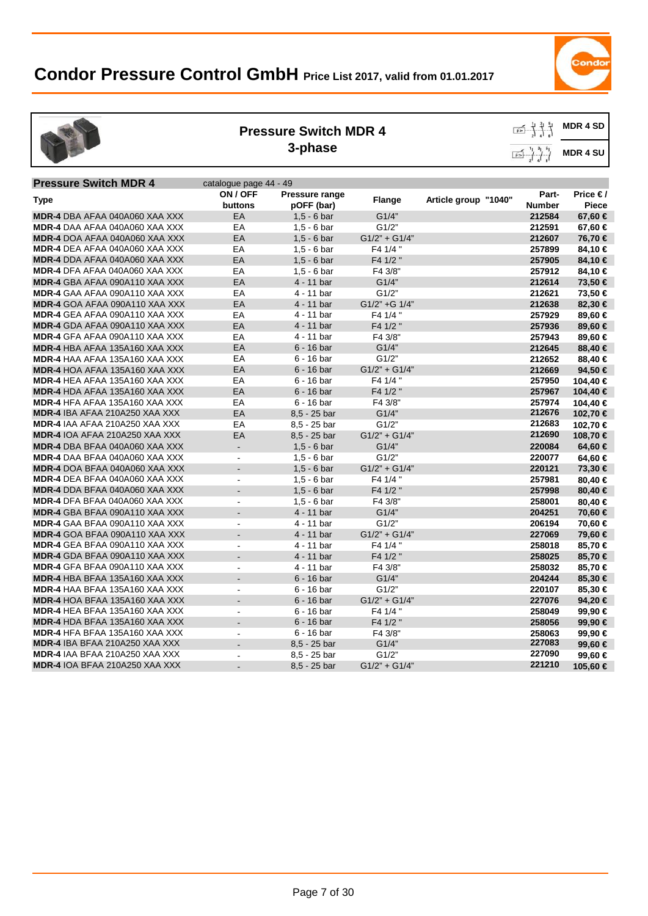

|                                       |                          | <b>Pressure Switch MDR 4</b><br>3-phase |                          |                      | $\frac{1}{2}$<br>$\frac{1}{\sqrt{2}}$ | <b>MDR 4 SD</b><br><b>MDR 4 SU</b> |
|---------------------------------------|--------------------------|-----------------------------------------|--------------------------|----------------------|---------------------------------------|------------------------------------|
|                                       |                          |                                         |                          |                      |                                       |                                    |
| <b>Pressure Switch MDR 4</b>          | catalogue page 44 - 49   |                                         |                          |                      |                                       |                                    |
| <b>Type</b>                           | ON / OFF<br>buttons      | Pressure range<br>pOFF (bar)            | <b>Flange</b>            | Article group "1040" | Part-<br><b>Number</b>                | Price $\in I$<br>Piece             |
| <b>MDR-4 DBA AFAA 040A060 XAA XXX</b> | EA                       | $1,5 - 6$ bar                           | G1/4"                    |                      | 212584                                | 67,60 €                            |
| <b>MDR-4 DAA AFAA 040A060 XAA XXX</b> | EA                       | $1,5 - 6$ bar                           | G1/2"                    |                      | 212591                                | 67,60 €                            |
| <b>MDR-4 DOA AFAA 040A060 XAA XXX</b> | EA                       | $1,5 - 6$ bar                           | $G1/2" + G1/4"$          |                      | 212607                                | 76,70 €                            |
| <b>MDR-4 DEA AFAA 040A060 XAA XXX</b> | EA                       | $1.5 - 6$ bar                           | F4 1/4"                  |                      | 257899                                | 84,10 €                            |
| <b>MDR-4 DDA AFAA 040A060 XAA XXX</b> | EA                       | $1.5 - 6$ bar                           | F4 1/2"                  |                      | 257905                                | 84,10 €                            |
| <b>MDR-4 DFA AFAA 040A060 XAA XXX</b> | EA                       | $1,5 - 6$ bar                           | F4 3/8"                  |                      | 257912                                | 84,10 €                            |
| <b>MDR-4 GBA AFAA 090A110 XAA XXX</b> | EA                       | 4 - 11 bar                              | G1/4"                    |                      | 212614                                | 73,50 €                            |
| <b>MDR-4 GAA AFAA 090A110 XAA XXX</b> | EA                       | 4 - 11 bar                              | G1/2"                    |                      | 212621                                | 73,50 €                            |
| MDR-4 GOA AFAA 090A110 XAA XXX        | EA                       | 4 - 11 bar                              | G1/2" +G 1/4"            |                      | 212638                                | 82,30 €                            |
| <b>MDR-4 GEA AFAA 090A110 XAA XXX</b> | EA                       | 4 - 11 bar                              | F4 1/4"                  |                      | 257929                                | 89.60 €                            |
| <b>MDR-4 GDA AFAA 090A110 XAA XXX</b> | EA                       | 4 - 11 bar                              | F4 1/2 "                 |                      | 257936                                | 89,60 €                            |
| <b>MDR-4 GFA AFAA 090A110 XAA XXX</b> | EA                       | 4 - 11 bar                              | F4 3/8"                  |                      | 257943                                | 89,60 €                            |
| <b>MDR-4 HBA AFAA 135A160 XAA XXX</b> | EA                       | 6 - 16 bar                              | G1/4"                    |                      | 212645                                | 88,40 €                            |
| MDR-4 HAA AFAA 135A160 XAA XXX        | EA                       | 6 - 16 bar                              | G1/2"                    |                      | 212652                                | 88,40 €                            |
| <b>MDR-4 HOA AFAA 135A160 XAA XXX</b> | EA                       | $6 - 16$ bar                            | $G1/2" + G1/4"$          |                      | 212669                                | 94,50 €                            |
| <b>MDR-4 HEA AFAA 135A160 XAA XXX</b> | EA                       | 6 - 16 bar                              | F4 1/4"                  |                      | 257950                                | 104,40 €                           |
| MDR-4 HDA AFAA 135A160 XAA XXX        | EA                       | $6 - 16$ bar                            | F4 1/2"                  |                      | 257967                                | 104,40 €                           |
| <b>MDR-4 HFA AFAA 135A160 XAA XXX</b> | EA                       | 6 - 16 bar                              | F4 3/8"                  |                      | 257974                                | 104,40 €                           |
| <b>MDR-4 IBA AFAA 210A250 XAA XXX</b> | EA                       |                                         |                          |                      | 212676                                |                                    |
| <b>MDR-4 IAA AFAA 210A250 XAA XXX</b> |                          | 8,5 - 25 bar                            | G1/4"                    |                      | 212683                                | 102,70 €                           |
| MDR-4 IOA AFAA 210A250 XAA XXX        | EA<br>EA                 | 8,5 - 25 bar                            | G1/2"<br>$G1/2" + G1/4"$ |                      | 212690                                | 102,70 €                           |
|                                       |                          | 8,5 - 25 bar                            |                          |                      |                                       | 108,70 €                           |
| <b>MDR-4 DBA BFAA 040A060 XAA XXX</b> |                          | $1,5 - 6$ bar                           | G1/4"                    |                      | 220084                                | 64,60 €                            |
| <b>MDR-4 DAA BFAA 040A060 XAA XXX</b> | $\overline{a}$           | $1,5 - 6$ bar                           | G1/2"                    |                      | 220077                                | 64,60 €                            |
| <b>MDR-4 DOA BFAA 040A060 XAA XXX</b> |                          | $1,5 - 6$ bar                           | $G1/2" + G1/4"$          |                      | 220121                                | 73,30 €                            |
| <b>MDR-4 DEA BFAA 040A060 XAA XXX</b> | ÷                        | $1.5 - 6$ bar                           | F4 1/4"                  |                      | 257981                                | 80,40 €                            |
| <b>MDR-4 DDA BFAA 040A060 XAA XXX</b> |                          | $1,5 - 6$ bar                           | F4 1/2 "                 |                      | 257998                                | 80,40 €                            |
| <b>MDR-4 DFA BFAA 040A060 XAA XXX</b> | $\sim$                   | $1.5 - 6$ bar                           | F4 3/8"                  |                      | 258001                                | 80.40 €                            |
| <b>MDR-4 GBA BFAA 090A110 XAA XXX</b> |                          | 4 - 11 bar                              | G1/4"                    |                      | 204251                                | 70,60 €                            |
| <b>MDR-4 GAA BFAA 090A110 XAA XXX</b> | $\overline{a}$           | 4 - 11 bar                              | G1/2"                    |                      | 206194                                | 70,60 €                            |
| <b>MDR-4 GOA BFAA 090A110 XAA XXX</b> |                          | 4 - 11 bar                              | $G1/2" + G1/4"$          |                      | 227069                                | 79,60 €                            |
| <b>MDR-4 GEA BFAA 090A110 XAA XXX</b> | $\sim$                   | 4 - 11 bar                              | F4 1/4"                  |                      | 258018                                | 85,70 €                            |
| <b>MDR-4 GDA BFAA 090A110 XAA XXX</b> |                          | 4 - 11 bar                              | F4 1/2"                  |                      | 258025                                | 85,70 €                            |
| <b>MDR-4 GFA BFAA 090A110 XAA XXX</b> | $\sim$                   | 4 - 11 bar                              | F4 3/8"                  |                      | 258032                                | 85.70 €                            |
| <b>MDR-4 HBA BFAA 135A160 XAA XXX</b> | $\overline{\phantom{a}}$ | $6 - 16$ bar                            | G1/4"                    |                      | 204244                                | 85,30 €                            |
| <b>MDR-4 HAA BFAA 135A160 XAA XXX</b> | $\blacksquare$           | 6 - 16 bar                              | G1/2"                    |                      | 220107                                | 85,30 €                            |
| <b>MDR-4 HOA BFAA 135A160 XAA XXX</b> | ÷,                       | $6 - 16$ bar                            | $G1/2" + G1/4"$          |                      | 227076                                | 94,20 €                            |
| <b>MDR-4 HEA BFAA 135A160 XAA XXX</b> | $\sim$                   | 6 - 16 bar                              | F4 1/4"                  |                      | 258049                                | 99,90 €                            |
| <b>MDR-4 HDA BFAA 135A160 XAA XXX</b> | ÷                        | $6 - 16$ bar                            | F4 1/2"                  |                      | 258056                                | 99,90 €                            |
| <b>MDR-4 HFA BFAA 135A160 XAA XXX</b> | $\overline{\phantom{a}}$ | 6 - 16 bar                              | F4 3/8"                  |                      | 258063                                | 99,90 €                            |
| <b>MDR-4 IBA BFAA 210A250 XAA XXX</b> | ÷.                       | 8,5 - 25 bar                            | G1/4"                    |                      | 227083                                | 99,60 €                            |
| <b>MDR-4 IAA BFAA 210A250 XAA XXX</b> | ÷                        | 8,5 - 25 bar                            | G1/2"                    |                      | 227090                                | 99,60 $\in$                        |
| <b>MDR-4 IOA BFAA 210A250 XAA XXX</b> |                          | 8,5 - 25 bar                            | $G1/2" + G1/4"$          |                      | 221210                                | 105,60 €                           |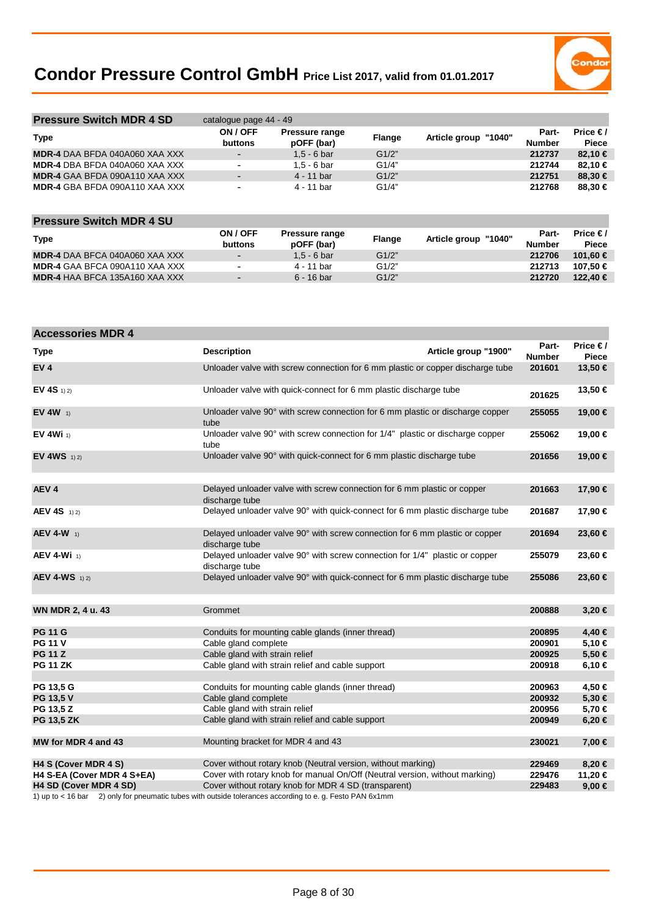

| <b>Pressure Switch MDR 4 SD</b>       | catalogue page 44 - 49   |                                     |               |                      |                        |                               |
|---------------------------------------|--------------------------|-------------------------------------|---------------|----------------------|------------------------|-------------------------------|
| <b>Type</b>                           | ON / OFF<br>buttons      | <b>Pressure range</b><br>pOFF (bar) | <b>Flange</b> | Article group "1040" | Part-<br><b>Number</b> | Price $\in I$<br><b>Piece</b> |
| <b>MDR-4 DAA BFDA 040A060 XAA XXX</b> | $\overline{\phantom{a}}$ | $1.5 - 6$ bar                       | G1/2"         |                      | 212737                 | $82.10 \in$                   |
| <b>MDR-4 DBA BFDA 040A060 XAA XXX</b> |                          | $1.5 - 6$ bar                       | G1/4"         |                      | 212744                 | 82.10 €                       |
| <b>MDR-4 GAA BFDA 090A110 XAA XXX</b> | $\blacksquare$           | 4 - 11 bar                          | G1/2"         |                      | 212751                 | $88.30 \in$                   |
| <b>MDR-4 GBA BFDA 090A110 XAA XXX</b> | $\blacksquare$           | 4 - 11 bar                          | G1/4"         |                      | 212768                 | $88.30 \in$                   |

| <b>Pressure Switch MDR 4 SU</b>       |                |                |               |                      |               |               |
|---------------------------------------|----------------|----------------|---------------|----------------------|---------------|---------------|
| Type                                  | ON / OFF       | Pressure range | <b>Flange</b> | Article group "1040" | Part-         | Price $\in I$ |
|                                       | <b>buttons</b> | pOFF (bar)     |               |                      | <b>Number</b> | <b>Piece</b>  |
| <b>MDR-4 DAA BFCA 040A060 XAA XXX</b> | -              | 1,5 - 6 bar    | G1/2"         |                      | 212706        | 101.60 €      |
| <b>MDR-4 GAA BFCA 090A110 XAA XXX</b> |                | 4 - 11 bar     | G1/2"         |                      | 212713        | 107.50 €      |
| <b>MDR-4 HAA BFCA 135A160 XAA XXX</b> |                | $6 - 16$ bar   | G1/2"         |                      | 212720        | 122.40 €      |

| <b>Accessories MDR 4</b>   |                                                                                                          |                      |               |               |
|----------------------------|----------------------------------------------------------------------------------------------------------|----------------------|---------------|---------------|
| <b>Type</b>                | <b>Description</b>                                                                                       | Article group "1900" | Part-         | Price $\in I$ |
|                            |                                                                                                          |                      | <b>Number</b> | <b>Piece</b>  |
| EV <sub>4</sub>            | Unloader valve with screw connection for 6 mm plastic or copper discharge tube                           |                      | 201601        | 13,50 €       |
| EV 4S $1)$ 2)              | Unloader valve with quick-connect for 6 mm plastic discharge tube                                        |                      | 201625        | 13,50 €       |
| EV 4W $_1$                 | Unloader valve 90° with screw connection for 6 mm plastic or discharge copper<br>tube                    |                      | 255055        | 19,00 €       |
| EV 4Wi $_1$                | Unloader valve 90° with screw connection for 1/4" plastic or discharge copper<br>tube                    |                      | 255062        | 19,00 €       |
| EV 4WS $1) 2)$             | Unloader valve 90° with quick-connect for 6 mm plastic discharge tube                                    |                      | 201656        | 19,00 €       |
| AEV <sub>4</sub>           | Delayed unloader valve with screw connection for 6 mm plastic or copper                                  |                      | 201663        | 17,90 €       |
|                            | discharge tube                                                                                           |                      |               |               |
| AEV 4S $1) 2)$             | Delayed unloader valve 90° with quick-connect for 6 mm plastic discharge tube                            |                      | 201687        | 17,90 €       |
| <b>AEV 4-W</b> 1)          | Delayed unloader valve 90° with screw connection for 6 mm plastic or copper<br>discharge tube            |                      | 201694        | $23,60 \in$   |
| AEV 4-Wi $_1$              | Delayed unloader valve 90° with screw connection for 1/4" plastic or copper<br>discharge tube            |                      | 255079        | 23,60 €       |
| <b>AEV 4-WS</b> $1/2$      | Delayed unloader valve 90° with quick-connect for 6 mm plastic discharge tube                            |                      | 255086        | $23,60 \in$   |
|                            |                                                                                                          |                      |               |               |
| WN MDR 2, 4 u. 43          | Grommet                                                                                                  |                      | 200888        | $3,20 \in$    |
| <b>PG 11 G</b>             | Conduits for mounting cable glands (inner thread)                                                        |                      | 200895        | 4.40 €        |
| <b>PG 11 V</b>             | Cable gland complete                                                                                     |                      | 200901        | 5,10 €        |
| <b>PG 11 Z</b>             | Cable gland with strain relief                                                                           |                      | 200925        | 5,50 €        |
| <b>PG 11 ZK</b>            | Cable gland with strain relief and cable support                                                         |                      | 200918        | $6,10 \in$    |
|                            |                                                                                                          |                      |               |               |
| PG 13,5 G                  | Conduits for mounting cable glands (inner thread)                                                        |                      | 200963        | 4,50 €        |
| PG 13,5 V                  | Cable gland complete                                                                                     |                      | 200932        | $5,30 \in$    |
| PG 13,5 Z                  | Cable gland with strain relief                                                                           |                      | 200956        | 5,70 €        |
| <b>PG 13,5 ZK</b>          | Cable gland with strain relief and cable support                                                         |                      | 200949        | 6,20€         |
|                            |                                                                                                          |                      |               |               |
| MW for MDR 4 and 43        | Mounting bracket for MDR 4 and 43                                                                        |                      | 230021        | 7,00 €        |
|                            |                                                                                                          |                      |               |               |
| H4 S (Cover MDR 4 S)       | Cover without rotary knob (Neutral version, without marking)                                             |                      | 229469        | $8,20 \in$    |
| H4 S-EA (Cover MDR 4 S+EA) | Cover with rotary knob for manual On/Off (Neutral version, without marking)                              |                      | 229476        | 11,20 €       |
| H4 SD (Cover MDR 4 SD)     | Cover without rotary knob for MDR 4 SD (transparent)                                                     |                      | 229483        | $9,00 \in$    |
|                            | 1) up to < 16 bar 2) only for pneumatic tubes with outside tolerances according to e. g. Festo PAN 6x1mm |                      |               |               |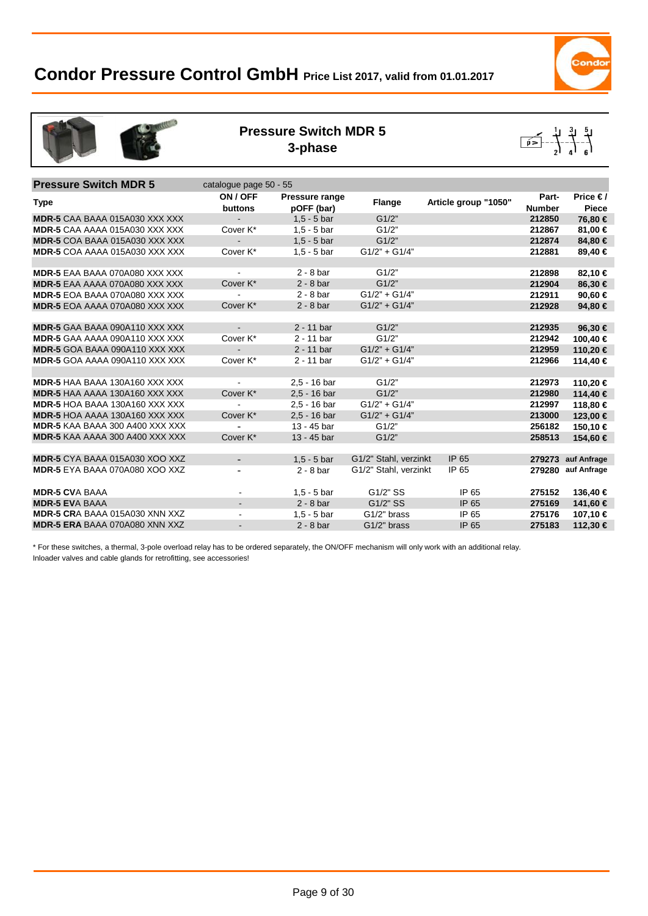

### **Pressure Switch MDR 5 3-phase**



| <b>Pressure Switch MDR 5</b>           | catalogue page 50 - 55   |                       |                       |                      |               |                    |
|----------------------------------------|--------------------------|-----------------------|-----------------------|----------------------|---------------|--------------------|
|                                        | ON / OFF                 | <b>Pressure range</b> |                       |                      | Part-         | Price $\in I$      |
| <b>Type</b>                            | <b>buttons</b>           | pOFF (bar)            | <b>Flange</b>         | Article group "1050" | <b>Number</b> | Piece              |
| <b>MDR-5 CAA BAAA 015A030 XXX XXX</b>  |                          | $1.5 - 5$ bar         | G1/2"                 |                      | 212850        | 76,80 €            |
| <b>MDR-5 CAA AAAA 015A030 XXX XXX</b>  | Cover <sub>K</sub> *     | $1.5 - 5$ bar         | G1/2"                 |                      | 212867        | 81,00 €            |
| <b>MDR-5 COA BAAA 015A030 XXX XXX</b>  |                          | $1.5 - 5$ bar         | G1/2"                 |                      | 212874        | 84,80 €            |
| <b>MDR-5 COA AAAA 015A030 XXX XXX</b>  | Cover K*                 | $1.5 - 5$ bar         | $G1/2" + G1/4"$       |                      | 212881        | 89.40 €            |
|                                        |                          |                       |                       |                      |               |                    |
| <b>MDR-5 EAA BAAA 070A080 XXX XXX</b>  |                          | $2 - 8$ bar           | G1/2"                 |                      | 212898        | 82,10 €            |
| <b>MDR-5 EAA AAAA 070A080 XXX XXX</b>  | Cover <sub>K</sub> *     | $2 - 8$ bar           | G1/2"                 |                      | 212904        | 86,30 €            |
| <b>MDR-5 EOA BAAA 070A080 XXX XXX</b>  |                          | $2 - 8$ bar           | $G1/2" + G1/4"$       |                      | 212911        | 90,60 $\in$        |
| <b>MDR-5 EOA AAAA 070A080 XXX XXX</b>  | Cover <sub>K</sub> *     | $2 - 8$ bar           | $G1/2" + G1/4"$       |                      | 212928        | 94.80 €            |
|                                        |                          |                       |                       |                      |               |                    |
| <b>MDR-5 GAA BAAA 090A110 XXX XXX</b>  | $\sim$                   | $2 - 11$ bar          | G1/2"                 |                      | 212935        | 96,30 $\in$        |
| <b>MDR-5 GAA AAAA 090A110 XXX XXX</b>  | Cover K*                 | 2 - 11 bar            | G1/2"                 |                      | 212942        | 100,40 €           |
| <b>MDR-5 GOA BAAA 090A110 XXX XXX</b>  | $\sim$                   | 2 - 11 bar            | $G1/2" + G1/4"$       |                      | 212959        | 110,20 €           |
| <b>MDR-5 GOA AAAA 090A110 XXX XXX</b>  | Cover <sub>K</sub> *     | 2 - 11 bar            | $G1/2" + G1/4"$       |                      | 212966        | 114,40 €           |
|                                        |                          |                       |                       |                      |               |                    |
| <b>MDR-5 HAA BAAA 130A160 XXX XXX</b>  |                          | $2.5 - 16$ bar        | G1/2"                 |                      | 212973        | 110,20 €           |
| <b>MDR-5 HAA AAAA 130A160 XXX XXX</b>  | Cover <sub>K</sub> *     | $2.5 - 16$ bar        | G1/2"                 |                      | 212980        | 114,40 €           |
| <b>MDR-5 HOA BAAA 130A160 XXX XXX</b>  |                          | $2.5 - 16$ bar        | $G1/2" + G1/4"$       |                      | 212997        | 118,80 €           |
| <b>MDR-5 HOA AAAA 130A160 XXX XXX</b>  | Cover <sub>K*</sub>      | $2.5 - 16$ bar        | $G1/2" + G1/4"$       |                      | 213000        | 123,00 €           |
| <b>MDR-5 KAA BAAA 300 A400 XXX XXX</b> |                          | 13 - 45 bar           | G1/2"                 |                      | 256182        | 150,10 €           |
| <b>MDR-5 KAA AAAA 300 A400 XXX XXX</b> | Cover <sub>K</sub> *     | 13 - 45 bar           | G1/2"                 |                      | 258513        | 154,60 €           |
|                                        |                          |                       |                       |                      |               |                    |
| <b>MDR-5 CYA BAAA 015A030 XOO XXZ</b>  | $\overline{\phantom{a}}$ | $1.5 - 5$ bar         | G1/2" Stahl, verzinkt | IP 65                | 279273        | auf Anfrage        |
| <b>MDR-5 EYA BAAA 070A080 XOO XXZ</b>  |                          | $2 - 8$ bar           | G1/2" Stahl, verzinkt | IP 65                |               | 279280 auf Anfrage |
|                                        |                          |                       |                       |                      |               |                    |
| <b>MDR-5 CVA BAAA</b>                  |                          | $1.5 - 5$ bar         | $G1/2"$ SS            | IP 65                | 275152        | 136,40 €           |
| <b>MDR-5 EVA BAAA</b>                  |                          | $2 - 8$ bar           | G1/2" SS              | IP 65                | 275169        | 141,60 €           |
| <b>MDR-5 CRA BAAA 015A030 XNN XXZ</b>  |                          | $1.5 - 5$ bar         | G1/2" brass           | IP 65                | 275176        | 107,10 €           |
| <b>MDR-5 ERA BAAA 070A080 XNN XXZ</b>  |                          | $2 - 8$ bar           | G1/2" brass           | IP 65                | 275183        | 112,30 €           |
|                                        |                          |                       |                       |                      |               |                    |

\* For these switches, a thermal, 3-pole overload relay has to be ordered separately, the ON/OFF mechanism will only work with an additional relay. Inloader valves and cable glands for retrofitting, see accessories!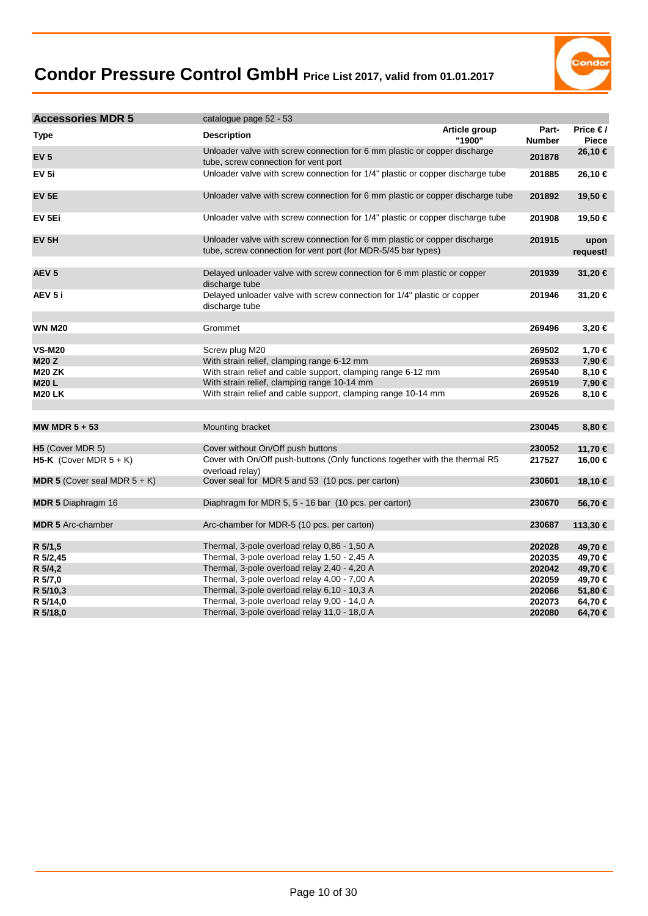

| <b>Accessories MDR 5</b>               | catalogue page 52 - 53                                                                                                                     |                         |                        |                               |
|----------------------------------------|--------------------------------------------------------------------------------------------------------------------------------------------|-------------------------|------------------------|-------------------------------|
| <b>Type</b>                            | <b>Description</b>                                                                                                                         | Article group<br>"1900" | Part-<br><b>Number</b> | Price $\in$ /<br><b>Piece</b> |
| <b>EV 5</b>                            | Unloader valve with screw connection for 6 mm plastic or copper discharge<br>tube, screw connection for vent port                          |                         | 201878                 | 26,10 €                       |
| EV <sub>5i</sub>                       | Unloader valve with screw connection for 1/4" plastic or copper discharge tube                                                             |                         | 201885                 | 26,10 €                       |
| EV <sub>5E</sub>                       | Unloader valve with screw connection for 6 mm plastic or copper discharge tube                                                             |                         | 201892                 | 19,50 €                       |
| EV <sub>5Ei</sub>                      | Unloader valve with screw connection for 1/4" plastic or copper discharge tube                                                             |                         | 201908                 | 19,50 €                       |
| EV <sub>5H</sub>                       | Unloader valve with screw connection for 6 mm plastic or copper discharge<br>tube, screw connection for vent port (for MDR-5/45 bar types) |                         | 201915                 | upon<br>request!              |
| AEV <sub>5</sub>                       | Delayed unloader valve with screw connection for 6 mm plastic or copper<br>discharge tube                                                  |                         | 201939                 | 31,20 €                       |
| AEV 5 i                                | Delayed unloader valve with screw connection for 1/4" plastic or copper<br>discharge tube                                                  |                         | 201946                 | 31,20 €                       |
|                                        |                                                                                                                                            |                         |                        |                               |
| <b>WN M20</b>                          | Grommet                                                                                                                                    |                         | 269496                 | $3,20 \in$                    |
| <b>VS-M20</b>                          | Screw plug M20                                                                                                                             |                         | 269502                 | 1,70 €                        |
| <b>M20Z</b>                            | With strain relief, clamping range 6-12 mm                                                                                                 |                         | 269533                 | 7,90 €                        |
| <b>M20 ZK</b>                          | With strain relief and cable support, clamping range 6-12 mm                                                                               |                         | 269540                 | 8,10€                         |
| <b>M20L</b>                            | With strain relief, clamping range 10-14 mm                                                                                                |                         | 269519                 | 7,90 €                        |
| <b>M20 LK</b>                          | With strain relief and cable support, clamping range 10-14 mm                                                                              |                         | 269526                 | 8,10 €                        |
|                                        |                                                                                                                                            |                         |                        |                               |
|                                        |                                                                                                                                            |                         |                        |                               |
| MW MDR $5 + 53$                        | <b>Mounting bracket</b>                                                                                                                    |                         | 230045                 | $8,80 \in$                    |
|                                        |                                                                                                                                            |                         |                        |                               |
| H5 (Cover MDR 5)                       | Cover without On/Off push buttons                                                                                                          |                         | 230052                 | 11,70 €                       |
| H5-K (Cover MDR $5 + K$ )              | Cover with On/Off push-buttons (Only functions together with the thermal R5<br>overload relay)                                             |                         | 217527                 | 16,00 €                       |
| <b>MDR 5</b> (Cover seal MDR $5 + K$ ) | Cover seal for MDR 5 and 53 (10 pcs. per carton)                                                                                           |                         | 230601                 | 18,10 €                       |
| <b>MDR 5 Diaphragm 16</b>              | Diaphragm for MDR 5, 5 - 16 bar (10 pcs. per carton)                                                                                       |                         | 230670                 | 56,70 €                       |
| <b>MDR 5 Arc-chamber</b>               | Arc-chamber for MDR-5 (10 pcs. per carton)                                                                                                 |                         | 230687                 | 113,30 €                      |
| R 5/1,5                                | Thermal, 3-pole overload relay 0,86 - 1,50 A                                                                                               |                         | 202028                 | 49,70 €                       |
| R 5/2,45                               | Thermal, 3-pole overload relay 1,50 - 2,45 A                                                                                               |                         | 202035                 | 49,70 €                       |
| R 5/4,2                                | Thermal, 3-pole overload relay 2,40 - 4,20 A                                                                                               |                         | 202042                 | 49,70 €                       |
| R 5/7,0                                | Thermal, 3-pole overload relay 4,00 - 7,00 A                                                                                               |                         | 202059                 | 49,70 €                       |
| R 5/10,3                               | Thermal, 3-pole overload relay 6,10 - 10,3 A                                                                                               |                         | 202066                 | 51,80 €                       |
| R 5/14,0                               | Thermal, 3-pole overload relay 9,00 - 14,0 A                                                                                               |                         | 202073                 | 64,70 €                       |
| R 5/18,0                               | Thermal, 3-pole overload relay 11,0 - 18,0 A                                                                                               |                         | 202080                 | 64,70 €                       |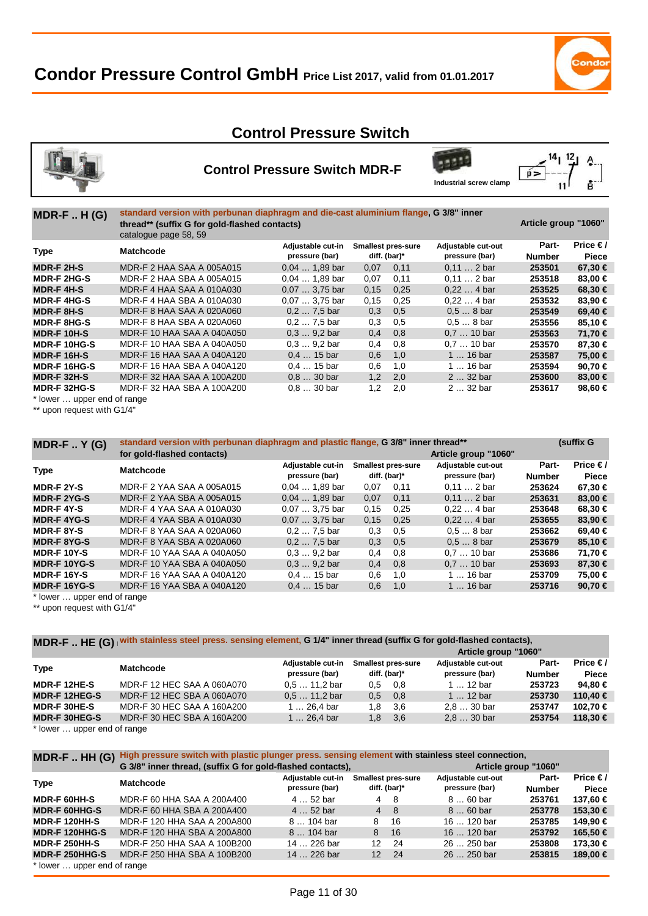

## **Control Pressure Switch**



#### **Control Pressure Switch MDR-F**

55813  $p >$ **Industrial screw clamp**

 $14_1$   $12_1$ Ą.

|                                                    | standard version with perbunan diaphragm and die-cast aluminium flange, G 3/8" inner |                                     |                                           |                                      |                        |                        |
|----------------------------------------------------|--------------------------------------------------------------------------------------|-------------------------------------|-------------------------------------------|--------------------------------------|------------------------|------------------------|
| $MDR-F$ $H(G)$                                     | thread** (suffix G for gold-flashed contacts)<br>catalogue page 58, 59               |                                     |                                           |                                      | Article group "1060"   |                        |
| Type                                               | <b>Matchcode</b>                                                                     | Adjustable cut-in<br>pressure (bar) | <b>Smallest pres-sure</b><br>diff. (bar)* | Adjustable cut-out<br>pressure (bar) | Part-<br><b>Number</b> | Price $\in I$<br>Piece |
| <b>MDR-F 2H-S</b>                                  | MDR-F 2 HAA SAA A 005A015                                                            | $0.04$ 1.89 bar                     | 0,07                                      | $0.112$ bar<br>0,11                  | 253501                 | 67,30 €                |
| <b>MDR-F 2HG-S</b>                                 | MDR-F 2 HAA SBA A 005A015                                                            | $0.04$ 1.89 bar                     | 0,07                                      | 0,11<br>$0.112$ bar                  | 253518                 | $83,00 \in$            |
| <b>MDR-F4H-S</b>                                   | MDR-F 4 HAA SAA A 010A030                                                            | $0.073.75$ bar                      | 0,15                                      | 0,25<br>$0.224$ bar                  | 253525                 | $68,30 \in$            |
| <b>MDR-F4HG-S</b>                                  | MDR-F 4 HAA SBA A 010A030                                                            | $0.073.75$ bar                      | 0,15                                      | 0,25<br>$0.224$ bar                  | 253532                 | 83,90 €                |
| <b>MDR-F 8H-S</b>                                  | MDR-F 8 HAA SAA A 020A060                                                            | $0.27.5$ bar                        | 0,3                                       | $0.58$ bar<br>0,5                    | 253549                 | 69,40 €                |
| <b>MDR-F 8HG-S</b>                                 | MDR-F 8 HAA SBA A 020A060                                                            | $0.27.5$ bar                        | 0,3                                       | 0,5<br>$0.58$ bar                    | 253556                 | 85,10 €                |
| <b>MDR-F10H-S</b>                                  | MDR-F 10 HAA SAA A 040A050                                                           | $0.39.2$ bar                        | 0,4                                       | $0.710$ bar<br>0,8                   | 253563                 | 71,70 €                |
| <b>MDR-F10HG-S</b>                                 | MDR-F 10 HAA SBA A 040A050                                                           | $0.39.2$ bar                        | 0,4<br>0,8                                | $0.710$ bar                          | 253570                 | 87,30 €                |
| <b>MDR-F16H-S</b>                                  | MDR-F 16 HAA SAA A 040A120                                                           | $0.415$ bar                         | 0,6                                       | 1  16 bar<br>1,0                     | 253587                 | 75,00 €                |
| <b>MDR-F16HG-S</b>                                 | MDR-F 16 HAA SBA A 040A120                                                           | $0.415$ bar                         | 0,6                                       | 1  16 bar<br>1,0                     | 253594                 | 90,70 €                |
| <b>MDR-F 32H-S</b>                                 | MDR-F 32 HAA SAA A 100A200                                                           | $0.830$ bar                         | 1,2<br>2,0                                | 2  32 bar                            | 253600                 | $83,00 \in$            |
| <b>MDR-F 32HG-S</b><br>* lower  upper end of range | MDR-F 32 HAA SBA A 100A200                                                           | $0.830$ bar                         | 1,2<br>2,0                                | 2  32 bar                            | 253617                 | $98,60 \in$            |
|                                                    |                                                                                      |                                     |                                           |                                      |                        |                        |

upon request with G1/4"

| $MDR-F$ $Y(G)$     | standard version with perbunan diaphragm and plastic flange, G 3/8" inner thread**<br>for gold-flashed contacts) |                                     |                                           |      |                                                              |                        | (suffix G              |
|--------------------|------------------------------------------------------------------------------------------------------------------|-------------------------------------|-------------------------------------------|------|--------------------------------------------------------------|------------------------|------------------------|
| <b>Type</b>        | <b>Matchcode</b>                                                                                                 | Adjustable cut-in<br>pressure (bar) | <b>Smallest pres-sure</b><br>diff. (bar)* |      | Article group "1060"<br>Adjustable cut-out<br>pressure (bar) | Part-<br><b>Number</b> | Price $\in I$<br>Piece |
| <b>MDR-F 2Y-S</b>  | MDR-F 2 YAA SAA A 005A015                                                                                        | $0.04$ 1.89 bar                     | 0.07                                      | 0.11 | $0.11$ 2 bar                                                 | 253624                 | 67,30 €                |
| <b>MDR-F 2YG-S</b> | MDR-F 2 YAA SBA A 005A015                                                                                        | $0.04$ 1.89 bar                     | 0,07                                      | 0,11 | $0.11$ 2 bar                                                 | 253631                 | $83,00 \in$            |
| <b>MDR-F4Y-S</b>   | MDR-F 4 YAA SAA A 010A030                                                                                        | $0.07$ 3.75 bar                     | 0,15                                      | 0.25 | $0.224$ bar                                                  | 253648                 | $68.30 \in$            |
| <b>MDR-F4YG-S</b>  | MDR-F 4 YAA SBA A 010A030                                                                                        | $0.07$ 3.75 bar                     | 0,15                                      | 0,25 | $0.224$ bar                                                  | 253655                 | $83,90 \in$            |
| <b>MDR-F8Y-S</b>   | MDR-F 8 YAA SAA A 020A060                                                                                        | $0.27.5$ bar                        | 0,3                                       | 0,5  | $0.58$ bar                                                   | 253662                 | 69.40 €                |
| <b>MDR-F 8YG-S</b> | MDR-F 8 YAA SBA A 020A060                                                                                        | $0.27.5$ bar                        | 0,3                                       | 0.5  | $0.58$ bar                                                   | 253679                 | $85,10 \in$            |
| <b>MDR-F10Y-S</b>  | MDR-F 10 YAA SAA A 040A050                                                                                       | $0.39.2$ bar                        | 0,4                                       | 0.8  | $0.710$ bar                                                  | 253686                 | 71.70 €                |
| <b>MDR-F10YG-S</b> | MDR-F 10 YAA SBA A 040A050                                                                                       | $0.39.2$ bar                        | 0,4                                       | 0.8  | $0.710$ bar                                                  | 253693                 | 87,30 €                |
| <b>MDR-F16Y-S</b>  | MDR-F 16 YAA SAA A 040A120                                                                                       | $0.415$ bar                         | 0,6                                       | 1,0  | 1  16 bar                                                    | 253709                 | 75,00 €                |
| <b>MDR-F16YG-S</b> | MDR-F 16 YAA SBA A 040A120                                                                                       | $0.415$ bar                         | 0,6                                       | 1,0  | 1  16 bar                                                    | 253716                 | 90,70 $\in$            |
|                    |                                                                                                                  |                                     |                                           |      |                                                              |                        |                        |

lower ... upper end of range

\*\* upon request with G1/4"

#### **MDR-F .. HE (G)** with stainless steel press. sensing element, G 1/4" inner thread (suffix G for gold-flashed contacts),

|                                                                                 |                            |                                     |                                           |                                      | Article group "1060"   |                        |  |  |  |
|---------------------------------------------------------------------------------|----------------------------|-------------------------------------|-------------------------------------------|--------------------------------------|------------------------|------------------------|--|--|--|
| <b>Type</b>                                                                     | Matchcode                  | Adjustable cut-in<br>pressure (bar) | <b>Smallest pres-sure</b><br>diff. (bar)* | Adjustable cut-out<br>pressure (bar) | Part-<br><b>Number</b> | Price $\in I$<br>Piece |  |  |  |
| MDR-F 12HE-S                                                                    | MDR-F 12 HEC SAA A 060A070 | $0.511.2$ bar                       | 0.8<br>0.5                                | 1  12 bar                            | 253723                 | 94.80 €                |  |  |  |
| <b>MDR-F12HEG-S</b>                                                             | MDR-F 12 HEC SBA A 060A070 | $0.511.2$ bar                       | 0.5 <sub>1</sub><br>0.8                   | 1  12 bar                            | 253730                 | 110.40 €               |  |  |  |
| <b>MDR-F 30HE-S</b>                                                             | MDR-F 30 HEC SAA A 160A200 | 1  26.4 bar                         | 3.6<br>1.8                                | $2.830$ bar                          | 253747                 | 102.70 €               |  |  |  |
| <b>MDR-F 30HEG-S</b>                                                            | MDR-F 30 HEC SBA A 160A200 | 1  26,4 bar                         | 1,8<br>3,6                                | $2.830$ bar                          | 253754                 | 118,30 €               |  |  |  |
| the contract of the contract of the contract of the contract of the contract of |                            |                                     |                                           |                                      |                        |                        |  |  |  |

lower ... upper end of range

| MDR-F  HH (G) High pressure switch with plastic plunger press. sensing element with stainless steel connection, |                      |
|-----------------------------------------------------------------------------------------------------------------|----------------------|
| G 3/8" inner thread, (suffix G for gold-flashed contacts),                                                      | "1060" Article group |

| <b>Type</b>                 | <b>Matchcode</b>            | Adjustable cut-in<br>pressure (bar) | <b>Smallest pres-sure</b><br>diff. (bar)* | Adjustable cut-out<br>pressure (bar) | Part-<br><b>Number</b> | Price $\in I$<br><b>Piece</b> |
|-----------------------------|-----------------------------|-------------------------------------|-------------------------------------------|--------------------------------------|------------------------|-------------------------------|
| <b>MDR-F 60HH-S</b>         | MDR-F 60 HHA SAA A 200A400  | 4  52 bar                           | 48                                        | 8  60 bar                            | 253761                 | 137.60 €                      |
| <b>MDR-F 60HHG-S</b>        | MDR-F 60 HHA SBA A 200A400  | 4  52 bar                           | $4 \quad 8$                               | 8  60 bar                            | 253778                 | 153.30 €                      |
| <b>MDR-F120HH-S</b>         | MDR-F 120 HHA SAA A 200A800 | 8  104 bar                          | 16<br>8                                   | 16  120 bar                          | 253785                 | 149.90 €                      |
| <b>MDR-F120HHG-S</b>        | MDR-F 120 HHA SBA A 200A800 | 8  104 bar                          | 16<br>8                                   | $16120$ bar                          | 253792                 | 165.50 €                      |
| <b>MDR-F 250HH-S</b>        | MDR-F 250 HHA SAA A 100B200 | 14  226 bar                         | 12<br>-24                                 | 26  250 bar                          | 253808                 | 173.30 €                      |
| <b>MDR-F 250HHG-S</b>       | MDR-F 250 HHA SBA A 100B200 | 14  226 bar                         | 12 <sup>2</sup><br>-24                    | 26  250 bar                          | 253815                 | 189,00 €                      |
| * lower  upper end of range |                             |                                     |                                           |                                      |                        |                               |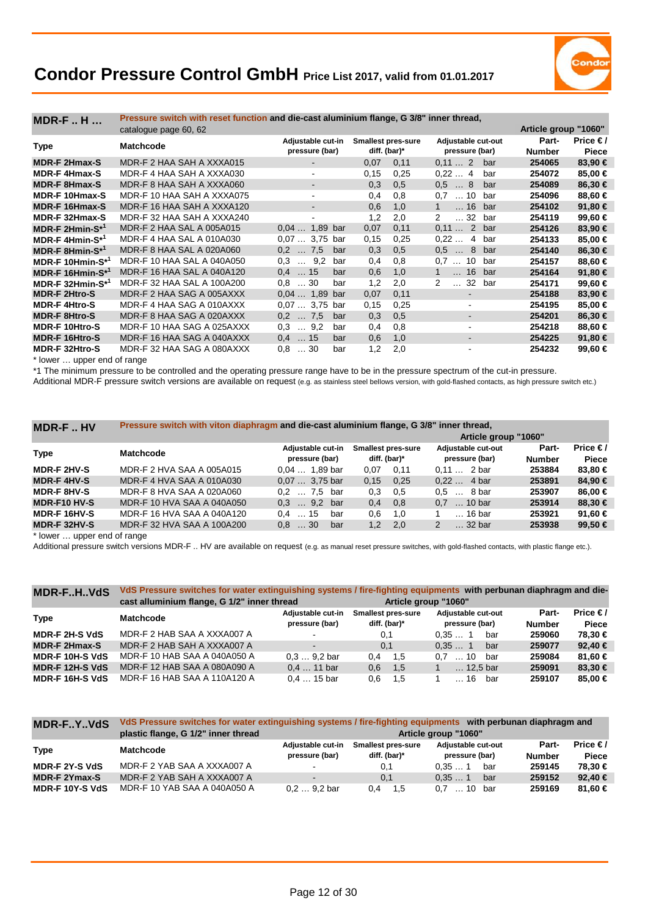

**MDR-F .. H …** 

**Pressure switch with reset function and die-cast aluminium flange, G 3/8" inner thread,** 

|                                  | catalogue page 60, 62      |                            |                           |                                    | Article group "1060" |               |
|----------------------------------|----------------------------|----------------------------|---------------------------|------------------------------------|----------------------|---------------|
| <b>Type</b>                      | <b>Matchcode</b>           | Adjustable cut-in          | <b>Smallest pres-sure</b> | Adjustable cut-out                 | Part-                | Price $\in I$ |
|                                  |                            | pressure (bar)             | diff. (bar)*              | pressure (bar)                     | <b>Number</b>        | Piece         |
| <b>MDR-F 2Hmax-S</b>             | MDR-F 2 HAA SAH A XXXA015  | $\blacksquare$             | 0,07<br>0,11              | 0,112<br>bar                       | 254065               | 83,90 €       |
| <b>MDR-F4Hmax-S</b>              | MDR-F 4 HAA SAH A XXXA030  | $\sim$                     | 0,15<br>0,25              | 0.224<br>bar                       | 254072               | 85,00 €       |
| <b>MDR-F 8Hmax-S</b>             | MDR-F 8 HAA SAH A XXXA060  | $\sim$                     | 0,3<br>0,5                | $0,5$ 8<br>bar                     | 254089               | 86,30 €       |
| <b>MDR-F10Hmax-S</b>             | MDR-F 10 HAA SAH A XXXA075 | $\sim$                     | 0,8<br>0,4                | 0,7<br>$\dots$ 10<br>bar           | 254096               | 88,60 €       |
| <b>MDR-F16Hmax-S</b>             | MDR-F 16 HAA SAH A XXXA120 | $\blacksquare$             | 0,6<br>1,0                | $\dots$ 16<br>1<br>bar             | 254102               | 91,80 $\in$   |
| <b>MDR-F 32Hmax-S</b>            | MDR-F 32 HAA SAH A XXXA240 | $\blacksquare$             | 1,2<br>2,0                | 2<br>$\dots$ 32<br>bar             | 254119               | 99,60 $\in$   |
| MDR-F 2Hmin- $S^*$ <sup>1</sup>  | MDR-F 2 HAA SAL A 005A015  | $0.04$ 1.89 bar            | 0,07<br>0,11              | $0,11$ 2<br>bar                    | 254126               | 83,90 €       |
| MDR-F 4Hmin- $S^*$ <sup>1</sup>  | MDR-F 4 HAA SAL A 010A030  | $0.07$ 3.75 bar            | 0,15<br>0,25              | 0.22<br>4<br>bar                   | 254133               | 85,00 €       |
| MDR-F 8Hmin- $S^*$ <sup>1</sup>  | MDR-F 8 HAA SAL A 020A060  | $0.2$ 7.5<br>bar           | 0,3<br>0,5                | $0.5$ 8<br>bar                     | 254140               | 86,30 €       |
| MDR-F 10Hmin- $S^*$ <sup>1</sup> | MDR-F 10 HAA SAL A 040A050 | $\ldots$ 9.2<br>0.3<br>bar | 0,4<br>0,8                | $0.7$ 10<br>bar                    | 254157               | 88,60 €       |
| MDR-F 16Hmin- $S^*$ <sup>1</sup> | MDR-F 16 HAA SAL A 040A120 | $\dots$ 15<br>0,4<br>bar   | 0,6<br>1,0                | $\ldots$ 16<br>$\mathbf{1}$<br>bar | 254164               | 91,80 €       |
| MDR-F 32Hmin- $S^*$ <sup>1</sup> | MDR-F 32 HAA SAL A 100A200 | $\dots$ 30<br>0,8<br>bar   | 1,2<br>2,0                | $\ldots$ 32<br>2<br>bar            | 254171               | 99,60 $\in$   |
| <b>MDR-F 2Htro-S</b>             | MDR-F 2 HAA SAG A 005AXXX  | $0,04$ 1,89 bar            | 0,07<br>0,11              | $\blacksquare$                     | 254188               | 83,90 €       |
| <b>MDR-F 4Htro-S</b>             | MDR-F 4 HAA SAG A 010AXXX  | 0.073.75<br>bar            | 0,15<br>0,25              | $\blacksquare$                     | 254195               | 85,00 €       |
| <b>MDR-F 8Htro-S</b>             | MDR-F 8 HAA SAG A 020AXXX  | $0,2$ 7,5<br>bar           | 0,5<br>0,3                | $\blacksquare$                     | 254201               | 86,30 €       |
| <b>MDR-F10Htro-S</b>             | MDR-F 10 HAA SAG A 025AXXX | $\ldots$ 9.2<br>0,3<br>bar | 0,4<br>0,8                | ۰                                  | 254218               | 88,60 €       |
| <b>MDR-F16Htro-S</b>             | MDR-F 16 HAA SAG A 040AXXX | $\dots$ 15<br>0,4<br>bar   | 0,6<br>1,0                | $\blacksquare$                     | 254225               | 91,80 €       |
| <b>MDR-F 32Htro-S</b>            | MDR-F 32 HAA SAG A 080AXXX | 0,8<br>$\dots$ 30<br>bar   | 2,0<br>1,2                |                                    | 254232               | 99,60 €       |

\* lower … upper end of range

\*1 The minimum pressure to be controlled and the operating pressure range have to be in the pressure spectrum of the cut-in pressure.

Additional MDR-F pressure switch versions are available on request (e.g. as stainless steel bellows version, with gold-flashed contacts, as high pressure switch etc.)

#### **MDR-F .. HV Pressure switch with viton diaphragm and die-cast aluminium flange, G 3/8" inner thread,**

|                     |                            |                                     |                                           | "1060" Article group                 |                        |                        |
|---------------------|----------------------------|-------------------------------------|-------------------------------------------|--------------------------------------|------------------------|------------------------|
| <b>Type</b>         | <b>Matchcode</b>           | Adjustable cut-in<br>pressure (bar) | <b>Smallest pres-sure</b><br>diff. (bar)* | Adjustable cut-out<br>pressure (bar) | Part-<br><b>Number</b> | Price $\in I$<br>Piece |
| <b>MDR-F 2HV-S</b>  | MDR-F 2 HVA SAA A 005A015  | $0.04$ 1,89 bar                     | 0.07<br>0.11                              | $0.11$ 2 bar                         | 253884                 | $83.80 \in$            |
| <b>MDR-F4HV-S</b>   | MDR-F 4 HVA SAA A 010A030  | $0.07$ 3.75 bar                     | 0,15<br>0,25                              | $0.22$ 4 bar                         | 253891                 | $84.90 \in$            |
| <b>MDR-F 8HV-S</b>  | MDR-F 8 HVA SAA A 020A060  | $0.2$ 7.5 bar                       | 0,3<br>0,5                                | 8 bar<br>$0.5$                       | 253907                 | $86.00 \in$            |
| <b>MDR-F10 HV-S</b> | MDR-F 10 HVA SAA A 040A050 | $0.3$ 9.2 bar                       | 0,4<br>0,8                                | $0.7$ 10 bar                         | 253914                 | $88.30 \in$            |
| <b>MDR-F16HV-S</b>  | MDR-F 16 HVA SAA A 040A120 | $0.4 \dots 15$<br>bar               | 0.6<br>1,0                                | 16 bar                               | 253921                 | 91.60 €                |
| <b>MDR-F 32HV-S</b> | MDR-F 32 HVA SAA A 100A200 | $0.8$ 30<br>bar                     | 1,2<br>2,0                                | … 32 bar<br>2                        | 253938                 | 99,50 $\in$            |
|                     |                            |                                     |                                           |                                      |                        |                        |

\* lower … upper end of range

Additional pressure switch versions MDR-F .. HV are available on request (e.g. as manual reset pressure switches, with gold-flashed contacts, with plastic flange etc.).

| <b>MDR-FHVdS</b>      | VdS Pressure switches for water extinguishing systems / fire-fighting equipments with perbunan diaphragm and die-<br>cast alluminium flange, G 1/2" inner thread |                                     | Article group "1060"                      |                                      |                        |                        |
|-----------------------|------------------------------------------------------------------------------------------------------------------------------------------------------------------|-------------------------------------|-------------------------------------------|--------------------------------------|------------------------|------------------------|
| <b>Type</b>           | <b>Matchcode</b>                                                                                                                                                 | Adjustable cut-in<br>pressure (bar) | <b>Smallest pres-sure</b><br>diff. (bar)* | Adiustable cut-out<br>pressure (bar) | Part-<br><b>Number</b> | Price $\in I$<br>Piece |
| <b>MDR-F 2H-S VdS</b> | MDR-F 2 HAB SAA A XXXA007 A                                                                                                                                      | ٠                                   | 0.1                                       | 0.351<br>bar                         | 259060                 | 78.30 €                |
| <b>MDR-F 2Hmax-S</b>  | MDR-F 2 HAB SAH A XXXA007 A                                                                                                                                      | $\blacksquare$                      | 0,1                                       | 0.351<br>bar                         | 259077                 | 92.40 $\in$            |
| <b>MDR-F10H-SVdS</b>  | MDR-F 10 HAB SAA A 040A050 A                                                                                                                                     | $0.39.2$ bar                        | 0.4<br>1.5                                | $0.7 \dots 10$<br>bar                | 259084                 | 81.60 €                |
| <b>MDR-F12H-SVdS</b>  | MDR-F 12 HAB SAA A 080A090 A                                                                                                                                     | $0.411$ bar                         | 0.6<br>1.5                                | $\dots$ 12.5 bar                     | 259091                 | $83,30 \in$            |
| MDR-F 16H-S VdS       | MDR-F 16 HAB SAA A 110A120 A                                                                                                                                     | $0.415$ bar                         | 0.6<br>1,5                                | $\dots$ 16<br>bar                    | 259107                 | 85,00 €                |

| MDR-FYVdS             | plastic flange, G 1/2" inner thread | VdS Pressure switches for water extinguishing systems / fire-fighting equipments with perbunan diaphragm and<br>Article group "1060" |                                           |                                      |                        |                               |
|-----------------------|-------------------------------------|--------------------------------------------------------------------------------------------------------------------------------------|-------------------------------------------|--------------------------------------|------------------------|-------------------------------|
| <b>Type</b>           | Matchcode                           | Adjustable cut-in<br>pressure (bar)                                                                                                  | <b>Smallest pres-sure</b><br>diff. (bar)* | Adjustable cut-out<br>pressure (bar) | Part-<br><b>Number</b> | Price $\in I$<br><b>Piece</b> |
| <b>MDR-F 2Y-S VdS</b> | MDR-F 2 YAB SAA A XXXA007 A         | $\blacksquare$                                                                                                                       | 0.1                                       | 0.351<br>bar                         | 259145                 | 78.30 €                       |
| <b>MDR-F 2Ymax-S</b>  | MDR-F 2 YAB SAH A XXXA007 A         | $\sim$                                                                                                                               | 0.1                                       | 0.351<br>bar                         | 259152                 | 92.40 $\in$                   |
| <b>MDR-F10Y-SVdS</b>  | MDR-F 10 YAB SAA A 040A050 A        | $0.29.2$ bar                                                                                                                         | 0.4<br>1.5                                | $0.7$ 10 bar                         | 259169                 | $81.60 \in$                   |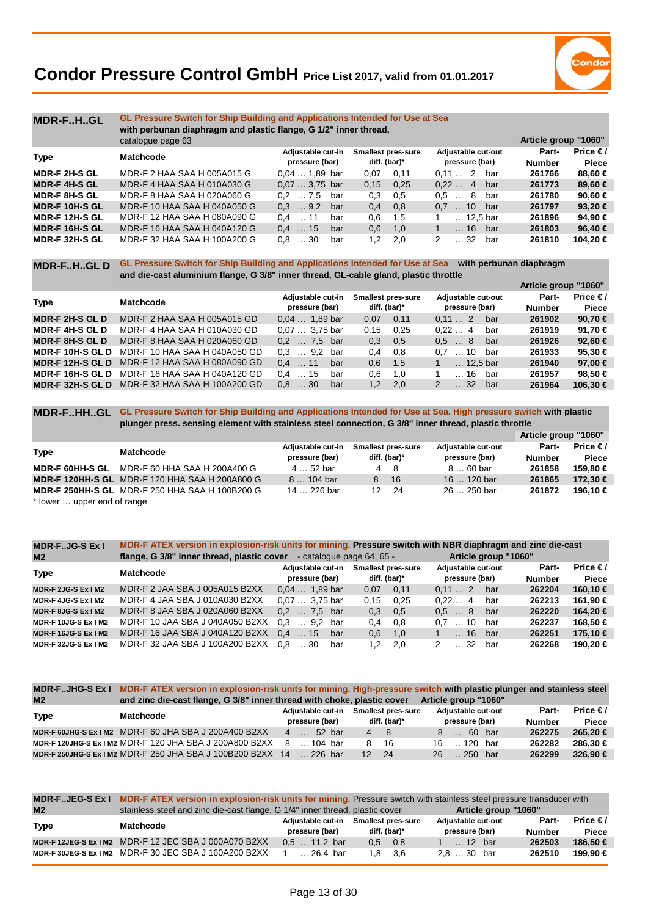

#### **MDR-F..H..GL GL Pressure Switch for Ship Building and Applications Intended for Use at Sea**  lastic flange, G 1/2" inner thread,

| with perbunan diaphragm and pl |  |  |  |
|--------------------------------|--|--|--|
|                                |  |  |  |

|                       | catalogue page 63            |                                     |                                           |                                      | Article group "1060"   |                               |
|-----------------------|------------------------------|-------------------------------------|-------------------------------------------|--------------------------------------|------------------------|-------------------------------|
| <b>Type</b>           | <b>Matchcode</b>             | Adjustable cut-in<br>pressure (bar) | <b>Smallest pres-sure</b><br>diff. (bar)* | Adjustable cut-out<br>pressure (bar) | Part-<br><b>Number</b> | Price $\in I$<br><b>Piece</b> |
| <b>MDR-F 2H-S GL</b>  | MDR-F 2 HAA SAA H 005A015 G  | $0.041.89$ bar                      | 0.11<br>0.07                              | $0.11$ 2 bar                         | 261766                 | $88.60 \in$                   |
| <b>MDR-F 4H-S GL</b>  | MDR-F 4 HAA SAA H 010A030 G  | $0.073.75$ bar                      | 0,25<br>0.15                              | 0.224<br>bar                         | 261773                 | $89.60 \in$                   |
| <b>MDR-F 8H-S GL</b>  | MDR-F 8 HAA SAA H 020A060 G  | $0.2$ 7.5 bar                       | 0.3<br>0.5                                | bar<br>$0.5$ 8                       | 261780                 | 90.60 $\in$                   |
| <b>MDR-F10H-SGL</b>   | MDR-F 10 HAA SAA H 040A050 G | $0.3$ 9.2 bar                       | 0,4<br>0.8                                | $0.7$ 10 bar                         | 261797                 | 93.20 $\in$                   |
| <b>MDR-F12H-SGL</b>   | MDR-F 12 HAA SAA H 080A090 G | … 11<br>0.4<br>bar                  | 0.6<br>1,5                                | 12.5 bar                             | 261896                 | $94.90 \in$                   |
| <b>MDR-F16H-SGL</b>   | MDR-F 16 HAA SAA H 040A120 G | $0.4 \dots 15$<br>bar               | 0.6 <sub>1</sub><br>1.0                   | $\dots$ 16<br>bar                    | 261803                 | 96.40 $\in$                   |
| <b>MDR-F 32H-S GL</b> | MDR-F 32 HAA SAA H 100A200 G | 30<br>0.8<br>bar<br>$\sim 100$      | 1,2<br>2.0                                | 2<br>$\ldots$ 32<br>bar              | 261810                 | 104.20 €                      |

#### **MDR-F..H..GL D**

**GL Pressure Switch for Ship Building and Applications Intended for Use at Sea with perbunan diaphragm and die-cast aluminium flange, G 3/8" inner thread, GL-cable gland, plastic throttle** 

|                        |                               |                                       |                                           |                                      | "1060" Article group   |                        |
|------------------------|-------------------------------|---------------------------------------|-------------------------------------------|--------------------------------------|------------------------|------------------------|
| <b>Type</b>            | <b>Matchcode</b>              | Adjustable cut-in<br>pressure (bar)   | <b>Smallest pres-sure</b><br>diff. (bar)* | Adiustable cut-out<br>pressure (bar) | Part-<br><b>Number</b> | Price $\in I$<br>Piece |
| <b>MDR-F 2H-S GL D</b> | MDR-F 2 HAA SAA H 005A015 GD  | $0.04$ 1.89 bar                       | 0.07<br>0.11                              | 0,112<br>bar                         | 261902                 | 90,70 $\in$            |
| <b>MDR-F 4H-S GL D</b> | MDR-F 4 HAA SAA H 010A030 GD  | $0.07$ 3.75 bar                       | 0.25<br>0.15                              | 0.224<br>bar                         | 261919                 | 91.70 €                |
| <b>MDR-F 8H-S GL D</b> | MDR-F 8 HAA SAA H 020A060 GD  | $0.2$ 7.5 bar                         | 0,3<br>0,5                                | $0.5$ 8<br>bar                       | 261926                 | 92.60 $\in$            |
| MDR-F 10H-S GL D       | MDR-F 10 HAA SAA H 040A050 GD | $0.3$ 9.2 bar                         | 0,8<br>0,4                                | $0.7 \dots 10$<br>bar                | 261933                 | 95,30 €                |
| MDR-F 12H-S GL D       | MDR-F 12 HAA SAA H 080A090 GD | … 11<br>0.4<br>bar                    | 0.6<br>1.5                                | … 12.5 bar                           | 261940                 | 97.00 $\in$            |
| MDR-F 16H-S GL D       | MDR-F 16 HAA SAA H 040A120 GD | … 15<br>0.4<br>bar                    | 0.6<br>1,0                                | … 16<br>bar                          | 261957                 | 98.50 €                |
| MDR-F 32H-S GL D       | MDR-F 32 HAA SAA H 100A200 GD | $\dots$ 30<br>0.8 <sub>0</sub><br>bar | 1,2<br>2,0                                | $\dots$ 32<br>2<br>bar               | 261964                 | 106.30 €               |

#### **MDR-F..HH..GL GL Pressure Switch for Ship Building and Applications Intended for Use at Sea. High pressure switch with plastic plunger press. sensing element with stainless steel connection, G 3/8" inner thread, plastic throttle**

|                                       |                                                       |                                     |                                           |                                      | Article group "1060"   |                               |
|---------------------------------------|-------------------------------------------------------|-------------------------------------|-------------------------------------------|--------------------------------------|------------------------|-------------------------------|
| <b>Type</b>                           | Matchcode                                             | Adjustable cut-in<br>pressure (bar) | <b>Smallest pres-sure</b><br>diff. (bar)* | Adjustable cut-out<br>pressure (bar) | Part-<br><b>Number</b> | Price $\in I$<br><b>Piece</b> |
|                                       | <b>MDR-F 60HH-S GL MDR-F 60 HHA SAA H 200A400 G</b>   | 4  52 bar                           | 48                                        | 8 … 60 bar                           | 261858                 | 159.80 €                      |
|                                       | <b>MDR-F 120HH-S GL MDR-F 120 HHA SAA H 200A800 G</b> | 8  104 bar                          | 8<br>-16                                  | $16120$ bar                          | 261865                 | 172.30 €                      |
| $*$ lower $\equiv$ upper end of range | MDR-F 250HH-S GL MDR-F 250 HHA SAA H 100B200 G        | 14  226 bar                         | 12 <sup>1</sup><br>24                     | $26250$ bar                          | 261872                 | 196.10 €                      |

lower ... upper end of range

| <b>MDR-F., JG-S Ex I</b><br>M <sub>2</sub> | MDR-F ATEX version in explosion-risk units for mining. Pressure switch with NBR diaphragm and zinc die-cast<br>flange, G 3/8" inner thread, plastic cover | - catalogue page 64, 65 -           |                                           | Article group "1060"                 |                        |                        |
|--------------------------------------------|-----------------------------------------------------------------------------------------------------------------------------------------------------------|-------------------------------------|-------------------------------------------|--------------------------------------|------------------------|------------------------|
| <b>Type</b>                                | <b>Matchcode</b>                                                                                                                                          | Adjustable cut-in<br>pressure (bar) | <b>Smallest pres-sure</b><br>diff. (bar)* | Adjustable cut-out<br>pressure (bar) | Part-<br><b>Number</b> | Price $\in I$<br>Piece |
| MDR-F 2JG-S Ex I M2                        | MDR-F 2 JAA SBA J 005A015 B2XX                                                                                                                            | $0.04$ 1.89 bar                     | 0.11<br>0.07                              | $0,11$ 2<br>bar                      | 262204                 | 160,10 €               |
| MDR-F4JG-SEx IM2                           | MDR-F 4 JAA SBA J 010A030 B2XX                                                                                                                            | $0.07$ 3.75 bar                     | 0.25<br>0.15                              | 0.224<br>bar                         | 262213                 | 161.90 €               |
| MDR-F 8JG-S Ex I M2                        | MDR-F 8 JAA SBA J 020A060 B2XX                                                                                                                            | $0.2$ 7.5 bar                       | 0.3<br>0.5                                | $0.5$ 8<br>bar                       | 262220                 | 164.20 €               |
| MDR-F10JG-SExIM2                           | MDR-F 10 JAA SBA J 040A050 B2XX                                                                                                                           | 0.3<br>$\ldots$ 9.2 bar             | 0.8<br>0.4                                | $0.7 \dots 10$<br>bar                | 262237                 | 168.50 €               |
| MDR-F16JG-SExIM2                           | MDR-F 16 JAA SBA J 040A120 B2XX                                                                                                                           | 0.4<br>$\dots$ 15<br>bar            | 0.6<br>1.0                                | $\dots$ 16<br>bar                    | 262251                 | 175.10 €               |
| <b>MDR-F32JG-S Ex IM2</b>                  | MDR-F 32 JAA SBA J 100A200 B2XX                                                                                                                           | 0.8<br>30<br>bar                    | 1.2<br>2,0                                | 2<br>$\dots$ 32<br>bar               | 262268                 | 190.20 €               |

| <b>MDR-FJHG-S Ex I</b><br>M <sub>2</sub> | MDR-F ATEX version in explosion-risk units for mining. High-pressure switch with plastic plunger and stainless steel<br>and zinc die-cast flange, G 3/8" inner thread with choke, plastic cover |                                     |                                           | Article group "1060"                 |                        |                               |
|------------------------------------------|-------------------------------------------------------------------------------------------------------------------------------------------------------------------------------------------------|-------------------------------------|-------------------------------------------|--------------------------------------|------------------------|-------------------------------|
| <b>Type</b>                              | <b>Matchcode</b>                                                                                                                                                                                | Adjustable cut-in<br>pressure (bar) | <b>Smallest pres-sure</b><br>diff. (bar)* | Adiustable cut-out<br>pressure (bar) | Part-<br><b>Number</b> | Price $\in I$<br><b>Piece</b> |
|                                          | MDR-F 60JHG-S Ex I M2 MDR-F 60 JHA SBA J 200A400 B2XX                                                                                                                                           | 4  52 bar                           | $4 \quad 8$                               | 8  60 bar                            | 262275                 | 265.20 €                      |
|                                          | MDR-F120JHG-S Ex I M2 MDR-F120 JHA SBA J 200A800 B2XX                                                                                                                                           | $\dots$ 104 bar<br>8                | - 16<br>8                                 | 120 bar<br>16.                       | 262282                 | 286.30 €                      |
|                                          | MDR-F 250JHG-S Ex I M2 MDR-F 250 JHA SBA J 100B200 B2XX 14                                                                                                                                      | . 226 har                           | 24<br>12 <sup>°</sup>                     | 26  250 bar                          | 262299                 | 326,90 €                      |

| <b>MDR-FJEG-S Ex I</b> | MDR-F ATEX version in explosion-risk units for mining. Pressure switch with stainless steel pressure transducer with |                                     |                                           |                                      |                        |                        |
|------------------------|----------------------------------------------------------------------------------------------------------------------|-------------------------------------|-------------------------------------------|--------------------------------------|------------------------|------------------------|
| M <sub>2</sub>         | stainless steel and zinc die-cast flange, G 1/4" inner thread, plastic cover                                         |                                     |                                           | Article group "1060"                 |                        |                        |
| Type                   | Matchcode                                                                                                            | Adiustable cut-in<br>pressure (bar) | <b>Smallest pres-sure</b><br>diff. (bar)* | Adiustable cut-out<br>pressure (bar) | Part-<br><b>Number</b> | Price $\in I$<br>Piece |
|                        | MDR-F12JEG-S Ex I M2 MDR-F12 JEC SBA J060A070 B2XX                                                                   | $0.5$ 11.2 bar                      | $0.5 \quad 0.8$                           | … 12 bar                             | 262503                 | 186.50 €               |
|                        | MDR-F30JEG-S Ex IM2 MDR-F30 JEC SBA J160A200 B2XX                                                                    | $\dots$ 26.4 bar                    | $1.8$ $3.6$                               | 2.8  30 bar                          | 262510                 | 199.90 €               |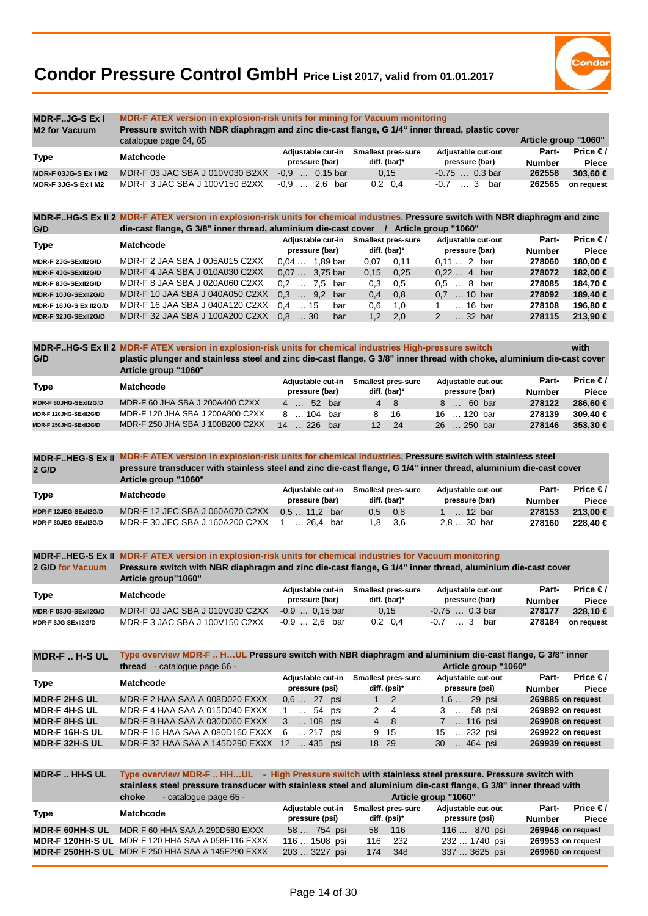

| <b>MDR-FJG-S Ex I</b><br><b>M2 for Vacuum</b> | MDR-F ATEX version in explosion-risk units for mining for Vacuum monitoring<br>Pressure switch with NBR diaphragm and zinc die-cast flange, G 1/4" inner thread, plastic cover |                                     |                                           |                                      |                        |                        |
|-----------------------------------------------|--------------------------------------------------------------------------------------------------------------------------------------------------------------------------------|-------------------------------------|-------------------------------------------|--------------------------------------|------------------------|------------------------|
|                                               | catalogue page 64, 65                                                                                                                                                          |                                     |                                           |                                      | Article group "1060"   |                        |
| Type                                          | <b>Matchcode</b>                                                                                                                                                               | Adjustable cut-in<br>pressure (bar) | <b>Smallest pres-sure</b><br>diff. (bar)* | Adjustable cut-out<br>pressure (bar) | Part-<br><b>Number</b> | Price $\in I$<br>Piece |
| MDR-F03JG-S Ex I M2                           | MDR-F 03 JAC SBA J 010V030 B2XX                                                                                                                                                | $0.15$ bar<br>$-0.9$<br>$\cdots$    | 0,15                                      | $-0.75$ 0.3 bar                      | 262558                 | $303,60 \in$           |
| MDR-F3JG-SEx IM2                              | MDR-F 3 JAC SBA J 100V150 B2XX                                                                                                                                                 | 2.6 bar<br>-0.9                     | $0.2 \quad 0.4$                           | $-0.7$ 3<br>bar                      | 262565                 | on request             |

MDR-F..HG-S Ex II 2 MDR-F ATEX version in explosion-risk units for chemical industrie<mark>s</mark>. Pressure switch with NBR diaphragm and zinc **G/D die-cast flange, G 3/8" inner thread, aluminium die-cast cover / Article group "1060"**

| Type                       | Matchcode                       | Adjustable cut-in            | <b>Smallest pres-sure</b> | Adjustable cut-out | Part-         | Price $\in I$ |
|----------------------------|---------------------------------|------------------------------|---------------------------|--------------------|---------------|---------------|
|                            |                                 | pressure (bar)               | diff. (bar)*              | pressure (bar)     | <b>Number</b> | <b>Piece</b>  |
| MDR-F 2JG-SExII2G/D        | MDR-F 2 JAA SBA J 005A015 C2XX  | $0.04$ 1.89 bar              | 0.07<br>0.11              | $0.11$ 2 bar       | 278060        | 180.00 €      |
| <b>MDR-F 4JG-SExII2G/D</b> | MDR-F 4 JAA SBA J 010A030 C2XX  | $0.07$ 3.75 bar              | 0.15<br>0,25              | $0.22$ 4 bar       | 278072        | 182.00 €      |
| MDR-F 8JG-SExII2G/D        | MDR-F 8 JAA SBA J 020A060 C2XX  | 0.2  7.5 bar                 | 0.3<br>0.5                | $0.5$ 8 bar        | 278085        | 184.70 €      |
| MDR-F 10JG-SExII2G/D       | MDR-F 10 JAA SBA J 040A050 C2XX | 0.3<br>$9.2$ bar<br>$\cdots$ | 0,4<br>0,8                | $0.7$ 10 bar       | 278092        | 189.40 €      |
| MDR-F 16JG-S Ex II2G/D     | MDR-F 16 JAA SBA J 040A120 C2XX | 0.4<br>… 15<br>bar           | $0,6$ 1,0                 | 16 bar             | 278108        | 196.80 €      |
| MDR-F 32JG-SExII2G/D       | MDR-F 32 JAA SBA J 100A200 C2XX | 0.8<br>$\dots$ 30<br>bar     | 1,2<br>$\sim$ 2.0         | $\ldots$ 32 bar    | 278115        | 213.90 €      |

**MDR-F..HG-S Ex II 2 MDR-F ATEX version in explosion-risk units for chemical industries High-pressure switch with G/D plastic plunger and stainless steel and zinc die-cast flange, G 3/8" inner thread with choke, aluminium die-cast cover Article group "1060"**

| Type                   | <b>Matchcode</b>                 | Adiustable cut-in      | <b>Smallest pres-sure</b> | Adiustable cut-out     | Part-         | Price $\in I$ |
|------------------------|----------------------------------|------------------------|---------------------------|------------------------|---------------|---------------|
|                        |                                  | pressure (bar)         | diff. (bar)*              | pressure (bar)         | <b>Number</b> | Piece         |
| MDR-F 60JHG-SExII2G/D  | MDR-F 60 JHA SBA J 200A400 C2XX  | … 52 bar               | - 8<br>4                  | 60 bar                 | 278122        | 286.60 €      |
| MDR-F 120JHG-SExII2G/D | MDR-F 120 JHA SBA J 200A800 C2XX | 8  104 bar             | 16                        | 16  120 bar            | 278139        | 309.40 $∈$    |
| MDR-F 250JHG-SExII2G/D | MDR-F 250 JHA SBA J 100B200 C2XX | 14<br>$\ldots$ 226 bar | $12 \overline{ }$<br>- 24 | $\ldots$ 250 bar<br>26 | 278146        | 353.30 €      |

| 2 G/D                 | MDR-FHEG-S Ex II MDR-F ATEX version in explosion-risk units for chemical industries, Pressure switch with stainless steel<br>pressure transducer with stainless steel and zinc die-cast flange, G 1/4" inner thread, aluminium die-cast cover<br>Article group "1060" |                                     |                                           |                                      |                        |                        |
|-----------------------|-----------------------------------------------------------------------------------------------------------------------------------------------------------------------------------------------------------------------------------------------------------------------|-------------------------------------|-------------------------------------------|--------------------------------------|------------------------|------------------------|
| <b>Type</b>           | Matchcode                                                                                                                                                                                                                                                             | Adjustable cut-in<br>pressure (bar) | <b>Smallest pres-sure</b><br>diff. (bar)* | Adjustable cut-out<br>pressure (bar) | Part-<br><b>Number</b> | Price $\in I$<br>Piece |
| MDR-F12JEG-SExII2G/D  | MDR-F 12 JEC SBA J 060A070 C2XX                                                                                                                                                                                                                                       | $0.511.2$ bar                       | $0.5$ 0.8                                 | 12 bar                               | 278153                 | 213.00 €               |
| MDR-F 30JEG-SExII2G/D | MDR-F 30 JEC SBA J 160A200 C2XX                                                                                                                                                                                                                                       | $\dots$ 26.4 bar                    | - 3.6<br>1.8                              | $2.830$ bar                          | 278160                 | 228.40 €               |

<code>MDR-F..HEG-S</code> Ex II  $\,$  MDR-F ATEX version in explosion-risk units for chemical industries for Vacuum monitoring

**2 G/D for Vacuum Pressure switch with NBR diaphragm and zinc die-cast flange, G 1/4" inner thread, aluminium die-cast cover** 

|                           | Article group"1060"             |                                     |                                           |                                      |                        |                        |
|---------------------------|---------------------------------|-------------------------------------|-------------------------------------------|--------------------------------------|------------------------|------------------------|
| Type                      | Matchcode                       | Adiustable cut-in<br>pressure (bar) | <b>Smallest pres-sure</b><br>diff. (bar)* | Adiustable cut-out<br>pressure (bar) | Part-<br><b>Number</b> | Price $\in I$<br>Piece |
| MDR-F 03JG-SExII2G/D      | MDR-F 03 JAC SBA J 010V030 C2XX | $-0.9$ 0.15 bar                     | 0.15                                      | $-0.75$ 0.3 bar                      | 278177                 | $328.10 \in$           |
| <b>MDR-F3JG-SExII2G/D</b> | MDR-F 3 JAC SBA J 100V150 C2XX  | $-0.9$ 2.6 bar                      | $0,2$ 0.4                                 | -0.7  3 bar                          | 278184                 | on request             |

**MDR-F .. H-S UL Type overview MDR-F .. H…UL Pressure switch with NBR diaphragm and aluminium die-cast flange, G 3/8" inner** 

|                       | - catalogue page 66 -<br>thread             |                                     |                                           | Article group "1060"                 |                                                         |
|-----------------------|---------------------------------------------|-------------------------------------|-------------------------------------------|--------------------------------------|---------------------------------------------------------|
| Type                  | Matchcode                                   | Adjustable cut-in<br>pressure (psi) | <b>Smallest pres-sure</b><br>diff. (psi)* | Adjustable cut-out<br>pressure (psi) | Price $\in I$<br>Part-<br><b>Number</b><br><b>Piece</b> |
| <b>MDR-F 2H-S UL</b>  | MDR-F 2 HAA SAA A 008D020 EXXX              | $0.627$ psi                         | $1 \quad 2$                               | $1.6$ 29 psi                         | 269885 on request                                       |
| <b>MDR-F 4H-S UL</b>  | MDR-F 4 HAA SAA A 015D040 EXXX              | 54 psi                              | 2 4                                       | 3  58 psi                            | 269892 on request                                       |
| <b>MDR-F 8H-S UL</b>  | MDR-F 8 HAA SAA A 030D060 EXXX              | 108 psi<br>3                        | 4 8                                       | 7  116 psi                           | 269908 on request                                       |
| <b>MDR-F 16H-S UL</b> | MDR-F 16 HAA SAA A 080D160 EXXX 6           | 217 psi                             | 9 15                                      | 232 psi<br>15                        | 269922 on request                                       |
| <b>MDR-F 32H-S UL</b> | MDR-F 32 HAA SAA A 145D290 EXXX 12  435 psi |                                     | 18 29                                     | … 464 psi<br>30                      | 269939 on request                                       |

**MDR-F .. HH-S UL Type Matchcode Matchcode Adjustable cut-in Adjustable** cut-in **pressure (psi) Smallest pres-sure diff. (psi)\* Adjustable cut-out pressure (psi) Part-Number Price € / Piece MDR-F 60HH-S UL** MDR-F 60 HHA SAA A 290D580 EXXX 58 ... 754 psi 58 116 116 ... 870 psi 269946 on request<br>**MDR-F 120HH-S UL** MDR-F 120 HHA SAA A 058E116 EXXX 116 ... 1508 psi 116 232 232 ... 1740 psi 269953 on request **MDR-F 120HH-S UL** MDR-F 120 HHA SAA A 058E116 EXXX 116 ... 1508 psi 116 232 232 ... 1740 psi 269953 on request<br>**MDR-F 250HH-S UL** MDR-F 250 HHA SAA A 145E290 EXXX 203 ... 3227 psi 174 348 337 ... 3625 psi 269960 on reques **MDR-F 250HH-S UL** MDR-F 250 HHA SAA A 145E290 EXXX 203 … 3227 psi 174 348 337 … 3625 psi **269960 on request Type overview MDR-F .. HH…UL - High Pressure switch with stainless steel pressure. Pressure switch with stainless steel pressure transducer with stainless steel and aluminium die-cast flange, G 3/8" inner thread with choke** - catalogue page 65 - **Article group "1060"**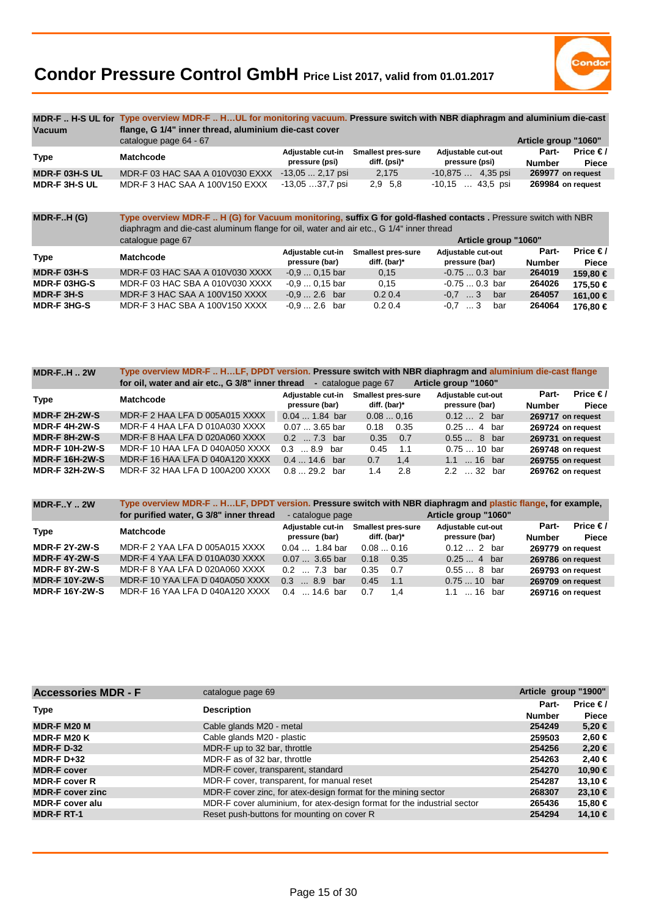

**MDR-F .. H-S UL for Type overview MDR-F .. H…UL for monitoring vacuum. Pressure switch with NBR diaphragm and aluminium die-cast Vacuum flange, G 1/4" inner thread, aluminium die-cast cover**

|                       | catalogue page 64 - 67          |                                     |                                           |                                      | Article group "1060"   |                               |
|-----------------------|---------------------------------|-------------------------------------|-------------------------------------------|--------------------------------------|------------------------|-------------------------------|
| Type                  | <b>Matchcode</b>                | Adjustable cut-in<br>pressure (psi) | <b>Smallest pres-sure</b><br>diff. (psi)* | Adjustable cut-out<br>pressure (psi) | Part-<br><b>Number</b> | Price $\in I$<br><b>Piece</b> |
| <b>MDR-F 03H-S UL</b> | MDR-F 03 HAC SAA A 010V030 EXXX | $-13.05$ 2.17 psi                   | 2,175                                     | $-10,875$ 4,35 psi                   | 269977 on request      |                               |
| <b>MDR-F 3H-S UL</b>  | MDR-F 3 HAC SAA A 100V150 EXXX  | -13,05 37,7 psi                     | $2.9$ 5.8                                 | $-10.15$ 43.5 psi                    | 269984 on request      |                               |

**MDR-F..H (G) Type overview MDR-F .. H (G) for Vacuum monitoring, suffix G for gold-flashed contacts .** Pressure switch with NBR diaphragm and die-cast aluminum flange for oil, water and air etc., G 1/4" inner thread catalogue page 67 **Article group "1060"**

| <b>Type</b>        | Matchcode                       | Adjustable cut-in<br>pressure (bar) | <b>Smallest pres-sure</b><br>diff. (bar)* | Adiustable cut-out<br>pressure (bar) | Part-<br><b>Number</b> | Price $\in I$<br><b>Piece</b> |
|--------------------|---------------------------------|-------------------------------------|-------------------------------------------|--------------------------------------|------------------------|-------------------------------|
| MDR-F03H-S         | MDR-F 03 HAC SAA A 010V030 XXXX | $-0.90.15$ bar                      | 0,15                                      | $-0.750.3$ bar                       | 264019                 | 159.80 €                      |
| <b>MDR-F03HG-S</b> | MDR-F 03 HAC SBA A 010V030 XXXX | $-0.90.15$ bar                      | 0.15                                      | $-0.750.3$ bar                       | 264026                 | 175.50 €                      |
| <b>MDR-F3H-S</b>   | MDR-F 3 HAC SAA A 100V150 XXXX  | $-0.92.6$ bar                       | 0.2 0.4                                   | $-0.7$ 3<br>bar                      | 264057                 | 161.00 €                      |
| <b>MDR-F3HG-S</b>  | MDR-F 3 HAC SBA A 100V150 XXXX  | $-0.92.6$<br>bar                    | 0.2 0.4                                   | $-0.7$ 3<br>bar                      | 264064                 | 176.80 €                      |

| <b>MDR-FH., 2W</b>    | Type overview MDR-F  HLF, DPDT version. Pressure switch with NBR diaphragm and aluminium die-cast flange<br>for oil, water and air etc., G 3/8" inner thread - catalogue page 67 |                                     |                                           | Article group "1060"                 |                                                         |
|-----------------------|----------------------------------------------------------------------------------------------------------------------------------------------------------------------------------|-------------------------------------|-------------------------------------------|--------------------------------------|---------------------------------------------------------|
| Type                  | <b>Matchcode</b>                                                                                                                                                                 | Adjustable cut-in<br>pressure (bar) | <b>Smallest pres-sure</b><br>diff. (bar)* | Adjustable cut-out<br>pressure (bar) | Price $\in I$<br>Part-<br><b>Number</b><br><b>Piece</b> |
| <b>MDR-F 2H-2W-S</b>  | MDR-F 2 HAA LFA D 005A015 XXXX                                                                                                                                                   | $0.041.84$ bar                      | 0.080.16                                  | $0.122$ bar                          | 269717 on request                                       |
| $MDR-F$ 4H-2W-S       | MDR-F 4 HAA LFA D 010A030 XXXX                                                                                                                                                   | $0.073.65$ bar                      | 0.18<br>0.35                              | $0.254$ bar                          | 269724 on request                                       |
| <b>MDR-F 8H-2W-S</b>  | MDR-F 8 HAA LFA D 020A060 XXXX                                                                                                                                                   | $0.2$ 7.3 bar                       | 0.35<br>0.7                               | $0.55$ 8 bar                         | 269731 on request                                       |
| <b>MDR-F 10H-2W-S</b> | MDR-F 10 HAA LFA D 040A050 XXXX                                                                                                                                                  | $0.3$ 8.9 bar                       | 0.45<br>$-1.1$                            | $0.7510$ bar                         | 269748 on request                                       |
| <b>MDR-F 16H-2W-S</b> | MDR-F 16 HAA LFA D 040A120 XXXX                                                                                                                                                  | $0.414.6$ bar                       | 0.7<br>1.4                                | $1.1$ 16 bar                         | 269755 on request                                       |
| <b>MDR-F 32H-2W-S</b> | MDR-F 32 HAA LFA D 100A200 XXXX                                                                                                                                                  | 0.829.2<br>har                      | 2.8<br>1.4                                | 2.2  32 bar                          | 269762 on request                                       |

| <b>MDR-FY 2W</b>      | Type overview MDR-F., HLF, DPDT version. Pressure switch with NBR diaphragm and plastic flange, for example,<br>for purified water, G 3/8" inner thread | - catalogue page                    |                                           | Article group "1060"                 |                                                         |
|-----------------------|---------------------------------------------------------------------------------------------------------------------------------------------------------|-------------------------------------|-------------------------------------------|--------------------------------------|---------------------------------------------------------|
| Type                  | <b>Matchcode</b>                                                                                                                                        | Adjustable cut-in<br>pressure (bar) | <b>Smallest pres-sure</b><br>diff. (bar)* | Adjustable cut-out<br>pressure (bar) | Price $\in I$<br>Part-<br><b>Number</b><br><b>Piece</b> |
| <b>MDR-F 2Y-2W-S</b>  | MDR-F 2 YAA LFA D 005A015 XXXX                                                                                                                          | $0.04$ 1.84 bar                     | 0.080.16                                  | $0.122$ bar                          | 269779 on request                                       |
| <b>MDR-F 4Y-2W-S</b>  | MDR-F 4 YAA LFA D 010A030 XXXX                                                                                                                          | $0.07$ 3.65 bar                     | 0.18<br>0.35                              | $0.254$ bar                          | 269786 on request                                       |
| <b>MDR-F 8Y-2W-S</b>  | MDR-F 8 YAA LFA D 020A060 XXXX                                                                                                                          | $0.2$ 7.3 bar                       | 0.35<br>0.7                               | $0.558$ bar                          | 269793 on request                                       |
| <b>MDR-F 10Y-2W-S</b> | MDR-F 10 YAA LFA D 040A050 XXXX                                                                                                                         | 0.3<br>… 8.9<br>bar                 | 0.45<br>$-1.1$                            | $0.7510$ bar                         | 269709 on request                                       |
| <b>MDR-F16Y-2W-S</b>  | MDR-F 16 YAA LFA D 040A120 XXXX                                                                                                                         | 0.4<br>14.6 bar                     | 0.7<br>1.4                                | $1.1 \dots 16$ bar                   | 269716 on request                                       |

| <b>Accessories MDR - F</b> | catalogue page 69                                                       | Article group "1900" |               |
|----------------------------|-------------------------------------------------------------------------|----------------------|---------------|
|                            | <b>Description</b>                                                      | Part-                | Price $\in I$ |
| <b>Type</b>                |                                                                         | <b>Number</b>        | Piece         |
| <b>MDR-F M20 M</b>         | Cable glands M20 - metal                                                | 254249               | $5,20 \in$    |
| <b>MDR-F M20 K</b>         | Cable glands M20 - plastic                                              | 259503               | $2,60 \in$    |
| <b>MDR-F D-32</b>          | MDR-F up to 32 bar, throttle                                            | 254256               | $2,20 \in$    |
| $MDR-F D+32$               | MDR-F as of 32 bar, throttle                                            | 254263               | 2.40 €        |
| <b>MDR-F cover</b>         | MDR-F cover, transparent, standard                                      | 254270               | 10,90 €       |
| <b>MDR-F cover R</b>       | MDR-F cover, transparent, for manual reset                              | 254287               | 13.10 €       |
| <b>MDR-F cover zinc</b>    | MDR-F cover zinc, for atex-design format for the mining sector          | 268307               | $23,10 \in$   |
| <b>MDR-F cover alu</b>     | MDR-F cover aluminium, for atex-design format for the industrial sector | 265436               | 15,80 €       |
| <b>MDR-F RT-1</b>          | Reset push-buttons for mounting on cover R                              | 254294               | 14,10 €       |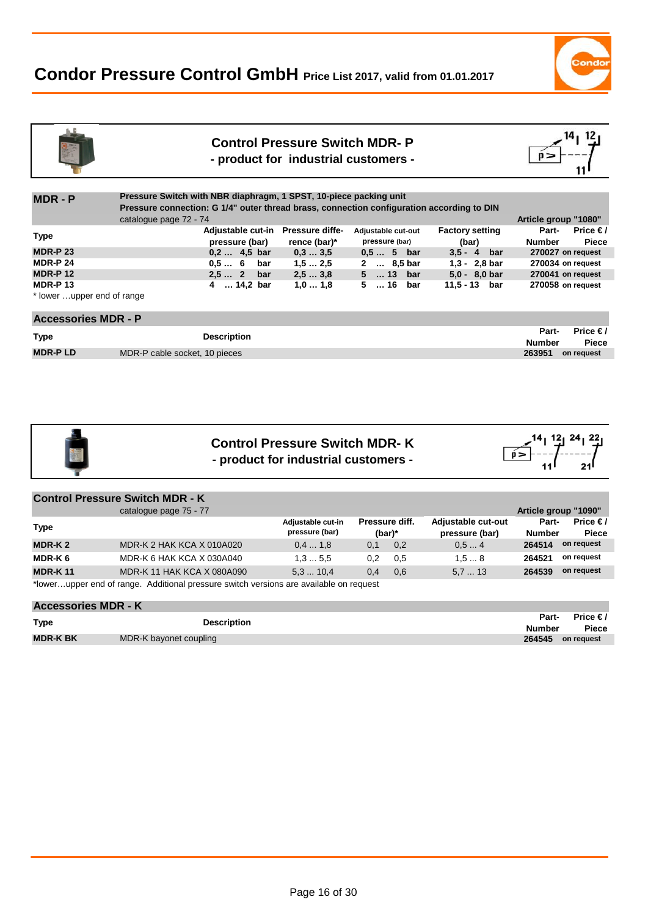

|              |                                                                                           | <b>Control Pressure Switch MDR- P</b><br>- product for industrial customers - |                    |                        |                      |               |
|--------------|-------------------------------------------------------------------------------------------|-------------------------------------------------------------------------------|--------------------|------------------------|----------------------|---------------|
|              |                                                                                           |                                                                               |                    |                        |                      |               |
| <b>MDR-P</b> | Pressure Switch with NBR diaphragm, 1 SPST, 10-piece packing unit                         |                                                                               |                    |                        |                      |               |
|              | Pressure connection: G 1/4" outer thread brass, connection configuration according to DIN |                                                                               |                    |                        |                      |               |
|              | catalogue page 72 - 74                                                                    |                                                                               |                    |                        | Article group "1080" |               |
| Type         | Adjustable cut-in                                                                         | <b>Pressure diffe-</b>                                                        | Adjustable cut-out | <b>Factory setting</b> | Part-                | Price $\in I$ |
|              | pressure (bar)                                                                            | rence (bar)*                                                                  | pressure (bar)     | (bar)                  | <b>Number</b>        | <b>Piece</b>  |

| - - - -         | pressure (bar)         | rence (bar)* | pressure (bar) | (bar)                   | Piec<br>Number    |
|-----------------|------------------------|--------------|----------------|-------------------------|-------------------|
| <b>MDR-P 23</b> | $0, 2, \ldots$ 4,5 bar | 0.33.5       | $0.5$ 5 bar    | $3.5 - 4$ bar           | 270027 on request |
| <b>MDR-P 24</b> | 0.56<br>bar            | 1.52.5       | 2  8.5 bar     | $1.3 - 2.8$ bar         | 270034 on request |
| <b>MDR-P 12</b> | bar<br>2.52            | 2.53.8       | 5  13 bar      | $5.0 - 8.0 \text{ bar}$ | 270041 on request |
| <b>MDR-P13</b>  | 4  14.2 bar            | 1.01.8       | 5  16 bar      | $11.5 - 13$<br>bar      | 270058 on request |
|                 |                        |              |                |                         |                   |

\* lower …upper end of range

| <b>Accessories MDR - P</b> |                               |                        |
|----------------------------|-------------------------------|------------------------|
| <b>Description</b>         |                               | Price €/<br>Part-      |
| <b>Type</b>                |                               | Piece<br><b>Number</b> |
| <b>MDR-PLD</b>             | MDR-P cable socket, 10 pieces | 263951<br>on request   |

|                                | <b>Control Pressure Switch MDR-K</b><br>- product for industrial customers - | 14, 12, 24, 22,<br>21 |
|--------------------------------|------------------------------------------------------------------------------|-----------------------|
| Control Processe Curitob MDD V |                                                                              |                       |

| Control Pressure Switch MDR - K                                                        |                            |                                     |                             |     |                                      |                        |                        |
|----------------------------------------------------------------------------------------|----------------------------|-------------------------------------|-----------------------------|-----|--------------------------------------|------------------------|------------------------|
|                                                                                        | catalogue page 75 - 77     |                                     |                             |     |                                      | Article group "1090"   |                        |
| <b>Type</b>                                                                            |                            | Adjustable cut-in<br>pressure (bar) | Pressure diff.<br>$(bar)^*$ |     | Adjustable cut-out<br>pressure (bar) | Part-<br><b>Number</b> | Price $\in I$<br>Piece |
| MDR-K2                                                                                 | MDR-K 2 HAK KCA X 010A020  | 0.41.8                              | 0.1                         | 0,2 | 0.54                                 | 264514                 | on request             |
| MDR-K 6                                                                                | MDR-K 6 HAK KCA X 030A040  | 1.35.5                              | 0.2                         | 0.5 | 1.58                                 | 264521                 | on request             |
| <b>MDR-K11</b>                                                                         | MDR-K 11 HAK KCA X 080A090 | 5.310.4                             | 0.4                         | 0.6 | 5.713                                | 264539                 | on request             |
| *lowerupper end of range. Additional pressure switch versions are available on request |                            |                                     |                             |     |                                      |                        |                        |

**Accessories MDR - K** 

| <b>Type</b>     | <b>Description</b>     | <b>Part-</b> | Price €/          |
|-----------------|------------------------|--------------|-------------------|
|                 |                        | Number       | Piece             |
| <b>MDR-K BK</b> | MDR-K bayonet coupling |              | 264545 on request |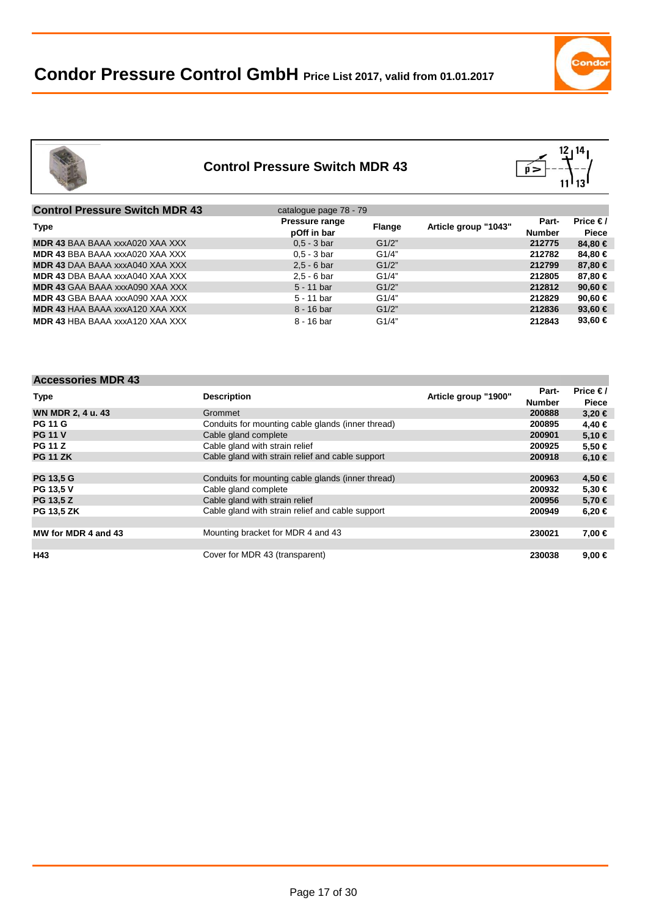



## **Control Pressure Switch MDR 43**

| 12 | 14             |
|----|----------------|
|    |                |
| л  | 3 <sup>1</sup> |

| <b>Control Pressure Switch MDR 43</b>  | catalogue page 78 - 79               |               |                      |                        |                        |
|----------------------------------------|--------------------------------------|---------------|----------------------|------------------------|------------------------|
| <b>Type</b>                            | <b>Pressure range</b><br>pOff in bar | <b>Flange</b> | Article group "1043" | Part-<br><b>Number</b> | Price $\in I$<br>Piece |
| <b>MDR 43 BAA BAAA xxxA020 XAA XXX</b> | $0.5 - 3 bar$                        | G1/2"         |                      | 212775                 | 84.80 €                |
| <b>MDR 43 BBA BAAA xxxA020 XAA XXX</b> | $0.5 - 3 \text{ bar}$                | G1/4"         |                      | 212782                 | 84,80 €                |
| <b>MDR 43 DAA BAAA xxxA040 XAA XXX</b> | $2.5 - 6$ bar                        | G1/2"         |                      | 212799                 | $87,80 \in$            |
| <b>MDR 43 DBA BAAA xxxA040 XAA XXX</b> | $2.5 - 6$ bar                        | G1/4"         |                      | 212805                 | 87,80 €                |
| <b>MDR 43 GAA BAAA xxxA090 XAA XXX</b> | $5 - 11$ bar                         | G1/2"         |                      | 212812                 | 90,60 $\in$            |
| <b>MDR 43 GBA BAAA xxxA090 XAA XXX</b> | $5 - 11$ bar                         | G1/4"         |                      | 212829                 | 90.60 $\in$            |
| <b>MDR 43 HAA BAAA xxxA120 XAA XXX</b> | $8 - 16$ bar                         | G1/2"         |                      | 212836                 | 93,60 $\epsilon$       |
| <b>MDR 43 HBA BAAA xxxA120 XAA XXX</b> | 8 - 16 bar                           | G1/4"         |                      | 212843                 | 93,60 $\in$            |

| <b>Accessories MDR 43</b> |                                                   |                      |               |               |
|---------------------------|---------------------------------------------------|----------------------|---------------|---------------|
| <b>Type</b>               | <b>Description</b>                                | Article group "1900" | Part-         | Price $\in I$ |
|                           |                                                   |                      | <b>Number</b> | Piece         |
| <b>WN MDR 2, 4 u. 43</b>  | Grommet                                           |                      | 200888        | $3,20 \in$    |
| <b>PG 11 G</b>            | Conduits for mounting cable glands (inner thread) |                      | 200895        | 4,40 €        |
| <b>PG 11 V</b>            | Cable gland complete                              |                      | 200901        | 5,10€         |
| <b>PG 11 Z</b>            | Cable gland with strain relief                    |                      | 200925        | 5,50 €        |
| <b>PG 11 ZK</b>           | Cable gland with strain relief and cable support  |                      | 200918        | 6,10€         |
|                           |                                                   |                      |               |               |
| PG 13,5 G                 | Conduits for mounting cable glands (inner thread) |                      | 200963        | 4,50 €        |
| <b>PG 13.5 V</b>          | Cable gland complete                              |                      | 200932        | $5,30 \in$    |
| <b>PG 13.5 Z</b>          | Cable gland with strain relief                    |                      | 200956        | 5,70 €        |
| <b>PG 13.5 ZK</b>         | Cable gland with strain relief and cable support  |                      | 200949        | $6,20 \in$    |
|                           |                                                   |                      |               |               |
| MW for MDR 4 and 43       | Mounting bracket for MDR 4 and 43                 |                      | 230021        | 7,00 €        |
|                           |                                                   |                      |               |               |
| H43                       | Cover for MDR 43 (transparent)                    |                      | 230038        | 9.00 €        |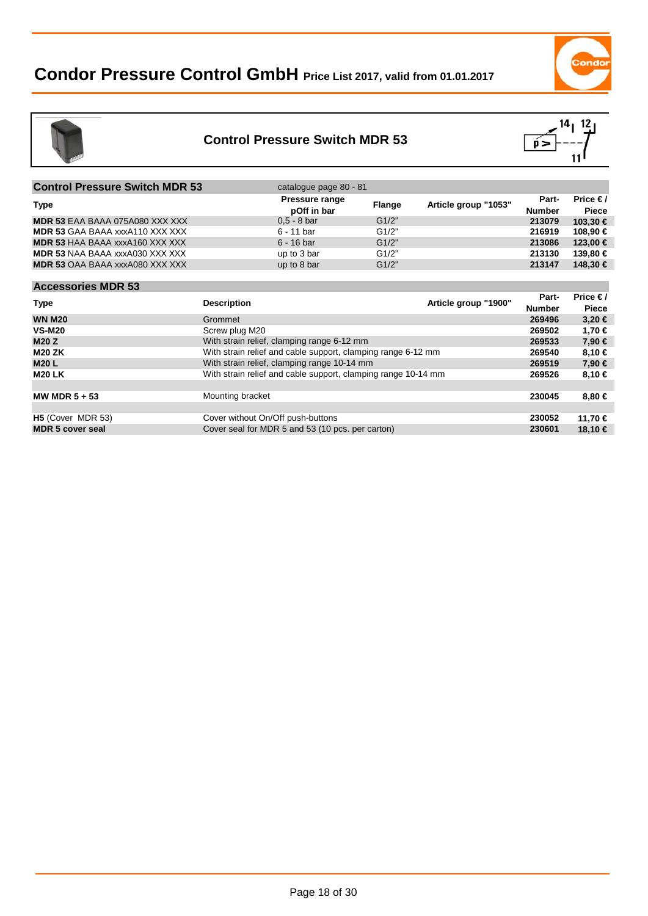

### **Control Pressure Switch MDR 53**

14<sub>1</sub> 12  $\frac{\mathbf{p}}{\mathbf{p}}$ 

| <b>Control Pressure Switch MDR 53</b>  | catalogue page 80 - 81               |               |                      |                        |                        |
|----------------------------------------|--------------------------------------|---------------|----------------------|------------------------|------------------------|
| <b>Type</b>                            | <b>Pressure range</b><br>pOff in bar | <b>Flange</b> | Article group "1053" | Part-<br><b>Number</b> | Price $\in I$<br>Piece |
| <b>MDR 53 EAA BAAA 075A080 XXX XXX</b> | $0.5 - 8$ bar                        | G1/2"         |                      | 213079                 | 103.30 €               |
| <b>MDR 53 GAA BAAA xxxA110 XXX XXX</b> | $6 - 11$ bar                         | G1/2"         |                      | 216919                 | 108.90 €               |
| <b>MDR 53 HAA BAAA xxxA160 XXX XXX</b> | $6 - 16$ bar                         | G1/2"         |                      | 213086                 | 123.00 €               |
| <b>MDR 53 NAA BAAA xxxA030 XXX XXX</b> | up to 3 bar                          | G1/2"         |                      | 213130                 | 139.80 €               |
| <b>MDR 53 OAA BAAA xxxA080 XXX XXX</b> | up to 8 bar                          | G1/2"         |                      | 213147                 | 148.30 €               |

| <b>Accessories MDR 53</b>     |                                                               |                      |               |               |
|-------------------------------|---------------------------------------------------------------|----------------------|---------------|---------------|
| <b>Type</b>                   | <b>Description</b>                                            | Article group "1900" | Part-         | Price $\in I$ |
|                               |                                                               |                      | <b>Number</b> | Piece         |
| <b>WN M20</b>                 | Grommet                                                       |                      | 269496        | $3,20 \in$    |
| <b>VS-M20</b>                 | Screw plug M20                                                |                      | 269502        | 1,70 €        |
| <b>M20 Z</b>                  | With strain relief, clamping range 6-12 mm                    |                      | 269533        | 7,90 €        |
| <b>M20 ZK</b>                 | With strain relief and cable support, clamping range 6-12 mm  |                      | 269540        | 8,10€         |
| <b>M20L</b>                   | With strain relief, clamping range 10-14 mm                   |                      | 269519        | 7.90 €        |
| <b>M20 LK</b>                 | With strain relief and cable support, clamping range 10-14 mm |                      | 269526        | 8,10€         |
|                               |                                                               |                      |               |               |
| MW MDR $5 + 53$               | Mounting bracket                                              |                      | 230045        | $8.80 \in$    |
|                               |                                                               |                      |               |               |
| H <sub>5</sub> (Cover MDR 53) | Cover without On/Off push-buttons                             |                      | 230052        | 11,70 €       |
| <b>MDR 5 cover seal</b>       | Cover seal for MDR 5 and 53 (10 pcs. per carton)              |                      | 230601        | 18.10 €       |
|                               |                                                               |                      |               |               |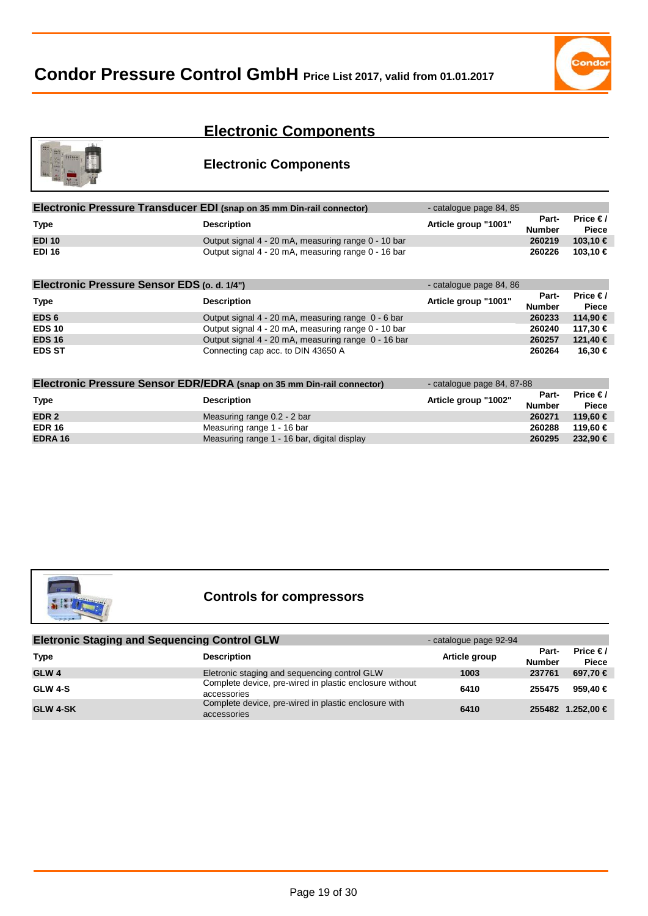

## **Electronic Components**



**Electronic Components**

| Electronic Pressure Transducer EDI (snap on 35 mm Din-rail connector) |                                                     | - catalogue page 84, 85 |                        |                               |
|-----------------------------------------------------------------------|-----------------------------------------------------|-------------------------|------------------------|-------------------------------|
| Type                                                                  | <b>Description</b>                                  | Article group "1001"    | Part-<br><b>Number</b> | Price $\in I$<br><b>Piece</b> |
| <b>EDI 10</b>                                                         | Output signal 4 - 20 mA, measuring range 0 - 10 bar |                         | 260219                 | 103.10 €                      |
| <b>EDI 16</b>                                                         | Output signal 4 - 20 mA, measuring range 0 - 16 bar |                         | 260226                 | 103.10 €                      |

| Electronic Pressure Sensor EDS (o. d. 1/4") |                                                     | - catalogue page 84, 86 |                        |                        |
|---------------------------------------------|-----------------------------------------------------|-------------------------|------------------------|------------------------|
| Type                                        | <b>Description</b>                                  | Article group "1001"    | Part-<br><b>Number</b> | Price $\in I$<br>Piece |
| EDS 6                                       | Output signal 4 - 20 mA, measuring range 0 - 6 bar  |                         | 260233                 | 114.90 €               |
| <b>EDS 10</b>                               | Output signal 4 - 20 mA, measuring range 0 - 10 bar |                         | 260240                 | 117.30 €               |
| <b>EDS 16</b>                               | Output signal 4 - 20 mA, measuring range 0 - 16 bar |                         | 260257                 | 121.40 €               |
| <b>EDS ST</b>                               | Connecting cap acc. to DIN 43650 A                  |                         | 260264                 | 16,30 €                |

| Electronic Pressure Sensor EDR/EDRA (snap on 35 mm Din-rail connector) |                                             | - catalogue page 84, 87-88 |                        |                               |
|------------------------------------------------------------------------|---------------------------------------------|----------------------------|------------------------|-------------------------------|
| <b>Type</b>                                                            | <b>Description</b>                          | Article group "1002"       | Part-<br><b>Number</b> | Price $\in I$<br><b>Piece</b> |
| EDR 2                                                                  | Measuring range 0.2 - 2 bar                 |                            | 260271                 | 119.60 €                      |
| <b>EDR 16</b>                                                          | Measuring range 1 - 16 bar                  |                            | 260288                 | 119.60 €                      |
| EDRA 16                                                                | Measuring range 1 - 16 bar, digital display |                            | 260295                 | $232.90 \in$                  |



### **Controls for compressors**

| <b>Eletronic Staging and Sequencing Control GLW</b> |                                                                        | - catalogue page 92-94 |                        |                               |
|-----------------------------------------------------|------------------------------------------------------------------------|------------------------|------------------------|-------------------------------|
| <b>Type</b>                                         | <b>Description</b>                                                     | Article group          | Part-<br><b>Number</b> | Price $\in I$<br><b>Piece</b> |
| GLW 4                                               | Eletronic staging and sequencing control GLW                           | 1003                   | 237761                 | 697,70 €                      |
| GLW 4-S                                             | Complete device, pre-wired in plastic enclosure without<br>accessories | 6410                   | 255475                 | 959.40 $\in$                  |
| <b>GLW 4-SK</b>                                     | Complete device, pre-wired in plastic enclosure with<br>accessories    | 6410                   |                        | 255482 1.252,00 €             |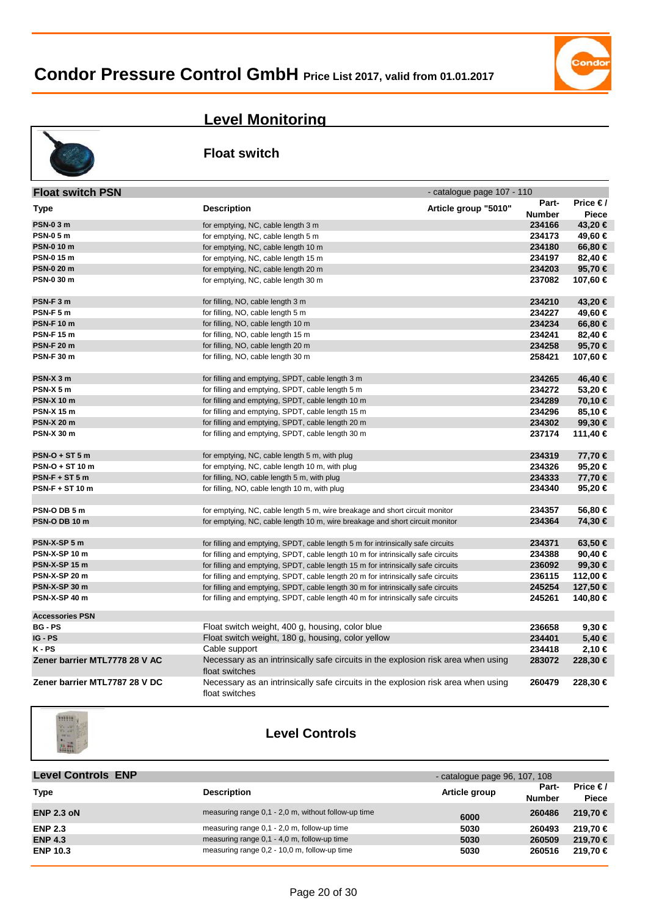

## **Level Monitoring**

## **Float switch**

| <b>Float switch PSN</b><br>- catalogue page $107 - 110$ |                                                                                                     |                      |                  |                    |
|---------------------------------------------------------|-----------------------------------------------------------------------------------------------------|----------------------|------------------|--------------------|
| Type                                                    | <b>Description</b>                                                                                  | Article group "5010" | Part-            | Price $\in I$      |
|                                                         |                                                                                                     |                      | <b>Number</b>    | <b>Piece</b>       |
| <b>PSN-03m</b>                                          | for emptying, NC, cable length 3 m                                                                  |                      | 234166           | 43,20 €            |
| <b>PSN-05 m</b>                                         | for emptying, NC, cable length 5 m                                                                  |                      | 234173           | 49,60 €            |
| <b>PSN-010 m</b>                                        | for emptying, NC, cable length 10 m                                                                 |                      | 234180           | 66,80 €            |
| PSN-0 15 m                                              | for emptying, NC, cable length 15 m                                                                 |                      | 234197<br>234203 | 82,40 €<br>95,70 € |
| <b>PSN-0 20 m</b>                                       | for emptying, NC, cable length 20 m                                                                 |                      | 237082           |                    |
| <b>PSN-0 30 m</b>                                       | for emptying, NC, cable length 30 m                                                                 |                      |                  | 107,60 €           |
| PSN-F3m                                                 | for filling, NO, cable length 3 m                                                                   |                      | 234210           | 43,20 €            |
| PSN-F5m                                                 | for filling, NO, cable length 5 m                                                                   |                      | 234227           | 49.60 €            |
| <b>PSN-F10 m</b>                                        | for filling, NO, cable length 10 m                                                                  |                      | 234234           | 66,80 €            |
| <b>PSN-F15 m</b>                                        | for filling, NO, cable length 15 m                                                                  |                      | 234241           | 82,40 €            |
| <b>PSN-F 20 m</b>                                       | for filling, NO, cable length 20 m                                                                  |                      | 234258           | 95,70 €            |
| <b>PSN-F30 m</b>                                        | for filling, NO, cable length 30 m                                                                  |                      | 258421           | 107,60 €           |
| PSN-X 3 m                                               | for filling and emptying, SPDT, cable length 3 m                                                    |                      | 234265           | 46.40 €            |
| PSN-X 5 m                                               | for filling and emptying, SPDT, cable length 5 m                                                    |                      | 234272           | 53,20 €            |
| <b>PSN-X 10 m</b>                                       | for filling and emptying, SPDT, cable length 10 m                                                   |                      | 234289           | 70,10 €            |
| <b>PSN-X 15 m</b>                                       | for filling and emptying, SPDT, cable length 15 m                                                   |                      | 234296           | 85,10 €            |
| <b>PSN-X 20 m</b>                                       | for filling and emptying, SPDT, cable length 20 m                                                   |                      | 234302           | 99,30 $\in$        |
| <b>PSN-X 30 m</b>                                       | for filling and emptying, SPDT, cable length 30 m                                                   |                      | 237174           | 111,40 €           |
| $PSN-O + ST 5 m$                                        | for emptying, NC, cable length 5 m, with plug                                                       |                      | 234319           | 77,70 €            |
| PSN-O + ST 10 m                                         | for emptying, NC, cable length 10 m, with plug                                                      |                      | 234326           | 95,20 €            |
| $PSN-F + ST 5 m$                                        | for filling, NO, cable length 5 m, with plug                                                        |                      | 234333           | 77,70 €            |
| PSN-F + ST 10 m                                         | for filling, NO, cable length 10 m, with plug                                                       |                      | 234340           | 95,20 €            |
|                                                         |                                                                                                     |                      |                  |                    |
| PSN-O DB 5 m                                            | for emptying, NC, cable length 5 m, wire breakage and short circuit monitor                         |                      | 234357           | 56,80 €            |
| <b>PSN-O DB 10 m</b>                                    | for emptying, NC, cable length 10 m, wire breakage and short circuit monitor                        |                      | 234364           | 74,30 €            |
| PSN-X-SP 5 m                                            | for filling and emptying, SPDT, cable length 5 m for intrinsically safe circuits                    |                      | 234371           | 63,50 €            |
| PSN-X-SP 10 m                                           | for filling and emptying, SPDT, cable length 10 m for intrinsically safe circuits                   |                      | 234388           | 90,40 €            |
| PSN-X-SP 15 m                                           | for filling and emptying, SPDT, cable length 15 m for intrinsically safe circuits                   |                      | 236092           | 99,30 €            |
| PSN-X-SP 20 m                                           | for filling and emptying, SPDT, cable length 20 m for intrinsically safe circuits                   |                      | 236115           | 112,00 €           |
| PSN-X-SP 30 m                                           | for filling and emptying, SPDT, cable length 30 m for intrinsically safe circuits                   |                      | 245254           | 127,50 €           |
| PSN-X-SP 40 m                                           | for filling and emptying, SPDT, cable length 40 m for intrinsically safe circuits                   |                      | 245261           | 140,80 €           |
| <b>Accessories PSN</b>                                  |                                                                                                     |                      |                  |                    |
| <b>BG - PS</b>                                          | Float switch weight, 400 g, housing, color blue                                                     |                      | 236658           | 9,30€              |
| $IG - PS$                                               | Float switch weight, 180 g, housing, color yellow                                                   |                      | 234401           | 5,40 €             |
| $K - PS$                                                | Cable support                                                                                       |                      | 234418           | 2,10€              |
| Zener barrier MTL7778 28 V AC                           | Necessary as an intrinsically safe circuits in the explosion risk area when using<br>float switches |                      | 283072           | 228,30 €           |
| Zener barrier MTL7787 28 V DC                           | Necessary as an intrinsically safe circuits in the explosion risk area when using<br>float switches |                      | 260479           | 228,30 €           |



**Level Controls** 

| <b>Level Controls ENP</b> |                                                       | - catalogue page $96, 107, 108$ |               |               |
|---------------------------|-------------------------------------------------------|---------------------------------|---------------|---------------|
| <b>Type</b>               | <b>Description</b>                                    | Article group                   | Part-         | Price $\in I$ |
|                           |                                                       |                                 | <b>Number</b> | Piece         |
| <b>ENP 2.3 oN</b>         | measuring range $0,1 - 2,0$ m, without follow-up time | 6000                            | 260486        | 219,70 €      |
| <b>ENP 2.3</b>            | measuring range $0,1 - 2,0$ m, follow-up time         | 5030                            | 260493        | 219.70 €      |
| <b>ENP 4.3</b>            | measuring range 0,1 - 4,0 m, follow-up time           | 5030                            | 260509        | 219,70 €      |
| <b>ENP 10.3</b>           | measuring range 0,2 - 10,0 m, follow-up time          | 5030                            | 260516        | 219.70 €      |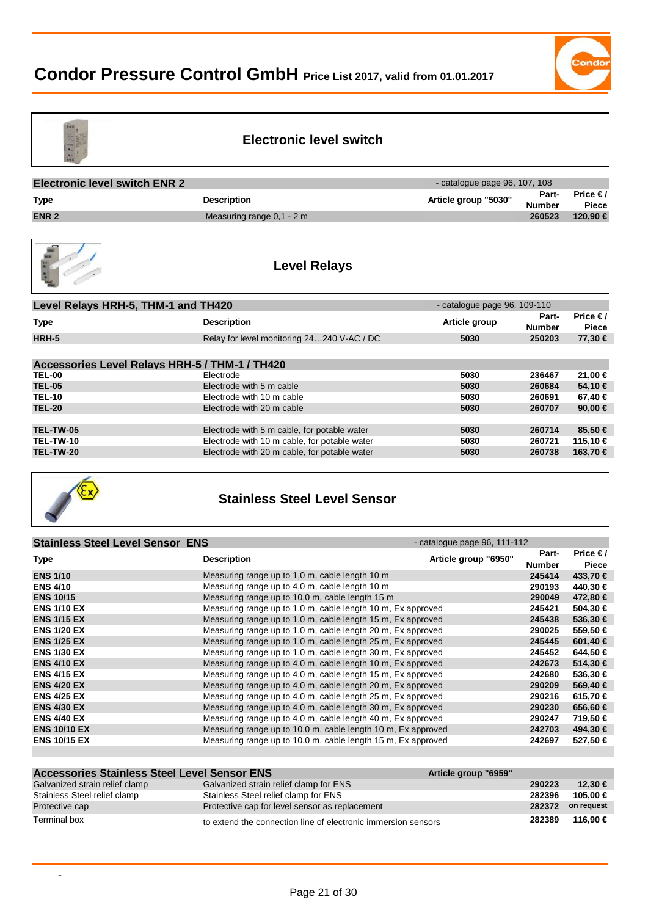

| 7250                                 | <b>Electronic level switch</b>                 |                               |                        |                               |
|--------------------------------------|------------------------------------------------|-------------------------------|------------------------|-------------------------------|
| <b>Electronic level switch ENR 2</b> |                                                | - catalogue page 96, 107, 108 |                        |                               |
| <b>Type</b>                          | <b>Description</b>                             | Article group "5030"          | Part-<br><b>Number</b> | Price $\in I$<br><b>Piece</b> |
| ENR <sub>2</sub>                     | Measuring range 0,1 - 2 m                      |                               | 260523                 | 120,90 €                      |
|                                      | <b>Level Relays</b>                            |                               |                        |                               |
|                                      |                                                |                               |                        |                               |
| Level Relays HRH-5, THM-1 and TH420  |                                                | - catalogue page 96, 109-110  |                        |                               |
| <b>Type</b>                          | <b>Description</b>                             | Article group                 | Part-<br><b>Number</b> | Price $\in I$<br><b>Piece</b> |
| HRH-5                                | Relay for level monitoring 24240 V-AC / DC     | 5030                          | 250203                 | 77,30 €                       |
|                                      | Accessories Level Relays HRH-5 / THM-1 / TH420 |                               |                        |                               |
| <b>TEL-00</b>                        | Electrode                                      | 5030                          | 236467                 | 21,00 €                       |
| <b>TEL-05</b>                        | Electrode with 5 m cable                       | 5030                          | 260684                 | 54,10 €                       |
| <b>TEL-10</b>                        | Electrode with 10 m cable                      | 5030                          | 260691                 | 67,40 €                       |
| <b>TEL-20</b>                        | Electrode with 20 m cable                      | 5030                          | 260707                 | 90,00 $\in$                   |
| <b>TEL-TW-05</b>                     | Electrode with 5 m cable, for potable water    | 5030                          | 260714                 | 85,50 €                       |
| <b>TEL-TW-10</b>                     | Electrode with 10 m cable, for potable water   | 5030                          | 260721                 | 115,10 €                      |



Ļ,

## **Stainless Steel Level Sensor**

| <b>Stainless Steel Level Sensor ENS</b> |                                                              | - catalogue page $96, 111-112$ |               |               |
|-----------------------------------------|--------------------------------------------------------------|--------------------------------|---------------|---------------|
| <b>Type</b>                             | <b>Description</b>                                           | Article group "6950"           | Part-         | Price $\in I$ |
|                                         |                                                              |                                | <b>Number</b> | Piece         |
| <b>ENS 1/10</b>                         | Measuring range up to 1,0 m, cable length 10 m               |                                | 245414        | 433,70 €      |
| <b>ENS 4/10</b>                         | Measuring range up to 4,0 m, cable length 10 m               |                                | 290193        | 440,30 €      |
| <b>ENS 10/15</b>                        | Measuring range up to 10,0 m, cable length 15 m              |                                | 290049        | 472,80 €      |
| <b>ENS 1/10 EX</b>                      | Measuring range up to 1,0 m, cable length 10 m, Ex approved  |                                | 245421        | 504,30 €      |
| <b>ENS 1/15 EX</b>                      | Measuring range up to 1,0 m, cable length 15 m, Ex approved  |                                | 245438        | 536,30 €      |
| <b>ENS 1/20 EX</b>                      | Measuring range up to 1,0 m, cable length 20 m, Ex approved  |                                | 290025        | 559,50 €      |
| <b>ENS 1/25 EX</b>                      | Measuring range up to 1,0 m, cable length 25 m, Ex approved  |                                | 245445        | 601,40 $\in$  |
| <b>ENS 1/30 EX</b>                      | Measuring range up to 1,0 m, cable length 30 m, Ex approved  |                                | 245452        | 644,50 €      |
| <b>ENS 4/10 EX</b>                      | Measuring range up to 4.0 m, cable length 10 m, Ex approved  |                                | 242673        | 514,30 €      |
| <b>ENS 4/15 EX</b>                      | Measuring range up to 4.0 m, cable length 15 m, Ex approved  |                                | 242680        | 536,30 €      |
| <b>ENS 4/20 EX</b>                      | Measuring range up to 4,0 m, cable length 20 m, Ex approved  |                                | 290209        | 569,40 €      |
| <b>ENS 4/25 EX</b>                      | Measuring range up to 4,0 m, cable length 25 m, Ex approved  |                                | 290216        | 615,70 €      |
| <b>ENS 4/30 EX</b>                      | Measuring range up to 4,0 m, cable length 30 m, Ex approved  |                                | 290230        | 656,60 €      |
| <b>ENS 4/40 EX</b>                      | Measuring range up to 4,0 m, cable length 40 m, Ex approved  |                                | 290247        | 719,50 €      |
| <b>ENS 10/10 EX</b>                     | Measuring range up to 10,0 m, cable length 10 m, Ex approved |                                | 242703        | 494,30 €      |
| <b>ENS 10/15 EX</b>                     | Measuring range up to 10.0 m, cable length 15 m, Ex approved |                                | 242697        | 527,50 €      |

| <b>Accessories Stainless Steel Level Sensor ENS</b> |                                                               | Article group "6959" |        |            |
|-----------------------------------------------------|---------------------------------------------------------------|----------------------|--------|------------|
| Galvanized strain relief clamp                      | Galvanized strain relief clamp for ENS                        |                      | 290223 | 12.30 €    |
| Stainless Steel relief clamp                        | Stainless Steel relief clamp for ENS                          |                      | 282396 | 105.00 €   |
| Protective cap                                      | Protective cap for level sensor as replacement                |                      | 282372 | on request |
| Terminal box                                        | to extend the connection line of electronic immersion sensors |                      | 282389 | 116.90 €   |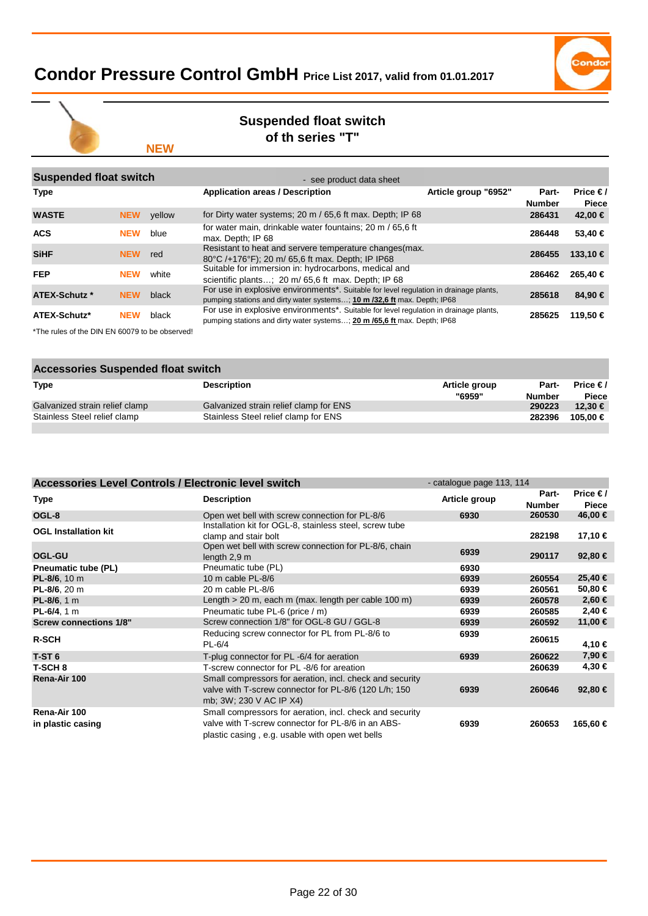

|                                                |            | <b>NEW</b> | <b>Suspended float switch</b><br>of th series "T"                                                                                                                 |                      |                        |                        |
|------------------------------------------------|------------|------------|-------------------------------------------------------------------------------------------------------------------------------------------------------------------|----------------------|------------------------|------------------------|
| <b>Suspended float switch</b>                  |            |            | - see product data sheet                                                                                                                                          |                      |                        |                        |
| Type                                           |            |            | <b>Application areas / Description</b>                                                                                                                            | Article group "6952" | Part-<br><b>Number</b> | Price $\in I$<br>Piece |
| <b>WASTE</b>                                   | <b>NEW</b> | yellow     | for Dirty water systems; 20 m / 65,6 ft max. Depth; IP 68                                                                                                         |                      | 286431                 | 42,00 €                |
| <b>ACS</b>                                     | <b>NEW</b> | blue       | for water main, drinkable water fountains; 20 m / 65.6 ft<br>max. Depth; IP 68                                                                                    |                      | 286448                 | 53,40 €                |
| <b>SiHF</b>                                    | <b>NEW</b> | red        | Resistant to heat and servere temperature changes (max.<br>80°C /+176°F); 20 m/ 65,6 ft max. Depth; IP IP68                                                       |                      | 286455                 | $133,10 \in$           |
| <b>FEP</b>                                     | <b>NEW</b> | white      | Suitable for immersion in: hydrocarbons, medical and<br>scientific plants; 20 m/ 65.6 ft max. Depth; IP 68                                                        |                      | 286462                 | 265,40 €               |
| ATEX-Schutz *                                  | <b>NEW</b> | black      | For use in explosive environments*. Suitable for level regulation in drainage plants,<br>pumping stations and dirty water systems; 10 m /32,6 ft max. Depth; IP68 |                      | 285618                 | 84,90 €                |
| ATEX-Schutz*                                   | <b>NEW</b> | black      | For use in explosive environments*. Suitable for level regulation in drainage plants,<br>pumping stations and dirty water systems; 20 m /65,6 ft max. Depth; IP68 |                      | 285625                 | 119,50 €               |
| *The rules of the DIN EN 60079 to be observed! |            |            |                                                                                                                                                                   |                      |                        |                        |

**Accessories Suspended float switch Type Description Description Article group "6959" Part-Number Price € / Piece**  Galvanized strain relief clamp Galvanized strain relief clamp for ENS **290223** 12,30 €<br>5 300223 12,30 € 282396 105,00 € 282396 105,00 € **Stainless Steel relief clamp for ENS** 

| <b>Accessories Level Controls / Electronic level switch</b> |                                                                                                                                                                   | - catalogue page 113, 114 |                        |                        |
|-------------------------------------------------------------|-------------------------------------------------------------------------------------------------------------------------------------------------------------------|---------------------------|------------------------|------------------------|
| <b>Type</b>                                                 | <b>Description</b>                                                                                                                                                | Article group             | Part-<br><b>Number</b> | Price $\in I$<br>Piece |
| OGL-8                                                       | Open wet bell with screw connection for PL-8/6                                                                                                                    | 6930                      | 260530                 | 46,00 €                |
| <b>OGL Installation kit</b>                                 | Installation kit for OGL-8, stainless steel, screw tube<br>clamp and stair bolt                                                                                   |                           | 282198                 | 17,10 €                |
| <b>OGL-GU</b>                                               | Open wet bell with screw connection for PL-8/6, chain<br>length $2,9$ m                                                                                           | 6939                      | 290117                 | 92,80 $\in$            |
| <b>Pneumatic tube (PL)</b>                                  | Pneumatic tube (PL)                                                                                                                                               | 6930                      |                        |                        |
| <b>PL-8/6, 10 m</b>                                         | 10 m cable PL-8/6                                                                                                                                                 | 6939                      | 260554                 | 25,40 €                |
| <b>PL-8/6, 20 m</b>                                         | 20 m cable PL-8/6                                                                                                                                                 | 6939                      | 260561                 | 50,80 $∈$              |
| PL-8/6, 1 m                                                 | Length $>$ 20 m, each m (max. length per cable 100 m)                                                                                                             | 6939                      | 260578                 | $2,60 \in$             |
| $PL-6/4, 1 m$                                               | Pneumatic tube PL-6 (price / m)                                                                                                                                   | 6939                      | 260585                 | $2,40 \in$             |
| <b>Screw connections 1/8"</b>                               | Screw connection 1/8" for OGL-8 GU / GGL-8                                                                                                                        | 6939                      | 260592                 | 11,00 €                |
| <b>R-SCH</b>                                                | Reducing screw connector for PL from PL-8/6 to<br>$PL-6/4$                                                                                                        | 6939                      | 260615                 | 4,10 €                 |
| $T-ST6$                                                     | T-plug connector for PL-6/4 for aeration                                                                                                                          | 6939                      | 260622                 | 7,90 €                 |
| <b>T-SCH 8</b>                                              | T-screw connector for PL-8/6 for areation                                                                                                                         |                           | 260639                 | 4,30 €                 |
| Rena-Air 100                                                | Small compressors for aeration, incl. check and security<br>valve with T-screw connector for PL-8/6 (120 L/h; 150<br>mb; 3W; 230 V AC IP X4)                      | 6939                      | 260646                 | 92,80 $\in$            |
| Rena-Air 100<br>in plastic casing                           | Small compressors for aeration, incl. check and security<br>valve with T-screw connector for PL-8/6 in an ABS-<br>plastic casing, e.g. usable with open wet bells | 6939                      | 260653                 | 165,60 €               |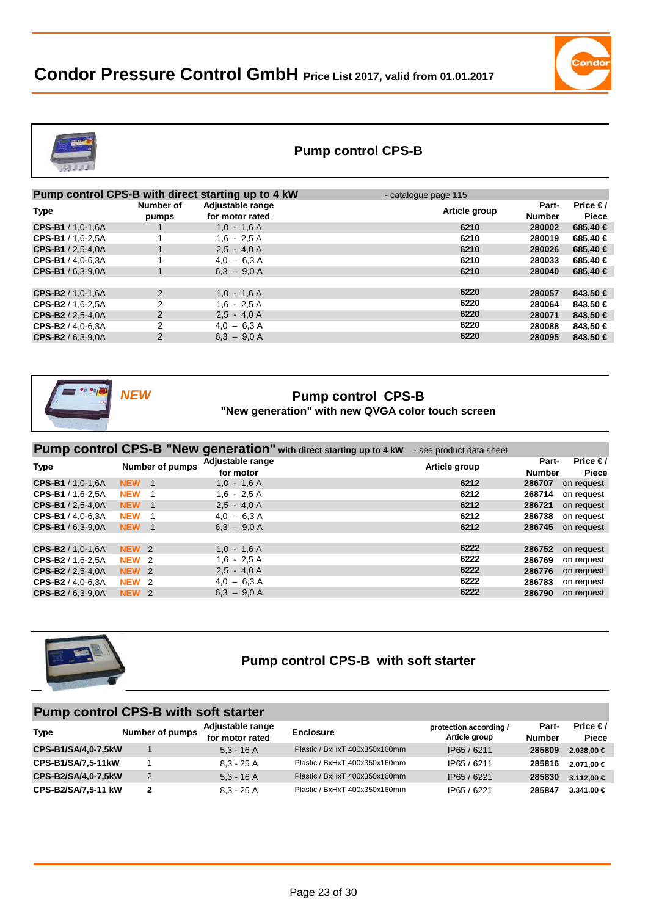



#### **Pump control CPS-B**

|                       |                | Pump control CPS-B with direct starting up to 4 kW | - catalogue page 115   |               |
|-----------------------|----------------|----------------------------------------------------|------------------------|---------------|
| <b>Type</b>           | Number of      | Adjustable range                                   | Part-<br>Article group | Price $\in I$ |
|                       | pumps          | for motor rated                                    | <b>Number</b>          | Piece         |
| CPS-B1 / 1,0-1,6A     |                | $1,0 - 1,6$ A                                      | 6210<br>280002         | 685,40 €      |
| CPS-B1 / 1.6-2.5A     |                | $1.6 - 2.5$ A                                      | 6210<br>280019         | 685,40 €      |
| CPS-B1 / 2.5-4.0A     |                | $2.5 - 4.0 A$                                      | 6210<br>280026         | 685.40 €      |
| $CPS-B1/4.0-6.3A$     |                | $4.0 - 6.3$ A                                      | 6210<br>280033         | 685,40 €      |
| CPS-B1 / 6.3-9.0A     |                | $6.3 - 9.0 A$                                      | 6210<br>280040         | 685.40 €      |
|                       |                |                                                    |                        |               |
| $CPS-B2 / 1,0-1,6A$   | 2              | $1.0 - 1.6$ A                                      | 6220<br>280057         | 843,50 €      |
| $CPS-B2 / 1.6 - 2.5A$ | $\overline{2}$ | $1.6 - 2.5$ A                                      | 6220<br>280064         | 843,50 €      |
| CPS-B2 / 2,5-4,0A     | $\overline{2}$ | $2.5 - 4.0 A$                                      | 6220<br>280071         | 843,50 €      |
| $CPS-B2 / 4.0 - 6.3A$ | $\overline{2}$ | $4.0 - 6.3$ A                                      | 6220<br>280088         | 843,50 €      |
| $CPS-B2/6,3-9,0A$     | $\overline{2}$ | $6.3 - 9.0 A$                                      | 6220<br>280095         | 843,50 €      |
|                       |                |                                                    |                        |               |

*NEW*

## **Pump control CPS-B**

**"New generation" with new QVGA color touch screen** 

|                       |                  |                 |                               | Pump control CPS-B "New generation" with direct starting up to 4 kW | - see product data sheet |                 |                        |
|-----------------------|------------------|-----------------|-------------------------------|---------------------------------------------------------------------|--------------------------|-----------------|------------------------|
| <b>Type</b>           |                  | Number of pumps | Adjustable range<br>for motor |                                                                     | Article group            | Part-<br>Number | Price $\in I$<br>Piece |
| CPS-B1 / 1.0-1.6A     | <b>NEW</b>       | - 1             | $1,0 - 1,6$ A                 |                                                                     | 6212                     | 286707          | on request             |
| CPS-B1 / 1.6-2.5A     | <b>NEW</b>       |                 | $1.6 - 2.5$ A                 |                                                                     | 6212                     | 268714          | on request             |
| CPS-B1 / 2,5-4,0A     | <b>NEW</b>       | - 1             | $2.5 - 4.0 A$                 |                                                                     | 6212                     | 286721          | on request             |
| $CPS-B1/4.0-6.3A$     | <b>NEW</b>       | - 1             | $4.0 - 6.3 A$                 |                                                                     | 6212                     | 286738          | on request             |
| CPS-B1 / 6.3-9.0A     | NEW <sub>1</sub> |                 | $6.3 - 9.0 A$                 |                                                                     | 6212                     | 286745          | on request             |
|                       |                  |                 |                               |                                                                     |                          |                 |                        |
| CPS-B2 / 1.0-1.6A     | NEW <sub>2</sub> |                 | $1,0 - 1,6$ A                 |                                                                     | 6222                     | 286752          | on request             |
| $CPS-B2 / 1.6 - 2.5A$ | NEW <sub>2</sub> |                 | $1.6 - 2.5$ A                 |                                                                     | 6222                     | 286769          | on request             |
| $CPS-B2 / 2.5-4.0A$   | NEW <sub>2</sub> |                 | $2.5 - 4.0 A$                 |                                                                     | 6222                     | 286776          | on request             |
| $CPS-B2/4,0-6,3A$     | NEW <sub>2</sub> |                 | $4.0 - 6.3 A$                 |                                                                     | 6222                     | 286783          | on request             |
| $CPS-B2/6,3-9,0A$     | NEW <sub>2</sub> |                 | $6.3 - 9.0 A$                 |                                                                     | 6222                     | 286790          | on request             |



#### **Pump control CPS-B with soft starter**

### **Pump control CPS-B with soft starter**

| <b>Type</b>         | Number of pumps | Adjustable range<br>for motor rated | <b>Enclosure</b>              | protection according /<br>Article group | Part-<br><b>Number</b> | Price $\in I$<br><b>Piece</b> |
|---------------------|-----------------|-------------------------------------|-------------------------------|-----------------------------------------|------------------------|-------------------------------|
| CPS-B1/SA/4,0-7,5kW |                 | $5.3 - 16A$                         | Plastic / BxHxT 400x350x160mm | IP65 / 6211                             | 285809                 | 2.038.00 €                    |
| CPS-B1/SA/7,5-11kW  |                 | $8.3 - 25A$                         | Plastic / BxHxT 400x350x160mm | IP65 / 6211                             | 285816                 | 2.071.00 €                    |
| CPS-B2/SA/4,0-7,5kW |                 | $5.3 - 16A$                         | Plastic / BxHxT 400x350x160mm | IP65 / 6221                             | 285830                 | 3.112.00 €                    |
| CPS-B2/SA/7,5-11 kW | າ               | $8.3 - 25A$                         | Plastic / BxHxT 400x350x160mm | IP65 / 6221                             | 285847                 | $3.341.00 \in$                |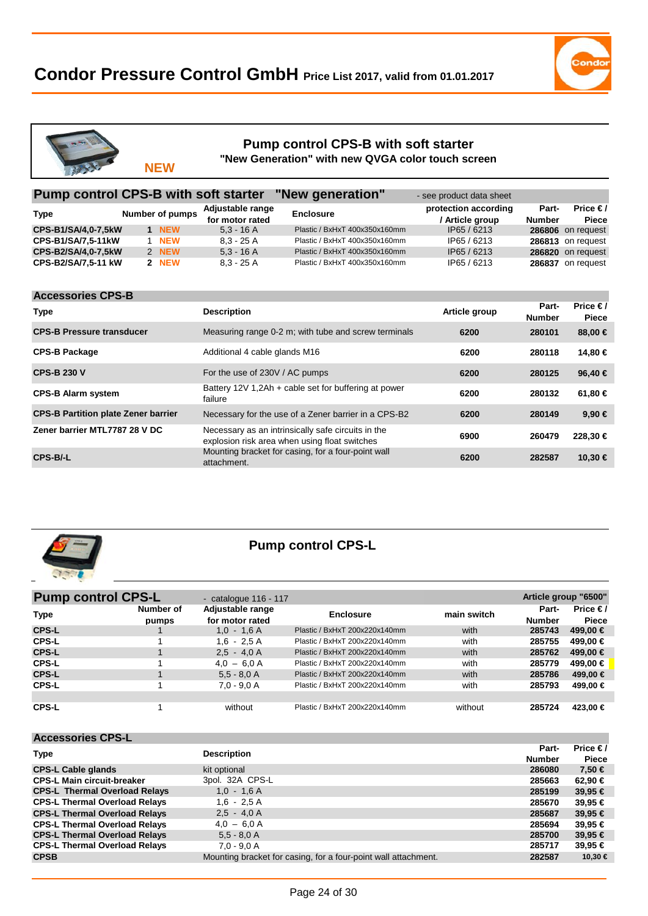



**NEW**

## **Pump control CPS-B with soft starter**

**"New Generation" with new QVGA color touch screen** 

| <b>Pump control CPS-B with soft starter</b> |                 |                                     | "New generation"              | - see product data sheet                |                        |                               |
|---------------------------------------------|-----------------|-------------------------------------|-------------------------------|-----------------------------------------|------------------------|-------------------------------|
| <b>Type</b>                                 | Number of pumps | Adjustable range<br>for motor rated | Enclosure                     | protection according<br>/ Article group | Part-<br><b>Number</b> | Price $\in I$<br><b>Piece</b> |
| CPS-B1/SA/4.0-7.5kW                         | 1 NEW           | $5.3 - 16A$                         | Plastic / BxHxT 400x350x160mm | IP65 / 6213                             |                        | 286806 on request             |
| <b>CPS-B1/SA/7.5-11kW</b>                   | 1 NEW           | $8.3 - 25A$                         | Plastic / BxHxT 400x350x160mm | IP65 / 6213                             |                        | 286813 on request             |
| CPS-B2/SA/4,0-7,5kW                         | 2 NEW           | $5.3 - 16A$                         | Plastic / BxHxT 400x350x160mm | IP65/6213                               |                        | 286820 on request             |
| CPS-B2/SA/7.5-11 kW                         | 2 NEW           | $8.3 - 25A$                         | Plastic / BxHxT 400x350x160mm | IP65 / 6213                             |                        | 286837 on request             |

#### **Accessories CPS-B**

| Price $\in I$<br>Part-<br><b>Description</b><br>Article group<br>Piece<br><b>Number</b><br>Measuring range 0-2 m; with tube and screw terminals<br>88,00 €<br>6200<br>280101<br>Additional 4 cable glands M16<br>14,80 €<br>6200<br>280118<br>For the use of 230V / AC pumps<br>96,40 €<br>6200<br>280125<br>Battery 12V 1,2Ah + cable set for buffering at power<br>61,80 €<br>6200<br>280132<br>failure<br>$9.90 \in$<br>Necessary for the use of a Zener barrier in a CPS-B2<br>280149<br>6200<br>Necessary as an intrinsically safe circuits in the<br>228,30 €<br>6900<br>260479<br>explosion risk area when using float switches<br>Mounting bracket for casing, for a four-point wall<br>$10,30 \in$<br>282587<br>6200<br>attachment. |                                            |  |  |
|----------------------------------------------------------------------------------------------------------------------------------------------------------------------------------------------------------------------------------------------------------------------------------------------------------------------------------------------------------------------------------------------------------------------------------------------------------------------------------------------------------------------------------------------------------------------------------------------------------------------------------------------------------------------------------------------------------------------------------------------|--------------------------------------------|--|--|
|                                                                                                                                                                                                                                                                                                                                                                                                                                                                                                                                                                                                                                                                                                                                              | <b>Type</b>                                |  |  |
|                                                                                                                                                                                                                                                                                                                                                                                                                                                                                                                                                                                                                                                                                                                                              | <b>CPS-B Pressure transducer</b>           |  |  |
|                                                                                                                                                                                                                                                                                                                                                                                                                                                                                                                                                                                                                                                                                                                                              | <b>CPS-B Package</b>                       |  |  |
|                                                                                                                                                                                                                                                                                                                                                                                                                                                                                                                                                                                                                                                                                                                                              | <b>CPS-B 230 V</b>                         |  |  |
|                                                                                                                                                                                                                                                                                                                                                                                                                                                                                                                                                                                                                                                                                                                                              | <b>CPS-B Alarm system</b>                  |  |  |
|                                                                                                                                                                                                                                                                                                                                                                                                                                                                                                                                                                                                                                                                                                                                              | <b>CPS-B Partition plate Zener barrier</b> |  |  |
|                                                                                                                                                                                                                                                                                                                                                                                                                                                                                                                                                                                                                                                                                                                                              | Zener barrier MTL7787 28 V DC              |  |  |
|                                                                                                                                                                                                                                                                                                                                                                                                                                                                                                                                                                                                                                                                                                                                              | <b>CPS-B/-L</b>                            |  |  |



### **Pump control CPS-L**

| <b>Pump control CPS-L</b> |                    | - catalogue $116 - 117$             |                               |             | Article group "6500"   |                               |
|---------------------------|--------------------|-------------------------------------|-------------------------------|-------------|------------------------|-------------------------------|
| <b>Type</b>               | Number of<br>pumps | Adjustable range<br>for motor rated | <b>Enclosure</b>              | main switch | Part-<br><b>Number</b> | Price $\in I$<br><b>Piece</b> |
| <b>CPS-L</b>              |                    | $1,0 - 1,6$ A                       | Plastic / BxHxT 200x220x140mm | with        | 285743                 | 499,00 €                      |
| <b>CPS-L</b>              |                    | $1.6 - 2.5$ A                       | Plastic / BxHxT 200x220x140mm | with        | 285755                 | 499,00 €                      |
| <b>CPS-L</b>              |                    | $2.5 - 4.0 A$                       | Plastic / BxHxT 200x220x140mm | with        | 285762                 | 499,00 €                      |
| <b>CPS-L</b>              |                    | $4.0 - 6.0 A$                       | Plastic / BxHxT 200x220x140mm | with        | 285779                 | 499,00 €                      |
| <b>CPS-L</b>              |                    | $5.5 - 8.0 A$                       | Plastic / BxHxT 200x220x140mm | with        | 285786                 | 499,00 €                      |
| <b>CPS-L</b>              |                    | $7.0 - 9.0 A$                       | Plastic / BxHxT 200x220x140mm | with        | 285793                 | 499,00 €                      |
|                           |                    |                                     |                               |             |                        |                               |
| <b>CPS-L</b>              |                    | without                             | Plastic / BxHxT 200x220x140mm | without     | 285724                 | 423,00 €                      |

| <b>Accessories CPS-L</b>             |                                                                |               |               |
|--------------------------------------|----------------------------------------------------------------|---------------|---------------|
| <b>Type</b>                          | <b>Description</b>                                             | Part-         | Price $\in I$ |
|                                      |                                                                | <b>Number</b> | Piece         |
| <b>CPS-L Cable glands</b>            | kit optional                                                   | 286080        | 7,50 €        |
| <b>CPS-L Main circuit-breaker</b>    | 3pol. 32A CPS-L                                                | 285663        | 62,90 €       |
| <b>CPS-L Thermal Overload Relays</b> | $1.0 - 1.6$ A                                                  | 285199        | $39,95 \in$   |
| <b>CPS-L Thermal Overload Relays</b> | $1,6 - 2,5A$                                                   | 285670        | $39,95 \in$   |
| <b>CPS-L Thermal Overload Relays</b> | $2.5 - 4.0 A$                                                  | 285687        | $39,95 \in$   |
| <b>CPS-L Thermal Overload Relays</b> | $4.0 - 6.0 A$                                                  | 285694        | 39,95 €       |
| <b>CPS-L Thermal Overload Relays</b> | $5.5 - 8.0 A$                                                  | 285700        | $39,95 \in$   |
| <b>CPS-L Thermal Overload Relays</b> | $7.0 - 9.0 A$                                                  | 285717        | $39.95 \in$   |
| <b>CPSB</b>                          | Mounting bracket for casing, for a four-point wall attachment. | 282587        | 10,30 €       |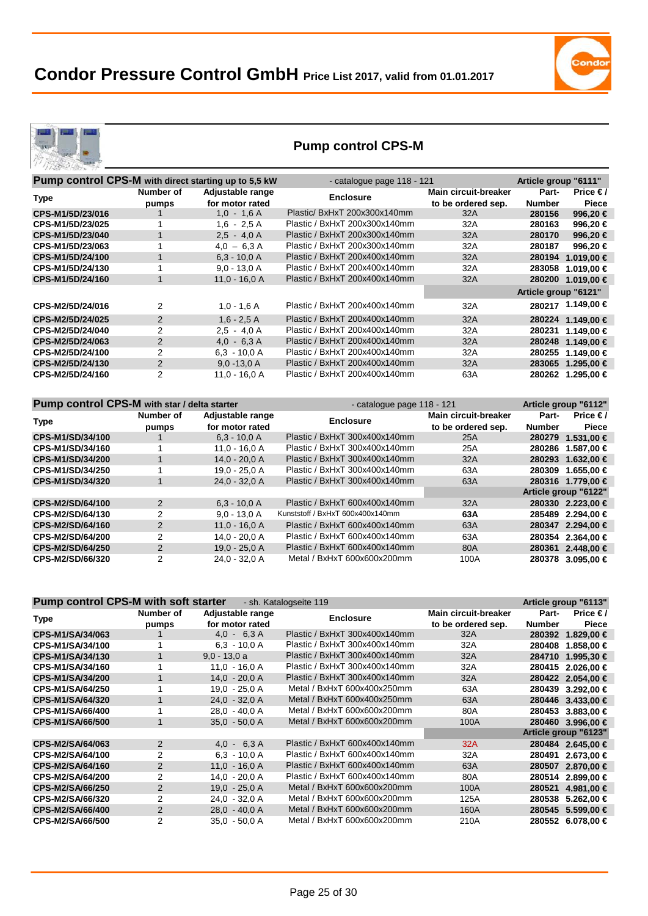



## **Pump control CPS-M**

| Pump control CPS-M with direct starting up to 5,5 kW |                    |                                     | - catalogue page $118 - 121$  |                                                   | Article group "6111"   |                        |
|------------------------------------------------------|--------------------|-------------------------------------|-------------------------------|---------------------------------------------------|------------------------|------------------------|
| <b>Type</b>                                          | Number of<br>pumps | Adjustable range<br>for motor rated | <b>Enclosure</b>              | <b>Main circuit-breaker</b><br>to be ordered sep. | Part-<br><b>Number</b> | Price $\in I$<br>Piece |
| CPS-M1/5D/23/016                                     |                    | $1.0 - 1.6$ A                       | Plastic/BxHxT 200x300x140mm   | 32A                                               | 280156                 | 996,20 €               |
| CPS-M1/5D/23/025                                     | 1                  | $1.6 - 2.5$ A                       | Plastic / BxHxT 200x300x140mm | 32A                                               | 280163                 | 996,20 €               |
| CPS-M1/5D/23/040                                     | 1                  | $2.5 - 4.0 A$                       | Plastic / BxHxT 200x300x140mm | 32A                                               | 280170                 | 996,20 €               |
| CPS-M1/5D/23/063                                     | -1                 | $4.0 - 6.3$ A                       | Plastic / BxHxT 200x300x140mm | 32A                                               | 280187                 | 996,20 €               |
| CPS-M1/5D/24/100                                     | $\mathbf 1$        | $6.3 - 10.0 A$                      | Plastic / BxHxT 200x400x140mm | 32A                                               | 280194                 | 1.019.00 €             |
| CPS-M1/5D/24/130                                     | 1                  | $9.0 - 13.0 A$                      | Plastic / BxHxT 200x400x140mm | 32A                                               | 283058                 | 1.019,00 €             |
| CPS-M1/5D/24/160                                     | 1                  | $11.0 - 16.0 A$                     | Plastic / BxHxT 200x400x140mm | 32A                                               | 280200                 | 1.019,00 €             |
|                                                      |                    |                                     |                               |                                                   | Article group "6121"   |                        |
| CPS-M2/5D/24/016                                     | 2                  | $1.0 - 1.6$ A                       | Plastic / BxHxT 200x400x140mm | 32A                                               | 280217                 | 1.149,00 €             |
| CPS-M2/5D/24/025                                     | $\overline{2}$     | $1,6 - 2,5A$                        | Plastic / BxHxT 200x400x140mm | 32A                                               | 280224                 | 1.149.00 €             |
| CPS-M2/5D/24/040                                     | $\overline{2}$     | $2.5 - 4.0 A$                       | Plastic / BxHxT 200x400x140mm | 32A                                               | 280231                 | 1.149,00 €             |
| CPS-M2/5D/24/063                                     | 2                  | $4.0 - 6.3 A$                       | Plastic / BxHxT 200x400x140mm | 32A                                               | 280248                 | 1.149,00 €             |
| CPS-M2/5D/24/100                                     | $\overline{2}$     | $6.3 - 10.0 A$                      | Plastic / BxHxT 200x400x140mm | 32A                                               | 280255                 | 1.149.00 €             |
| CPS-M2/5D/24/130                                     | $\overline{2}$     | $9,0 - 13,0 A$                      | Plastic / BxHxT 200x400x140mm | 32A                                               | 283065                 | 1.295,00 €             |
| CPS-M2/5D/24/160                                     | $\overline{2}$     | 11.0 - 16.0 A                       | Plastic / BxHxT 200x400x140mm | 63A                                               | 280262                 | 1.295.00 €             |

| Pump control CPS-M with star / delta starter |                    |                                     |                                  | - catalogue page $118 - 121$               |                                                         |
|----------------------------------------------|--------------------|-------------------------------------|----------------------------------|--------------------------------------------|---------------------------------------------------------|
| <b>Type</b>                                  | Number of<br>pumps | Adjustable range<br>for motor rated | <b>Enclosure</b>                 | Main circuit-breaker<br>to be ordered sep. | Price $\in I$<br>Part-<br><b>Piece</b><br><b>Number</b> |
| CPS-M1/SD/34/100                             |                    | $6.3 - 10.0 A$                      | Plastic / BxHxT 300x400x140mm    | 25A                                        | 280279<br>1.531.00 €                                    |
| CPS-M1/SD/34/160                             |                    | $11.0 - 16.0 A$                     | Plastic / BxHxT 300x400x140mm    | 25A                                        | 1.587.00 €<br>280286                                    |
| CPS-M1/SD/34/200                             |                    | 14.0 - 20.0 A                       | Plastic / BxHxT 300x400x140mm    | 32A                                        | 280293 1.632.00 €                                       |
| CPS-M1/SD/34/250                             |                    | 19.0 - 25.0 A                       | Plastic / BxHxT 300x400x140mm    | 63A                                        | 280309 1.655.00 €                                       |
| CPS-M1/SD/34/320                             |                    | 24,0 - 32,0 A                       | Plastic / BxHxT 300x400x140mm    | 63A                                        | 280316 1.779.00 €                                       |
|                                              |                    |                                     |                                  |                                            | Article group "6122"                                    |
| CPS-M2/SD/64/100                             | $\overline{2}$     | $6.3 - 10.0 A$                      | Plastic / BxHxT 600x400x140mm    | 32A                                        | 280330 2.223.00 €                                       |
| CPS-M2/SD/64/130                             | 2                  | $9.0 - 13.0 A$                      | Kunststoff / BxHxT 600x400x140mm | 63A                                        | 285489 2.294.00 €                                       |
| CPS-M2/SD/64/160                             | $\overline{2}$     | $11.0 - 16.0 A$                     | Plastic / BxHxT 600x400x140mm    | 63A                                        | 280347 2.294.00 €                                       |
| CPS-M2/SD/64/200                             | 2                  | 14.0 - 20.0 A                       | Plastic / BxHxT 600x400x140mm    | 63A                                        | 280354 2.364.00 €                                       |
| CPS-M2/SD/64/250                             | $\overline{2}$     | 19.0 - 25.0 A                       | Plastic / BxHxT 600x400x140mm    | 80A                                        | 2.448.00 €<br>280361                                    |
| CPS-M2/SD/66/320                             | 2                  | 24.0 - 32.0 A                       | Metal / BxHxT 600x600x200mm      | 100A                                       | 280378 3.095.00 €                                       |

| <b>Pump control CPS-M with soft starter</b><br>- sh. Katalogseite 119 |                |                                     |                               |                                            |                        | Article group "6113"   |
|-----------------------------------------------------------------------|----------------|-------------------------------------|-------------------------------|--------------------------------------------|------------------------|------------------------|
| <b>Type</b>                                                           | Number of      | Adjustable range<br>for motor rated | <b>Enclosure</b>              | Main circuit-breaker<br>to be ordered sep. | Part-<br><b>Number</b> | Price $\in I$<br>Piece |
|                                                                       | pumps          |                                     | Plastic / BxHxT 300x400x140mm |                                            |                        |                        |
| CPS-M1/SA/34/063                                                      |                | $4,0 - 6,3$ A                       |                               | 32A                                        | 280392                 | 1.829,00 €             |
| CPS-M1/SA/34/100                                                      | 1              | $6.3 - 10.0 A$                      | Plastic / BxHxT 300x400x140mm | 32A                                        | 280408                 | 1.858.00 €             |
| CPS-M1/SA/34/130                                                      | 1              | $9.0 - 13.0 a$                      | Plastic / BxHxT 300x400x140mm | 32A                                        | 284710                 | 1.995.30 €             |
| CPS-M1/SA/34/160                                                      | 1              | $11.0 - 16.0 A$                     | Plastic / BxHxT 300x400x140mm | 32A                                        | 280415                 | 2.026.00 €             |
| CPS-M1/SA/34/200                                                      | 1              | $14.0 - 20.0 A$                     | Plastic / BxHxT 300x400x140mm | 32A                                        |                        | 280422 2.054.00 €      |
| CPS-M1/SA/64/250                                                      | 1              | $19.0 - 25.0 A$                     | Metal / BxHxT 600x400x250mm   | 63A                                        | 280439                 | 3.292.00 €             |
| CPS-M1/SA/64/320                                                      | 1              | $24.0 - 32.0 A$                     | Metal / BxHxT 600x400x250mm   | 63A                                        |                        | 280446 3.433.00 €      |
| CPS-M1/SA/66/400                                                      | 1              | $28.0 - 40.0 A$                     | Metal / BxHxT 600x600x200mm   | 80A                                        |                        | 280453 3.883.00 €      |
| CPS-M1/SA/66/500                                                      | 1              | $35.0 - 50.0 A$                     | Metal / BxHxT 600x600x200mm   | 100A                                       |                        | 280460 3.996,00 €      |
|                                                                       |                |                                     |                               |                                            |                        | Article group "6123"   |
| CPS-M2/SA/64/063                                                      | 2              | $4.0 - 6.3 A$                       | Plastic / BxHxT 600x400x140mm | 32A                                        |                        | 280484 2.645.00 €      |
| CPS-M2/SA/64/100                                                      | 2              | $6.3 - 10.0 A$                      | Plastic / BxHxT 600x400x140mm | 32A                                        | 280491                 | 2.673.00 €             |
| CPS-M2/SA/64/160                                                      | $\overline{2}$ | $11.0 - 16.0 A$                     | Plastic / BxHxT 600x400x140mm | 63A                                        | 280507                 | 2.870.00 €             |
| CPS-M2/SA/64/200                                                      | $\overline{2}$ | $14.0 - 20.0 A$                     | Plastic / BxHxT 600x400x140mm | 80A                                        | 280514                 | $2.899,00 \in$         |
| CPS-M2/SA/66/250                                                      | $\overline{2}$ | $19.0 - 25.0 A$                     | Metal / BxHxT 600x600x200mm   | 100A                                       | 280521                 | 4.981.00 €             |
| CPS-M2/SA/66/320                                                      | $\overline{2}$ | 24.0 - 32.0 A                       | Metal / BxHxT 600x600x200mm   | 125A                                       | 280538                 | 5.262,00 €             |
| CPS-M2/SA/66/400                                                      | 2              | $28.0 - 40.0 A$                     | Metal / BxHxT 600x600x200mm   | 160A                                       | 280545                 | 5.599,00 €             |
| CPS-M2/SA/66/500                                                      | 2              | $35.0 - 50.0 A$                     | Metal / BxHxT 600x600x200mm   | 210A                                       |                        | 280552 6.078.00 €      |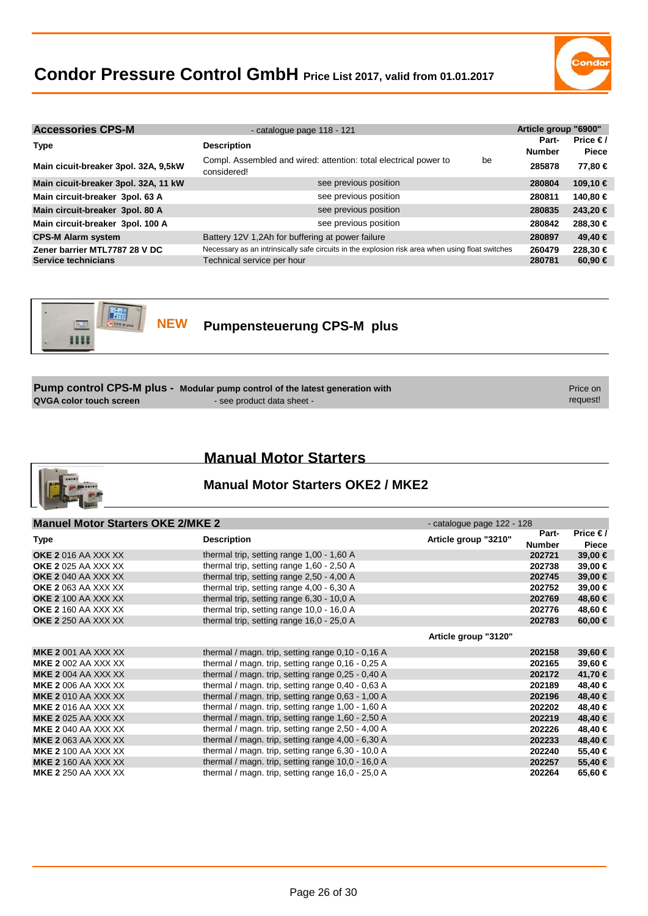

| <b>Accessories CPS-M</b>             | - catalogue page $118 - 121$                                                                     | Article group "6900"   |                               |
|--------------------------------------|--------------------------------------------------------------------------------------------------|------------------------|-------------------------------|
| <b>Type</b>                          | <b>Description</b>                                                                               | Part-<br><b>Number</b> | Price $\in I$<br><b>Piece</b> |
| Main cicuit-breaker 3pol. 32A, 9,5kW | Compl. Assembled and wired: attention: total electrical power to<br>be<br>considered!            | 285878                 | 77,80 €                       |
| Main cicuit-breaker 3pol. 32A, 11 kW | see previous position                                                                            | 280804                 | 109,10 €                      |
| Main circuit-breaker 3pol. 63 A      | see previous position                                                                            | 280811                 | 140,80 €                      |
| Main circuit-breaker 3pol. 80 A      | see previous position                                                                            | 280835                 | 243,20 €                      |
| Main circuit-breaker 3pol. 100 A     | see previous position                                                                            | 280842                 | 288,30 €                      |
| <b>CPS-M Alarm system</b>            | Battery 12V 1,2Ah for buffering at power failure                                                 | 280897                 | 49,40 €                       |
| Zener barrier MTL7787 28 V DC        | Necessary as an intrinsically safe circuits in the explosion risk area when using float switches | 260479                 | 228,30 €                      |
| <b>Service technicians</b>           | Technical service per hour                                                                       | 280781                 | $60,90 \in$                   |



# **NEW Pumpensteuerung CPS-M plus**

|                         | Pump control CPS-M plus - Modular pump control of the latest generation with | Price on |
|-------------------------|------------------------------------------------------------------------------|----------|
| QVGA color touch screen | - see product data sheet -                                                   | request! |

## **Manual Motor Starters**



#### **Manual Motor Starters OKE2 / MKE2**

| <b>Manuel Motor Starters OKE 2/MKE 2</b> |                                                   | - catalogue page 122 - 128 |               |               |
|------------------------------------------|---------------------------------------------------|----------------------------|---------------|---------------|
| Type                                     | <b>Description</b>                                | Article group "3210"       | Part-         | Price $\in$ / |
|                                          |                                                   |                            | <b>Number</b> | <b>Piece</b>  |
| <b>OKE 2016 AA XXX XX</b>                | thermal trip, setting range 1,00 - 1,60 A         |                            | 202721        | $39,00 \in$   |
| <b>OKE 2 025 AA XXX XX</b>               | thermal trip, setting range 1,60 - 2,50 A         |                            | 202738        | 39,00 €       |
| <b>OKE 2 040 AA XXX XX</b>               | thermal trip, setting range 2,50 - 4,00 A         |                            | 202745        | 39,00 €       |
| <b>OKE 2 063 AA XXX XX</b>               | thermal trip, setting range 4,00 - 6,30 A         |                            | 202752        | 39,00 €       |
| <b>OKE 2 100 AA XXX XX</b>               | thermal trip, setting range 6,30 - 10,0 A         |                            | 202769        | 48,60 €       |
| <b>OKE 2 160 AA XXX XX</b>               | thermal trip, setting range 10,0 - 16,0 A         |                            | 202776        | 48,60 €       |
| <b>OKE 2 250 AA XXX XX</b>               | thermal trip, setting range 16,0 - 25,0 A         |                            | 202783        | 60,00 $\in$   |
|                                          |                                                   | Article group "3120"       |               |               |
| MKE 2001 AA XXX XX                       | thermal / magn. trip, setting range 0,10 - 0,16 A |                            | 202158        | $39,60 \in$   |
| <b>MKE 2 002 AA XXX XX</b>               | thermal / magn. trip, setting range 0,16 - 0,25 A |                            | 202165        | 39,60 €       |
| <b>MKE 2 004 AA XXX XX</b>               | thermal / magn. trip, setting range 0,25 - 0,40 A |                            | 202172        | 41,70 €       |
| <b>MKE 2 006 AA XXX XX</b>               | thermal / magn. trip, setting range 0,40 - 0,63 A |                            | 202189        | 48,40 €       |
| MKE 2010 AA XXX XX                       | thermal / magn. trip, setting range 0,63 - 1,00 A |                            | 202196        | 48,40 €       |
| <b>MKE 2 016 AA XXX XX</b>               | thermal / magn. trip, setting range 1,00 - 1,60 A |                            | 202202        | 48,40 €       |
| <b>MKE 2 025 AA XXX XX</b>               | thermal / magn. trip, setting range 1,60 - 2,50 A |                            | 202219        | 48,40 €       |
| <b>MKE 2 040 AA XXX XX</b>               | thermal / magn. trip, setting range 2,50 - 4,00 A |                            | 202226        | 48,40 €       |
| <b>MKE 2 063 AA XXX XX</b>               | thermal / magn. trip, setting range 4,00 - 6,30 A |                            | 202233        | 48,40 €       |
| <b>MKE 2 100 AA XXX XX</b>               | thermal / magn. trip, setting range 6,30 - 10,0 A |                            | 202240        | 55,40 €       |
| <b>MKE 2 160 AA XXX XX</b>               | thermal / magn. trip, setting range 10,0 - 16,0 A |                            | 202257        | 55,40 €       |
| <b>MKE 2 250 AA XXX XX</b>               | thermal / magn. trip, setting range 16,0 - 25,0 A |                            | 202264        | 65,60 €       |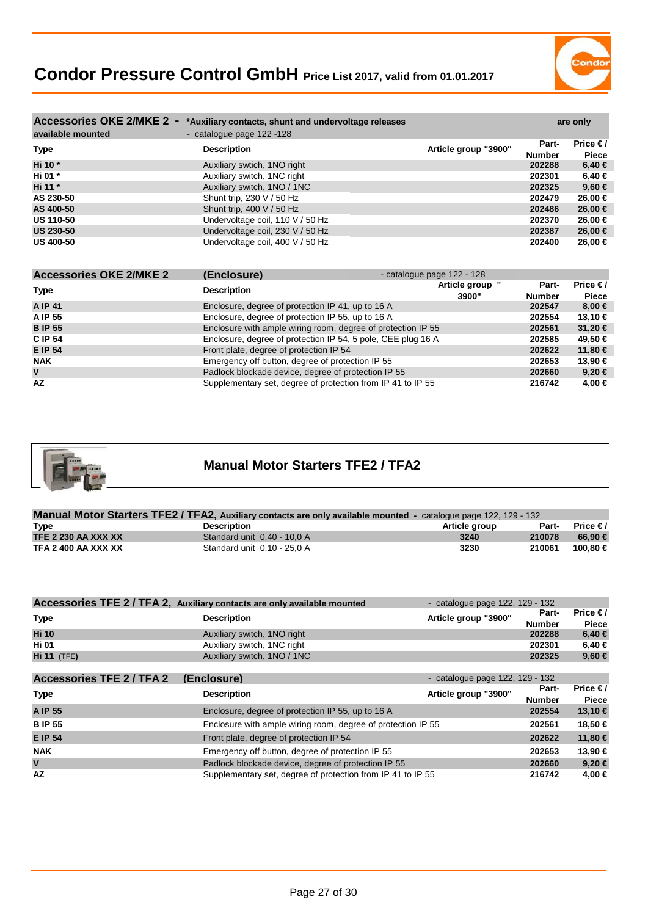



| available mounted | Accessories OKE 2/MKE 2 - *Auxiliary contacts, shunt and undervoltage releases<br>- catalogue page 122 -128 |                      |                        | are only               |
|-------------------|-------------------------------------------------------------------------------------------------------------|----------------------|------------------------|------------------------|
| <b>Type</b>       | <b>Description</b>                                                                                          | Article group "3900" | Part-<br><b>Number</b> | Price $\in I$<br>Piece |
| Hi 10 *           | Auxiliary swtich, 1NO right                                                                                 |                      | 202288                 | $6,40 \in$             |
| Hi 01 *           | Auxiliary switch, 1NC right                                                                                 |                      | 202301                 | 6,40 €                 |
| Hi 11 *           | Auxiliary switch, 1NO / 1NC                                                                                 |                      | 202325                 | $9,60 \in$             |
| AS 230-50         | Shunt trip, 230 V / 50 Hz                                                                                   |                      | 202479                 | 26,00 €                |
| AS 400-50         | Shunt trip, 400 V / 50 Hz                                                                                   |                      | 202486                 | $26,00 \in$            |
| <b>US 110-50</b>  | Undervoltage coil, 110 V / 50 Hz                                                                            |                      | 202370                 | 26,00 €                |
| <b>US 230-50</b>  | Undervoltage coil, 230 V / 50 Hz                                                                            |                      | 202387                 | $26,00 \in$            |
| <b>US 400-50</b>  | Undervoltage coil, 400 V / 50 Hz                                                                            |                      | 202400                 | 26,00 €                |

| <b>Accessories OKE 2/MKE 2</b> | (Enclosure)                                                  | - catalogue page $122 - 128$ |                        |                        |
|--------------------------------|--------------------------------------------------------------|------------------------------|------------------------|------------------------|
| <b>Type</b>                    | <b>Description</b>                                           | Article group "<br>3900"     | Part-<br><b>Number</b> | Price $\in I$<br>Piece |
| A IP 41                        | Enclosure, degree of protection IP 41, up to 16 A            |                              | 202547                 | $8,00 \in$             |
| A IP 55                        | Enclosure, degree of protection IP 55, up to 16 A            |                              | 202554                 | 13.10 €                |
| <b>B</b> IP 55                 | Enclosure with ample wiring room, degree of protection IP 55 |                              | 202561                 | 31,20 €                |
| <b>C IP 54</b>                 | Enclosure, degree of protection IP 54, 5 pole, CEE plug 16 A |                              | 202585                 | 49.50 €                |
| <b>E IP 54</b>                 | Front plate, degree of protection IP 54                      |                              | 202622                 | 11,80 €                |
| <b>NAK</b>                     | Emergency off button, degree of protection IP 55             |                              | 202653                 | 13,90 €                |
| V                              | Padlock blockade device, degree of protection IP 55          |                              | 202660                 | $9,20 \in$             |
| AZ                             | Supplementary set, degree of protection from IP 41 to IP 55  |                              | 216742                 | 4,00 €                 |



## **Manual Motor Starters TFE2 / TFA2**

| Manual Motor Starters TFE2 / TFA2, Auxiliary contacts are only available mounted - catalogue page 122, 129 - 132 |                             |               |        |               |
|------------------------------------------------------------------------------------------------------------------|-----------------------------|---------------|--------|---------------|
| Type                                                                                                             | <b>Description</b>          | Article group | Part-  | Price $\in I$ |
| <b>TFE 2 230 AA XXX XX</b>                                                                                       | Standard unit 0.40 - 10.0 A | 3240          | 210078 | $66.90 \in$   |
| TFA 2 400 AA XXX XX                                                                                              | Standard unit 0.10 - 25.0 A | 3230          | 210061 | 100.80 €      |

|                                | Accessories TFE 2 / TFA 2, Auxiliary contacts are only available mounted | - catalogue page $122$ , $129 - 132$ |               |               |
|--------------------------------|--------------------------------------------------------------------------|--------------------------------------|---------------|---------------|
| <b>Type</b>                    | <b>Description</b>                                                       | Article group "3900"                 | Part-         | Price $\in I$ |
|                                |                                                                          |                                      | <b>Number</b> | Piece         |
| <b>Hi 10</b>                   | Auxiliary switch, 1NO right                                              |                                      | 202288        | $6,40 \in$    |
| <b>Hi 01</b>                   | Auxiliary switch, 1NC right                                              |                                      | 202301        | 6,40€         |
| <b>Hi 11 (TFE)</b>             | Auxiliary switch, 1NO / 1NC                                              |                                      | 202325        | $9,60 \in$    |
|                                |                                                                          |                                      |               |               |
| <b>Accessories TFE 2/TFA 2</b> | (Enclosure)                                                              | - catalogue page $122$ , $129 - 132$ |               |               |
| <b>Type</b>                    | <b>Description</b>                                                       | Article group "3900"                 | Part-         | Price $\in I$ |
|                                |                                                                          |                                      | <b>Number</b> | Piece         |
| A IP 55                        | Enclosure, degree of protection IP 55, up to 16 A                        |                                      | 202554        | 13,10 €       |
| <b>BIP 55</b>                  | Enclosure with ample wiring room, degree of protection IP 55             |                                      | 202561        | 18,50 €       |
| <b>E IP 54</b>                 | Front plate, degree of protection IP 54                                  |                                      | 202622        | 11,80 €       |
| <b>NAK</b>                     | Emergency off button, degree of protection IP 55                         |                                      | 202653        | 13,90 €       |
| $\mathsf{V}$                   | Padlock blockade device, degree of protection IP 55                      |                                      | 202660        | 9,20 $\in$    |
| AZ                             | Supplementary set, degree of protection from IP 41 to IP 55              |                                      | 216742        | 4,00 €        |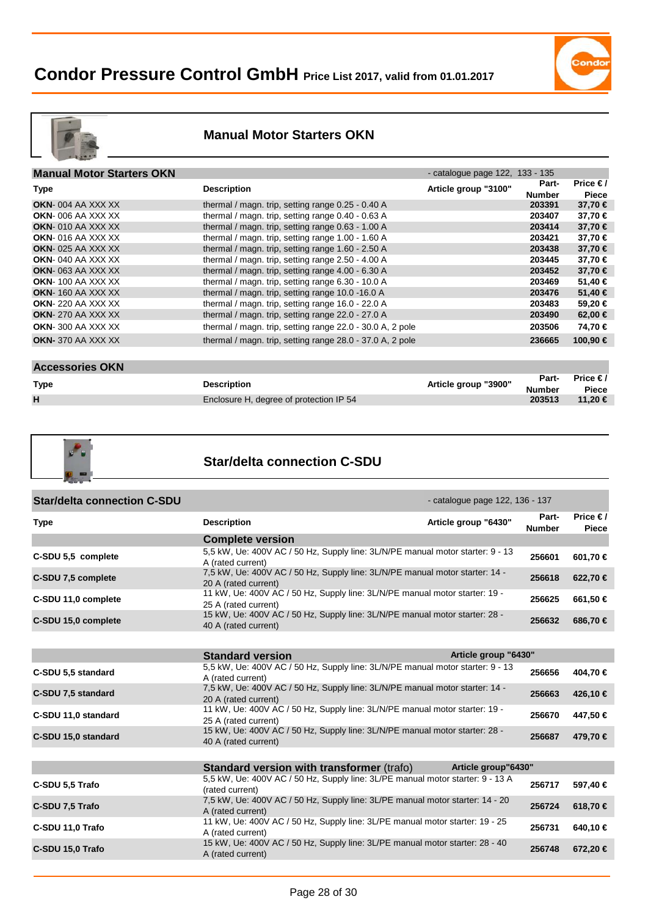

**Manual Motor Starters OKN** - catalogue page 122, 133 - 135



#### **Manual Motor Starters OKN**

|  | <b>Manual Motor Starters OKN</b> |  |
|--|----------------------------------|--|
|  |                                  |  |

| Type                     | <b>Description</b>                                        | Article group "3100" | Part-         | Price $\in I$ |
|--------------------------|-----------------------------------------------------------|----------------------|---------------|---------------|
|                          |                                                           |                      | <b>Number</b> | Piece         |
| <b>OKN-004 AA XXX XX</b> | thermal / magn. trip, setting range 0.25 - 0.40 A         |                      | 203391        | 37,70 €       |
| <b>OKN-006 AA XXX XX</b> | thermal / magn. trip, setting range 0.40 - 0.63 A         |                      | 203407        | 37,70 €       |
| <b>OKN-010 AA XXX XX</b> | thermal / magn. trip, setting range 0.63 - 1.00 A         |                      | 203414        | 37,70 €       |
| <b>OKN-016 AA XXX XX</b> | thermal / magn. trip, setting range 1.00 - 1.60 A         |                      | 203421        | 37,70 €       |
| <b>OKN-025 AA XXX XX</b> | thermal / magn. trip, setting range 1.60 - 2.50 A         |                      | 203438        | 37,70 €       |
| <b>OKN-040 AA XXX XX</b> | thermal / magn. trip, setting range 2.50 - 4.00 A         |                      | 203445        | 37,70 €       |
| <b>OKN-063 AA XXX XX</b> | thermal / magn. trip, setting range 4.00 - 6.30 A         |                      | 203452        | 37,70 €       |
| <b>OKN-100 AA XXX XX</b> | thermal / magn. trip, setting range 6.30 - 10.0 A         |                      | 203469        | 51,40 €       |
| <b>OKN-160 AA XXX XX</b> | thermal / magn. trip, setting range 10.0 -16.0 A          |                      | 203476        | 51,40 €       |
| <b>OKN-220 AA XXX XX</b> | thermal / magn. trip, setting range 16.0 - 22.0 A         |                      | 203483        | 59,20 €       |
| <b>OKN-270 AA XXX XX</b> | thermal / magn. trip, setting range 22.0 - 27.0 A         |                      | 203490        | 62,00 €       |
| <b>OKN-300 AA XXX XX</b> | thermal / magn. trip, setting range 22.0 - 30.0 A, 2 pole |                      | 203506        | 74,70 €       |
| <b>OKN-370 AA XXX XX</b> | thermal / magn. trip, setting range 28.0 - 37.0 A, 2 pole |                      | 236665        | 100,90 €      |
|                          |                                                           |                      |               |               |
| <b>Accessories OKN</b>   |                                                           |                      |               |               |
|                          |                                                           |                      | Part-         | Price $\in I$ |
| Type                     | <b>Description</b>                                        | Article group "3900" | <b>Number</b> | Piece         |
| н                        | Enclosure H, degree of protection IP 54                   |                      | 203513        | 11,20 €       |

## **Star/delta connection C-SDU**

| <b>Star/delta connection C-SDU</b> |                                                                                                           | - catalogue page 122, 136 - 137 |                        |                               |
|------------------------------------|-----------------------------------------------------------------------------------------------------------|---------------------------------|------------------------|-------------------------------|
| <b>Type</b>                        | <b>Description</b>                                                                                        | Article group "6430"            | Part-<br><b>Number</b> | Price $\in I$<br><b>Piece</b> |
|                                    | <b>Complete version</b>                                                                                   |                                 |                        |                               |
| C-SDU 5.5 complete                 | 5,5 kW, Ue: 400V AC / 50 Hz, Supply line: 3L/N/PE manual motor starter: 9 - 13<br>A (rated current)       |                                 | 256601                 | 601,70 €                      |
| C-SDU 7,5 complete                 | 7,5 kW, Ue: 400V AC / 50 Hz, Supply line: 3L/N/PE manual motor starter: 14 -<br>20 A (rated current)      |                                 | 256618                 | 622,70 €                      |
| C-SDU 11,0 complete                | 11 kW, Ue: 400V AC / 50 Hz, Supply line: 3L/N/PE manual motor starter: 19 -<br>25 A (rated current)       |                                 | 256625                 | 661,50 €                      |
| C-SDU 15,0 complete                | 15 kW, Ue: 400V AC / 50 Hz, Supply line: 3L/N/PE manual motor starter: 28 -<br>40 A (rated current)       |                                 | 256632                 | 686,70 €                      |
|                                    |                                                                                                           |                                 |                        |                               |
|                                    | <b>Standard version</b>                                                                                   | Article group "6430"            |                        |                               |
| C-SDU 5.5 standard                 | 5,5 kW, Ue: 400V AC / 50 Hz, Supply line: 3L/N/PE manual motor starter: 9 - 13<br>A (rated current)       |                                 | 256656                 | 404,70 €                      |
| C-SDU 7,5 standard                 | 7,5 kW, Ue: 400V AC / 50 Hz, Supply line: 3L/N/PE manual motor starter: 14 -<br>20 A (rated current)      |                                 | 256663                 | 426,10 €                      |
| C-SDU 11,0 standard                | 11 kW, Ue: 400V AC / 50 Hz, Supply line: 3L/N/PE manual motor starter: 19 -<br>25 A (rated current)       |                                 | 256670                 | 447,50 €                      |
| C-SDU 15,0 standard                | 15 kW, Ue: 400V AC / 50 Hz, Supply line: 3L/N/PE manual motor starter: 28 -<br>40 A (rated current)       |                                 | 256687                 | 479,70 €                      |
|                                    |                                                                                                           |                                 |                        |                               |
|                                    | <b>Standard version with transformer (trafo)</b>                                                          | Article group"6430"             |                        |                               |
| C-SDU 5.5 Trafo                    | 5,5 kW, Ue: 400V AC / 50 Hz, Supply line: 3L/PE manual motor starter: 9 - 13 A<br>(rated current)         |                                 | 256717                 | 597,40 €                      |
| C-SDU 7.5 Trafo                    | 7,5 kW, Ue: 400V AC / 50 Hz, Supply line: 3L/PE manual motor starter: 14 - 20<br>A (rated current)        |                                 | 256724                 | 618,70 €                      |
| C-SDU 11,0 Trafo                   | 11 kW, Ue: 400V AC / 50 Hz, Supply line: 3L/PE manual motor starter: 19 - 25<br>$\Lambda$ (rotad currant) |                                 | 256731                 | 640,10 €                      |

**C-SDU 15,0 Trafo 256748 672,20 €**

15 kW, Ue: 400V AC / 50 Hz, Supply line: 3L/PE manual motor starter: 28 - 40

A (rated current)

A (rated current)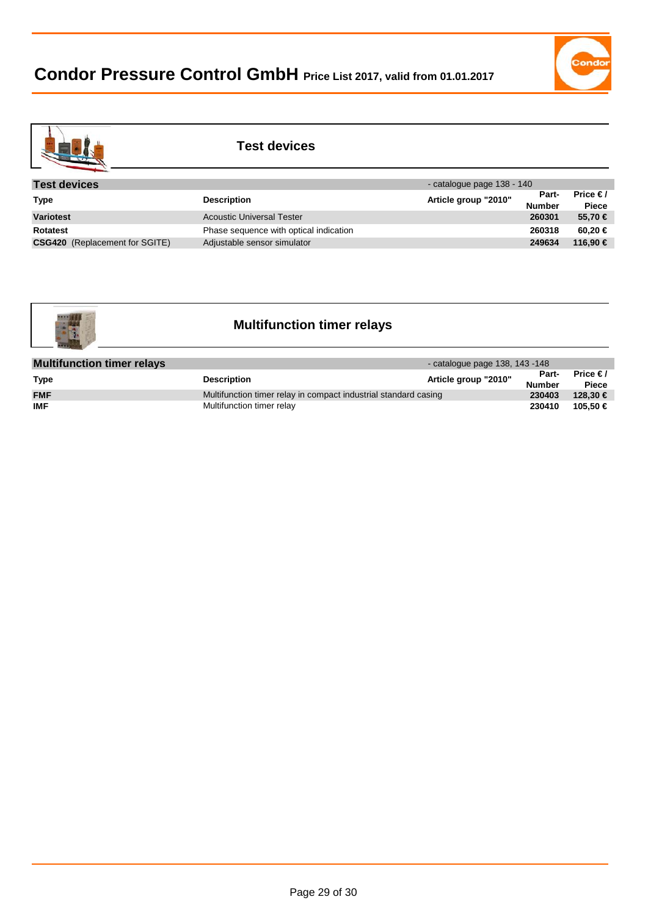

|                                       | <b>Test devices</b>                    |                              |                        |                        |
|---------------------------------------|----------------------------------------|------------------------------|------------------------|------------------------|
| <b>Test devices</b>                   |                                        | - catalogue page $138 - 140$ |                        |                        |
| <b>Type</b>                           | <b>Description</b>                     | Article group "2010"         | Part-<br><b>Number</b> | Price $\in I$<br>Piece |
| <b>Variotest</b>                      | <b>Acoustic Universal Tester</b>       |                              | 260301                 | 55,70 €                |
| <b>Rotatest</b>                       | Phase sequence with optical indication |                              | 260318                 | 60,20 €                |
| <b>CSG420</b> (Replacement for SGITE) | Adjustable sensor simulator            |                              | 249634                 | 116,90 €               |
|                                       |                                        |                              |                        |                        |



## **Multifunction timer relays**

| <b>Multifunction timer relays</b> |                                                                 | - catalogue page 138, 143 - 148 |              |               |
|-----------------------------------|-----------------------------------------------------------------|---------------------------------|--------------|---------------|
| <b>Type</b>                       | <b>Description</b>                                              | Article group "2010"            | Part-        | Price $\in I$ |
|                                   |                                                                 | <b>Number</b>                   | <b>Piece</b> |               |
| <b>FMF</b>                        | Multifunction timer relay in compact industrial standard casing |                                 | 230403       | 128.30 €      |
| IMF                               | Multifunction timer relav                                       |                                 | 230410       | 105.50 €      |
|                                   |                                                                 |                                 |              |               |